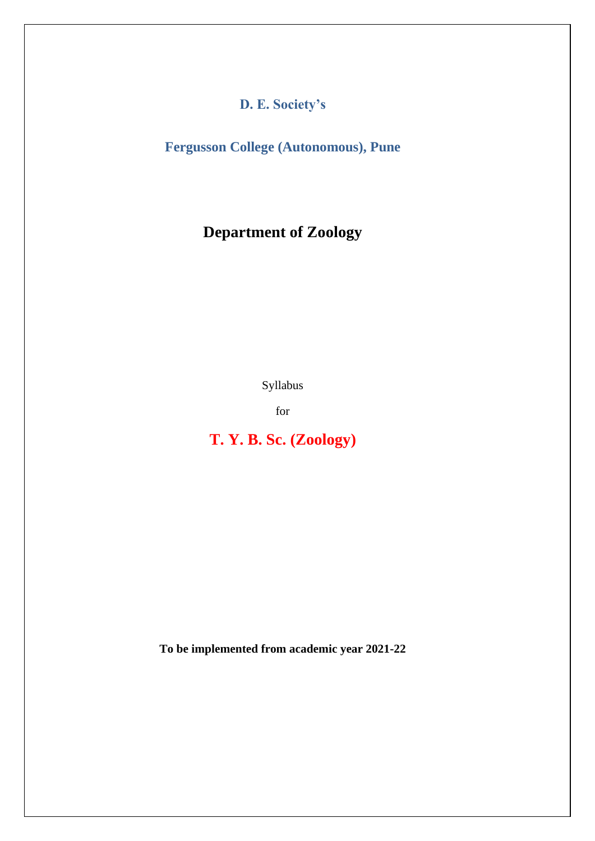**D. E. Society's**

**Fergusson College (Autonomous), Pune**

# **Department of Zoology**

Syllabus

for

**T. Y. B. Sc. (Zoology)**

**To be implemented from academic year 2021-22**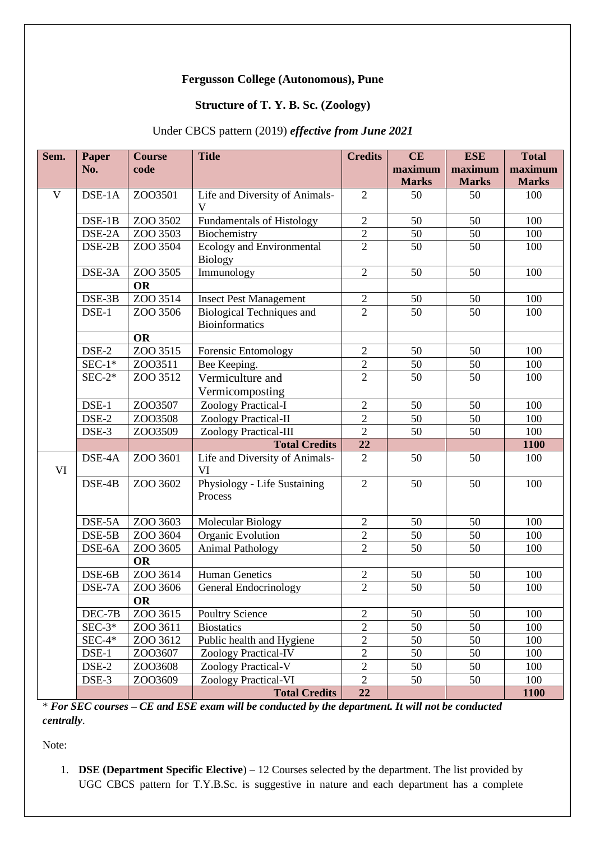#### **Fergusson College (Autonomous), Pune**

#### **Structure of T. Y. B. Sc. (Zoology)**

#### Under CBCS pattern (2019) *effective from June 2021*

| Sem. | Paper    | <b>Course</b> | <b>Title</b>                                              | <b>Credits</b> | CE              | <b>ESE</b>   | <b>Total</b> |
|------|----------|---------------|-----------------------------------------------------------|----------------|-----------------|--------------|--------------|
|      | No.      | code          |                                                           |                | maximum         | maximum      | maximum      |
|      |          |               |                                                           |                | <b>Marks</b>    | <b>Marks</b> | <b>Marks</b> |
| V    | $DSE-1A$ | ZOO3501       | Life and Diversity of Animals-<br>V                       | $\overline{2}$ | 50              | 50           | 100          |
|      | $DSE-1B$ | ZOO 3502      | Fundamentals of Histology                                 | $\sqrt{2}$     | 50              | 50           | 100          |
|      | DSE-2A   | ZOO 3503      | Biochemistry                                              | $\overline{2}$ | 50              | 50           | 100          |
|      | DSE-2B   | ZOO 3504      | Ecology and Environmental<br><b>Biology</b>               | $\overline{2}$ | 50              | 50           | 100          |
|      | DSE-3A   | ZOO 3505      | Immunology                                                | $\overline{2}$ | 50              | 50           | 100          |
|      |          | <b>OR</b>     |                                                           |                |                 |              |              |
|      | DSE-3B   | ZOO 3514      | <b>Insect Pest Management</b>                             | $\overline{2}$ | 50              | 50           | 100          |
|      | DSE-1    | ZOO 3506      | <b>Biological Techniques and</b><br><b>Bioinformatics</b> | $\overline{2}$ | 50              | 50           | 100          |
|      |          | OR            |                                                           |                |                 |              |              |
|      | DSE-2    | ZOO 3515      | Forensic Entomology                                       | $\overline{2}$ | 50              | 50           | 100          |
|      | $SEC-1*$ | ZO03511       | Bee Keeping.                                              | $\overline{2}$ | 50              | 50           | 100          |
|      | $SEC-2*$ | ZOO 3512      | Vermiculture and                                          | $\overline{2}$ | 50              | 50           | 100          |
|      |          |               | Vermicomposting                                           |                |                 |              |              |
|      | DSE-1    | ZO03507       | Zoology Practical-I                                       | $\sqrt{2}$     | 50              | 50           | 100          |
|      | DSE-2    | ZOO3508       | Zoology Practical-II                                      | $\sqrt{2}$     | 50              | 50           | 100          |
|      | DSE-3    | ZOO3509       | Zoology Practical-III                                     | $\overline{2}$ | 50              | 50           | 100          |
|      |          |               | <b>Total Credits</b>                                      | 22             |                 |              | 1100         |
| VI   | DSE-4A   | ZOO 3601      | Life and Diversity of Animals-<br>VI                      | $\sqrt{2}$     | 50              | 50           | 100          |
|      | DSE-4B   | ZOO 3602      | Physiology - Life Sustaining<br>Process                   | $\overline{2}$ | 50              | 50           | 100          |
|      | DSE-5A   | ZOO 3603      | <b>Molecular Biology</b>                                  | $\overline{2}$ | 50              | 50           | 100          |
|      | DSE-5B   | ZOO 3604      | Organic Evolution                                         | $\overline{c}$ | 50              | 50           | 100          |
|      | DSE-6A   | ZOO 3605      | <b>Animal Pathology</b>                                   | $\overline{2}$ | $\overline{50}$ | 50           | 100          |
|      |          | <b>OR</b>     |                                                           |                |                 |              |              |
|      | DSE-6B   | ZOO 3614      | <b>Human Genetics</b>                                     | $\sqrt{2}$     | 50              | 50           | 100          |
|      | DSE-7A   | ZOO 3606      | General Endocrinology                                     | $\overline{2}$ | 50              | 50           | 100          |
|      |          | OR            |                                                           |                |                 |              |              |
|      | DEC-7B   | ZOO 3615      | <b>Poultry Science</b>                                    | $\overline{2}$ | 50              | 50           | 100          |
|      | $SEC-3*$ | ZOO 3611      | <b>Biostatics</b>                                         | $\overline{c}$ | 50              | 50           | 100          |
|      | $SEC-4*$ | ZOO 3612      | Public health and Hygiene                                 | $\overline{c}$ | 50              | 50           | 100          |
|      | DSE-1    | ZOO3607       | Zoology Practical-IV                                      | $\overline{c}$ | 50              | 50           | 100          |
|      | $DSE-2$  | ZOO3608       | Zoology Practical-V                                       | $\overline{c}$ | 50              | 50           | 100          |
|      | DSE-3    | ZOO3609       | Zoology Practical-VI                                      | $\overline{2}$ | 50              | 50           | 100          |
|      |          |               | <b>Total Credits</b>                                      | 22             |                 |              | 1100         |

\* *For SEC courses – CE and ESE exam will be conducted by the department. It will not be conducted centrally*.

Note:

1. **DSE (Department Specific Elective**) – 12 Courses selected by the department. The list provided by UGC CBCS pattern for T.Y.B.Sc. is suggestive in nature and each department has a complete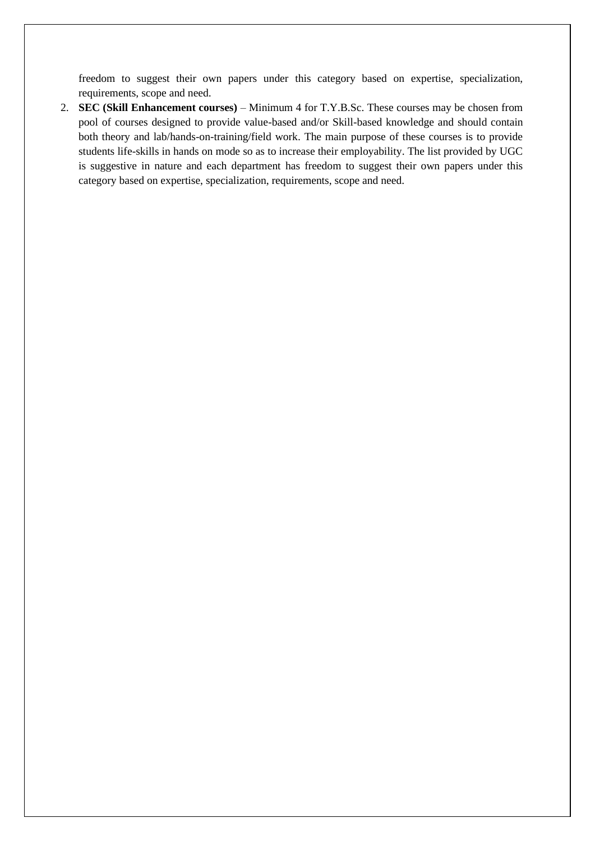freedom to suggest their own papers under this category based on expertise, specialization, requirements, scope and need.

2. **SEC (Skill Enhancement courses)** – Minimum 4 for T.Y.B.Sc. These courses may be chosen from pool of courses designed to provide value-based and/or Skill-based knowledge and should contain both theory and lab/hands-on-training/field work. The main purpose of these courses is to provide students life-skills in hands on mode so as to increase their employability. The list provided by UGC is suggestive in nature and each department has freedom to suggest their own papers under this category based on expertise, specialization, requirements, scope and need.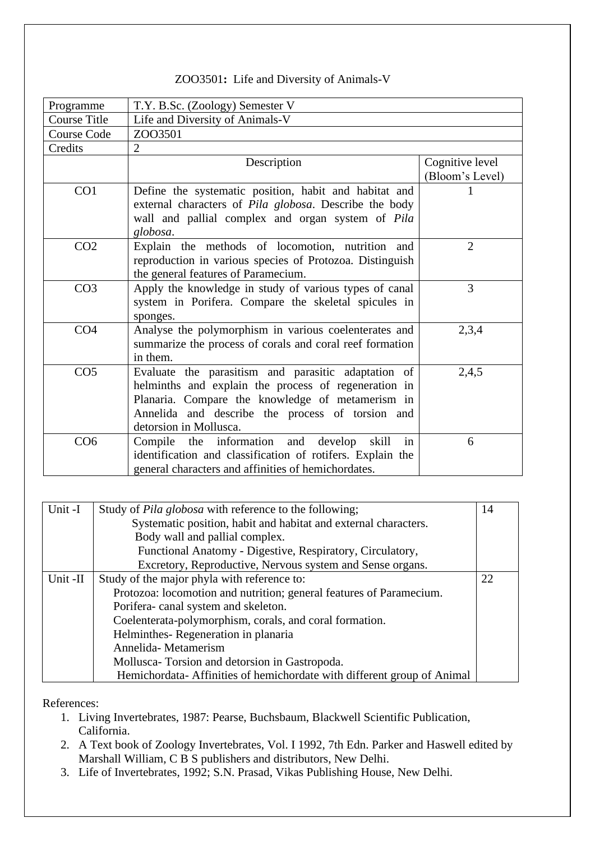| Programme           | T.Y. B.Sc. (Zoology) Semester V                                |                 |
|---------------------|----------------------------------------------------------------|-----------------|
| <b>Course Title</b> | Life and Diversity of Animals-V                                |                 |
| <b>Course Code</b>  | ZOO3501                                                        |                 |
| Credits             | $\overline{2}$                                                 |                 |
|                     | Description                                                    | Cognitive level |
|                     |                                                                | (Bloom's Level) |
| CO <sub>1</sub>     | Define the systematic position, habit and habitat and          |                 |
|                     | external characters of <i>Pila globosa</i> . Describe the body |                 |
|                     | wall and pallial complex and organ system of Pila              |                 |
|                     | globosa.                                                       |                 |
| CO <sub>2</sub>     | Explain the methods of locomotion, nutrition and               | $\overline{2}$  |
|                     | reproduction in various species of Protozoa. Distinguish       |                 |
|                     | the general features of Paramecium.                            |                 |
| CO <sub>3</sub>     | Apply the knowledge in study of various types of canal         | 3               |
|                     | system in Porifera. Compare the skeletal spicules in           |                 |
|                     | sponges.                                                       |                 |
| CO <sub>4</sub>     | Analyse the polymorphism in various coelenterates and          | 2,3,4           |
|                     |                                                                |                 |
|                     | summarize the process of corals and coral reef formation       |                 |
|                     | in them.                                                       |                 |
| CO <sub>5</sub>     | Evaluate the parasitism and parasitic adaptation of            | 2,4,5           |
|                     | helminths and explain the process of regeneration in           |                 |
|                     | Planaria. Compare the knowledge of metamerism in               |                 |
|                     | Annelida and describe the process of torsion and               |                 |
|                     | detorsion in Mollusca.                                         |                 |
| CO6                 | Compile the information and develop<br>skill<br>in             | 6               |
|                     | identification and classification of rotifers. Explain the     |                 |
|                     | general characters and affinities of hemichordates.            |                 |
|                     |                                                                |                 |

#### ZOO3501**:** Life and Diversity of Animals-V

| Unit-I   | Study of <i>Pila globosa</i> with reference to the following;           | 14 |
|----------|-------------------------------------------------------------------------|----|
|          | Systematic position, habit and habitat and external characters.         |    |
|          | Body wall and pallial complex.                                          |    |
|          | Functional Anatomy - Digestive, Respiratory, Circulatory,               |    |
|          | Excretory, Reproductive, Nervous system and Sense organs.               |    |
| Unit -II | Study of the major phyla with reference to:                             | 22 |
|          | Protozoa: locomotion and nutrition; general features of Paramecium.     |    |
|          | Porifera-canal system and skeleton.                                     |    |
|          | Coelenterata-polymorphism, corals, and coral formation.                 |    |
|          | Helminthes-Regeneration in planaria                                     |    |
|          | Annelida-Metamerism                                                     |    |
|          | Mollusca-Torsion and detorsion in Gastropoda.                           |    |
|          | Hemichordata- Affinities of hemichordate with different group of Animal |    |

References:

- 1. Living Invertebrates, 1987: Pearse, Buchsbaum, Blackwell Scientific Publication, California.
- 2. A Text book of Zoology Invertebrates, Vol. I 1992, 7th Edn. Parker and Haswell edited by Marshall William, C B S publishers and distributors, New Delhi.
- 3. Life of Invertebrates, 1992; S.N. Prasad, Vikas Publishing House, New Delhi.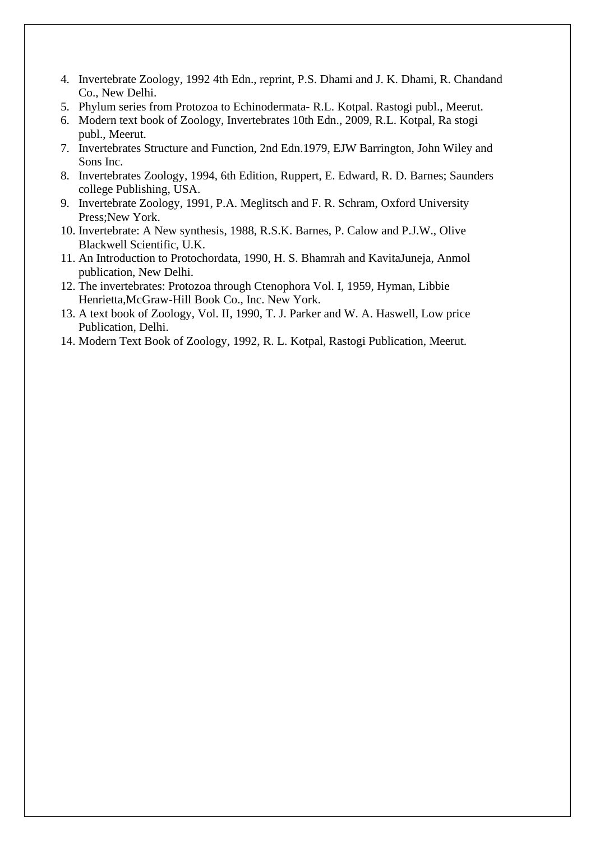- 4. Invertebrate Zoology, 1992 4th Edn., reprint, P.S. Dhami and J. K. Dhami, R. Chandand Co., New Delhi.
- 5. Phylum series from Protozoa to Echinodermata- R.L. Kotpal. Rastogi publ., Meerut.
- 6. Modern text book of Zoology, Invertebrates 10th Edn., 2009, R.L. Kotpal, Ra stogi publ., Meerut.
- 7. Invertebrates Structure and Function, 2nd Edn.1979, EJW Barrington, John Wiley and Sons Inc.
- 8. Invertebrates Zoology, 1994, 6th Edition, Ruppert, E. Edward, R. D. Barnes; Saunders college Publishing, USA.
- 9. Invertebrate Zoology, 1991, P.A. Meglitsch and F. R. Schram, Oxford University Press;New York.
- 10. Invertebrate: A New synthesis, 1988, R.S.K. Barnes, P. Calow and P.J.W., Olive Blackwell Scientific, U.K.
- 11. An Introduction to Protochordata, 1990, H. S. Bhamrah and KavitaJuneja, Anmol publication, New Delhi.
- 12. The invertebrates: Protozoa through Ctenophora Vol. I, 1959, Hyman, Libbie Henrietta,McGraw-Hill Book Co., Inc. New York.
- 13. A text book of Zoology, Vol. II, 1990, T. J. Parker and W. A. Haswell, Low price Publication, Delhi.
- 14. Modern Text Book of Zoology, 1992, R. L. Kotpal, Rastogi Publication, Meerut.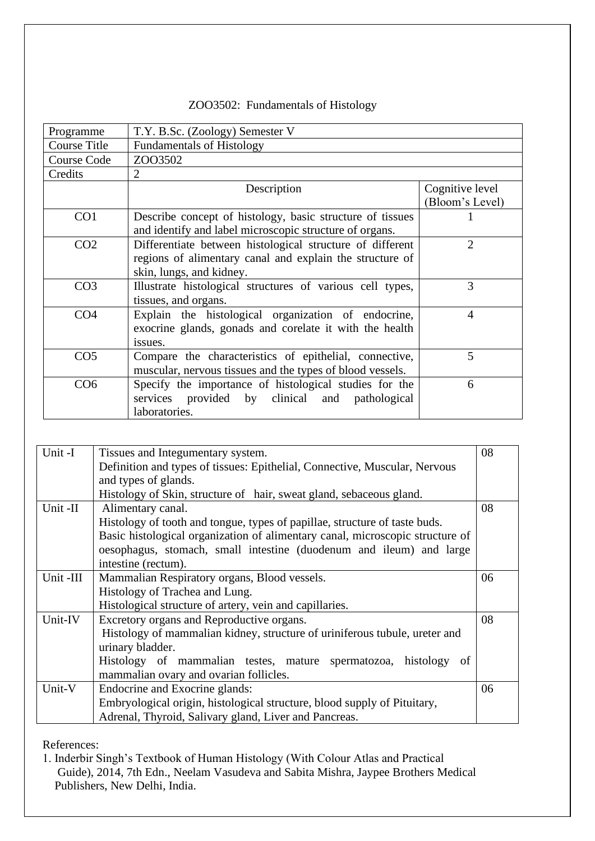#### ZOO3502: Fundamentals of Histology

| Programme           | T.Y. B.Sc. (Zoology) Semester V                                                                                                                                                                                                                                                |                                    |    |
|---------------------|--------------------------------------------------------------------------------------------------------------------------------------------------------------------------------------------------------------------------------------------------------------------------------|------------------------------------|----|
| <b>Course Title</b> | <b>Fundamentals of Histology</b>                                                                                                                                                                                                                                               |                                    |    |
| <b>Course Code</b>  | ZOO3502                                                                                                                                                                                                                                                                        |                                    |    |
| Credits             | $\overline{2}$                                                                                                                                                                                                                                                                 |                                    |    |
|                     | Description                                                                                                                                                                                                                                                                    | Cognitive level<br>(Bloom's Level) |    |
| CO <sub>1</sub>     | Describe concept of histology, basic structure of tissues<br>and identify and label microscopic structure of organs.                                                                                                                                                           |                                    |    |
| CO <sub>2</sub>     | Differentiate between histological structure of different<br>regions of alimentary canal and explain the structure of<br>skin, lungs, and kidney.                                                                                                                              | $\overline{2}$                     |    |
| CO <sub>3</sub>     | Illustrate histological structures of various cell types,<br>tissues, and organs.                                                                                                                                                                                              | 3                                  |    |
| CO <sub>4</sub>     | Explain the histological organization of endocrine,<br>exocrine glands, gonads and corelate it with the health<br>issues.                                                                                                                                                      | $\overline{4}$                     |    |
| CO <sub>5</sub>     | Compare the characteristics of epithelial, connective,<br>muscular, nervous tissues and the types of blood vessels.                                                                                                                                                            | 5                                  |    |
| CO6                 | Specify the importance of histological studies for the<br>provided<br>by<br>clinical<br>and<br>services<br>pathological<br>laboratories.                                                                                                                                       | 6                                  |    |
|                     |                                                                                                                                                                                                                                                                                |                                    |    |
| Unit-I              | Tissues and Integumentary system.<br>Definition and types of tissues: Epithelial, Connective, Muscular, Nervous<br>and types of glands.<br>Histology of Skin, structure of hair, sweat gland, sebaceous gland.                                                                 |                                    | 08 |
| Unit-II             | Alimentary canal.<br>Histology of tooth and tongue, types of papillae, structure of taste buds.<br>Basic histological organization of alimentary canal, microscopic structure of<br>oesophagus, stomach, small intestine (duodenum and ileum) and large<br>intestine (rectum). |                                    | 08 |
| Unit-III            | Mammalian Respiratory organs, Blood vessels.<br>Histology of Trachea and Lung.<br>Histological structure of artery, vein and capillaries.                                                                                                                                      |                                    | 06 |
| Unit-IV             | Excretory organs and Reproductive organs.<br>Histology of mammalian kidney, structure of uriniferous tubule, ureter and<br>urinary bladder.<br>Histology of mammalian testes, mature spermatozoa,<br>mammalian ovary and ovarian follicles.                                    | histology<br>- of                  | 08 |
| Unit-V              | Endocrine and Exocrine glands:                                                                                                                                                                                                                                                 |                                    | 06 |

Unit-V | Endocrine and Exocrine glands: Embryological origin, histological structure, blood supply of Pituitary, Adrenal, Thyroid, Salivary gland, Liver and Pancreas.

References:

1. Inderbir Singh's Textbook of Human Histology (With Colour Atlas and Practical Guide), 2014, 7th Edn., Neelam Vasudeva and Sabita Mishra, Jaypee Brothers Medical Publishers, New Delhi, India.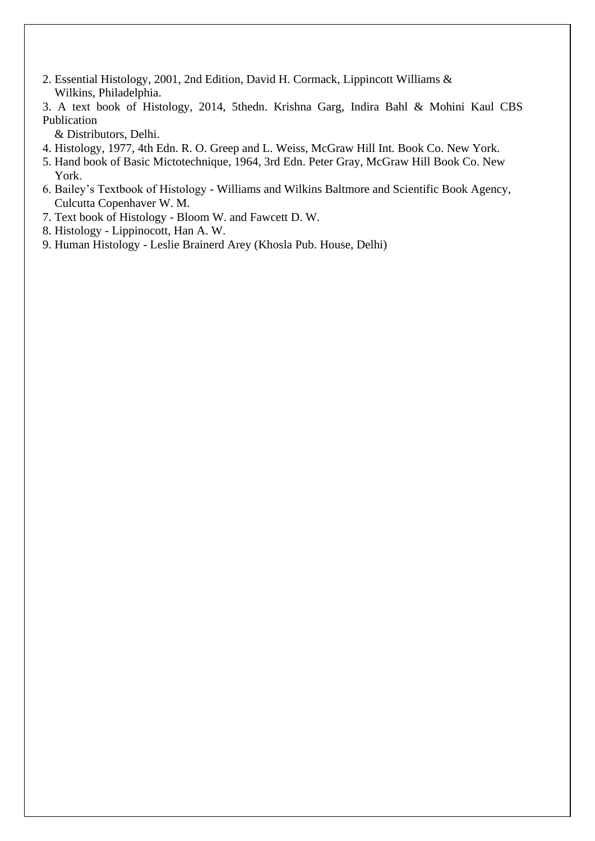- 2. Essential Histology, 2001, 2nd Edition, David H. Cormack, Lippincott Williams & Wilkins, Philadelphia.
- 3. A text book of Histology, 2014, 5thedn. Krishna Garg, Indira Bahl & Mohini Kaul CBS Publication
	- & Distributors, Delhi.
- 4. Histology, 1977, 4th Edn. R. O. Greep and L. Weiss, McGraw Hill Int. Book Co. New York.
- 5. Hand book of Basic Mictotechnique, 1964, 3rd Edn. Peter Gray, McGraw Hill Book Co. New York.
- 6. Bailey's Textbook of Histology Williams and Wilkins Baltmore and Scientific Book Agency, Culcutta Copenhaver W. M.
- 7. Text book of Histology Bloom W. and Fawcett D. W.
- 8. Histology Lippinocott, Han A. W.
- 9. Human Histology Leslie Brainerd Arey (Khosla Pub. House, Delhi)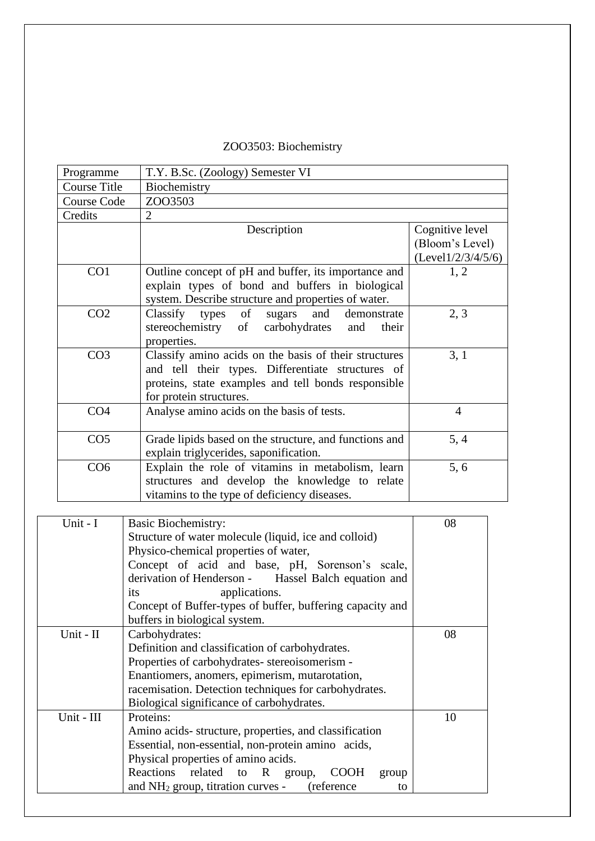# ZOO3503: Biochemistry

| Programme       | T.Y. B.Sc. (Zoology) Semester VI                                  |                    |
|-----------------|-------------------------------------------------------------------|--------------------|
| Course Title    | Biochemistry                                                      |                    |
| Course Code     | ZOO3503                                                           |                    |
| Credits         | $\overline{2}$                                                    |                    |
|                 | Description                                                       | Cognitive level    |
|                 |                                                                   | (Bloom's Level)    |
|                 |                                                                   | (Level1/2/3/4/5/6) |
| CO <sub>1</sub> | Outline concept of pH and buffer, its importance and              | 1, 2               |
|                 | explain types of bond and buffers in biological                   |                    |
|                 | system. Describe structure and properties of water.               |                    |
| CO <sub>2</sub> | Classify<br>types<br>of<br>and<br>demonstrate<br>sugars           | 2, 3               |
|                 | stereochemistry of carbohydrates<br>and<br>their                  |                    |
|                 | properties.                                                       |                    |
| CO <sub>3</sub> | Classify amino acids on the basis of their structures             | 3, 1               |
|                 | and tell their types. Differentiate structures of                 |                    |
|                 | proteins, state examples and tell bonds responsible               |                    |
|                 | for protein structures.                                           |                    |
| CO <sub>4</sub> | Analyse amino acids on the basis of tests.                        | $\overline{4}$     |
|                 |                                                                   |                    |
| CO <sub>5</sub> | Grade lipids based on the structure, and functions and            | 5, 4               |
|                 | explain triglycerides, saponification.                            |                    |
| CO <sub>6</sub> | Explain the role of vitamins in metabolism, learn                 | 5, 6               |
|                 | structures and develop the knowledge to relate                    |                    |
|                 | vitamins to the type of deficiency diseases.                      |                    |
|                 |                                                                   |                    |
| Unit - I        | <b>Basic Biochemistry:</b>                                        | 08                 |
|                 | Structure of water molecule (liquid, ice and colloid)             |                    |
|                 | Physico-chemical properties of water,                             |                    |
|                 | Concept of acid and base, pH, Sorenson's scale,                   |                    |
|                 | derivation of Henderson -<br>Hassel Balch equation and            |                    |
|                 | applications.<br>its                                              |                    |
|                 | Concept of Buffer-types of buffer, buffering capacity and         |                    |
|                 | buffers in biological system.                                     |                    |
| Unit - II       | Carbohydrates:                                                    | 08                 |
|                 | Definition and classification of carbohydrates.                   |                    |
|                 | Properties of carbohydrates-stereoisomerism -                     |                    |
|                 | Enantiomers, anomers, epimerism, mutarotation,                    |                    |
|                 | racemisation. Detection techniques for carbohydrates.             |                    |
|                 | Biological significance of carbohydrates.                         |                    |
| Unit - III      | Proteins:                                                         | 10                 |
|                 | Amino acids-structure, properties, and classification             |                    |
|                 | Essential, non-essential, non-protein amino acids,                |                    |
|                 | Physical properties of amino acids.                               |                    |
|                 | Reactions<br>related<br><b>COOH</b><br>to<br>R<br>group,<br>group |                    |
|                 | and NH <sub>2</sub> group, titration curves -<br>(reference<br>to |                    |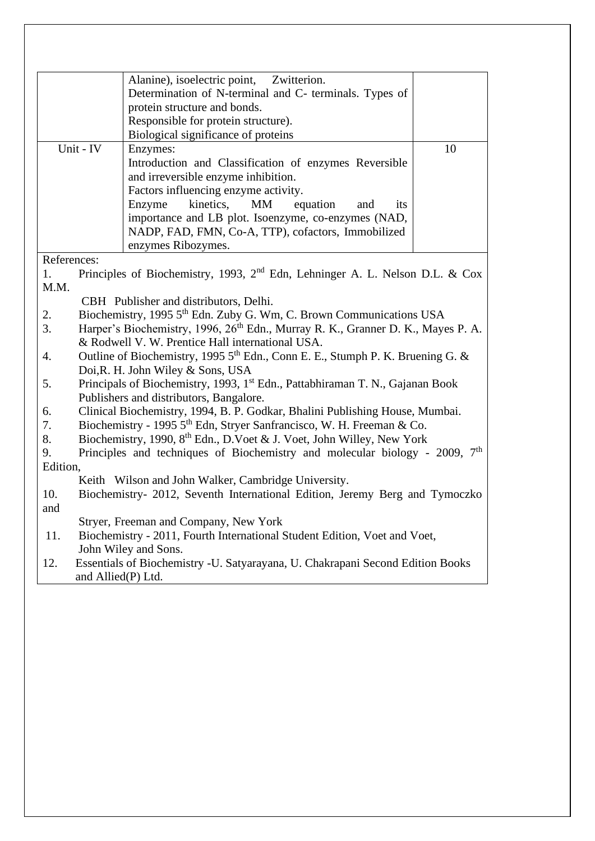|             |                                                                                            | Alanine), isoelectric point,<br>Zwitterion.                                                  |    |  |  |  |
|-------------|--------------------------------------------------------------------------------------------|----------------------------------------------------------------------------------------------|----|--|--|--|
|             |                                                                                            | Determination of N-terminal and C- terminals. Types of                                       |    |  |  |  |
|             |                                                                                            | protein structure and bonds.                                                                 |    |  |  |  |
|             |                                                                                            | Responsible for protein structure).                                                          |    |  |  |  |
|             |                                                                                            | Biological significance of proteins                                                          |    |  |  |  |
|             | Unit - IV                                                                                  | Enzymes:                                                                                     | 10 |  |  |  |
|             |                                                                                            | Introduction and Classification of enzymes Reversible                                        |    |  |  |  |
|             | and irreversible enzyme inhibition.                                                        |                                                                                              |    |  |  |  |
|             |                                                                                            | Factors influencing enzyme activity.                                                         |    |  |  |  |
|             |                                                                                            | kinetics,<br><b>MM</b><br>Enzyme<br>equation<br>and<br>its                                   |    |  |  |  |
|             |                                                                                            | importance and LB plot. Isoenzyme, co-enzymes (NAD,                                          |    |  |  |  |
|             |                                                                                            | NADP, FAD, FMN, Co-A, TTP), cofactors, Immobilized                                           |    |  |  |  |
|             |                                                                                            | enzymes Ribozymes.                                                                           |    |  |  |  |
| References: |                                                                                            |                                                                                              |    |  |  |  |
| 1.          |                                                                                            | Principles of Biochemistry, 1993, 2 <sup>nd</sup> Edn, Lehninger A. L. Nelson D.L. & Cox     |    |  |  |  |
| M.M.        |                                                                                            |                                                                                              |    |  |  |  |
|             |                                                                                            | CBH Publisher and distributors, Delhi.                                                       |    |  |  |  |
| 2.          |                                                                                            | Biochemistry, 1995 5 <sup>th</sup> Edn. Zuby G. Wm, C. Brown Communications USA              |    |  |  |  |
| 3.          |                                                                                            | Harper's Biochemistry, 1996, 26 <sup>th</sup> Edn., Murray R. K., Granner D. K., Mayes P. A. |    |  |  |  |
|             | & Rodwell V. W. Prentice Hall international USA.                                           |                                                                                              |    |  |  |  |
| 4.          | Outline of Biochemistry, 1995 5 <sup>th</sup> Edn., Conn E. E., Stumph P. K. Bruening G. & |                                                                                              |    |  |  |  |
|             | Doi, R. H. John Wiley & Sons, USA                                                          |                                                                                              |    |  |  |  |
| 5.          |                                                                                            | Principals of Biochemistry, 1993, 1 <sup>st</sup> Edn., Pattabhiraman T. N., Gajanan Book    |    |  |  |  |
|             |                                                                                            | Publishers and distributors, Bangalore.                                                      |    |  |  |  |
| 6.          |                                                                                            | Clinical Biochemistry, 1994, B. P. Godkar, Bhalini Publishing House, Mumbai.                 |    |  |  |  |
| 7.          |                                                                                            | Biochemistry - 1995 5 <sup>th</sup> Edn, Stryer Sanfrancisco, W. H. Freeman & Co.            |    |  |  |  |
| 8.          |                                                                                            | Biochemistry, 1990, 8 <sup>th</sup> Edn., D.Voet & J. Voet, John Willey, New York            |    |  |  |  |
| 9.          |                                                                                            | Principles and techniques of Biochemistry and molecular biology - 2009, 7 <sup>th</sup>      |    |  |  |  |
| Edition,    |                                                                                            |                                                                                              |    |  |  |  |
|             |                                                                                            | Keith Wilson and John Walker, Cambridge University.                                          |    |  |  |  |
| 10.         |                                                                                            | Biochemistry- 2012, Seventh International Edition, Jeremy Berg and Tymoczko                  |    |  |  |  |
| and         |                                                                                            |                                                                                              |    |  |  |  |
|             |                                                                                            | Stryer, Freeman and Company, New York                                                        |    |  |  |  |
| 11.         |                                                                                            | Biochemistry - 2011, Fourth International Student Edition, Voet and Voet,                    |    |  |  |  |
|             |                                                                                            | John Wiley and Sons.                                                                         |    |  |  |  |
| 12.         |                                                                                            | Essentials of Biochemistry - U. Satyarayana, U. Chakrapani Second Edition Books              |    |  |  |  |
|             | and Allied(P) Ltd.                                                                         |                                                                                              |    |  |  |  |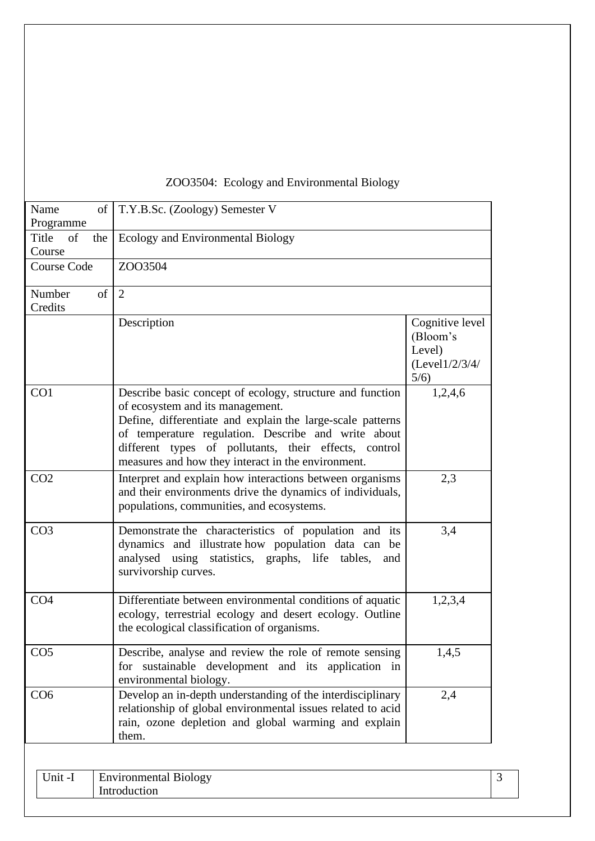| $\sigma$ f<br>Name<br>Programme | T.Y.B.Sc. (Zoology) Semester V                                                                                                                                                                                                                                                                                                    |                                                                 |
|---------------------------------|-----------------------------------------------------------------------------------------------------------------------------------------------------------------------------------------------------------------------------------------------------------------------------------------------------------------------------------|-----------------------------------------------------------------|
| of<br>Title<br>the<br>Course    | Ecology and Environmental Biology                                                                                                                                                                                                                                                                                                 |                                                                 |
| <b>Course Code</b>              | ZOO3504                                                                                                                                                                                                                                                                                                                           |                                                                 |
| of<br>Number<br>Credits         | 2                                                                                                                                                                                                                                                                                                                                 |                                                                 |
|                                 | Description                                                                                                                                                                                                                                                                                                                       | Cognitive level<br>(Bloom's<br>Level)<br>(Level1/2/3/4/<br>5/6) |
| CO <sub>1</sub>                 | Describe basic concept of ecology, structure and function<br>of ecosystem and its management.<br>Define, differentiate and explain the large-scale patterns<br>of temperature regulation. Describe and write about<br>different types of pollutants, their effects, control<br>measures and how they interact in the environment. | 1,2,4,6                                                         |
| CO <sub>2</sub>                 | Interpret and explain how interactions between organisms<br>and their environments drive the dynamics of individuals,<br>populations, communities, and ecosystems.                                                                                                                                                                | 2,3                                                             |
| CO <sub>3</sub>                 | Demonstrate the characteristics of population and its<br>dynamics and illustrate how population data can be<br>analysed<br>using statistics, graphs, life<br>tables,<br>and<br>survivorship curves.                                                                                                                               | 3,4                                                             |
| CO <sub>4</sub>                 | Differentiate between environmental conditions of aquatic<br>ecology, terrestrial ecology and desert ecology. Outline<br>the ecological classification of organisms.                                                                                                                                                              | 1,2,3,4                                                         |
| CO <sub>5</sub>                 | Describe, analyse and review the role of remote sensing<br>for sustainable development and its application in<br>environmental biology.                                                                                                                                                                                           | 1,4,5                                                           |
| CO <sub>6</sub>                 | Develop an in-depth understanding of the interdisciplinary<br>relationship of global environmental issues related to acid<br>rain, ozone depletion and global warming and explain<br>them.                                                                                                                                        | 2,4                                                             |
|                                 |                                                                                                                                                                                                                                                                                                                                   |                                                                 |

# ZOO3504: Ecology and Environmental Biology

|  |  | Unit -I | <b>Environmental Biology</b><br>Introduction |  |
|--|--|---------|----------------------------------------------|--|
|--|--|---------|----------------------------------------------|--|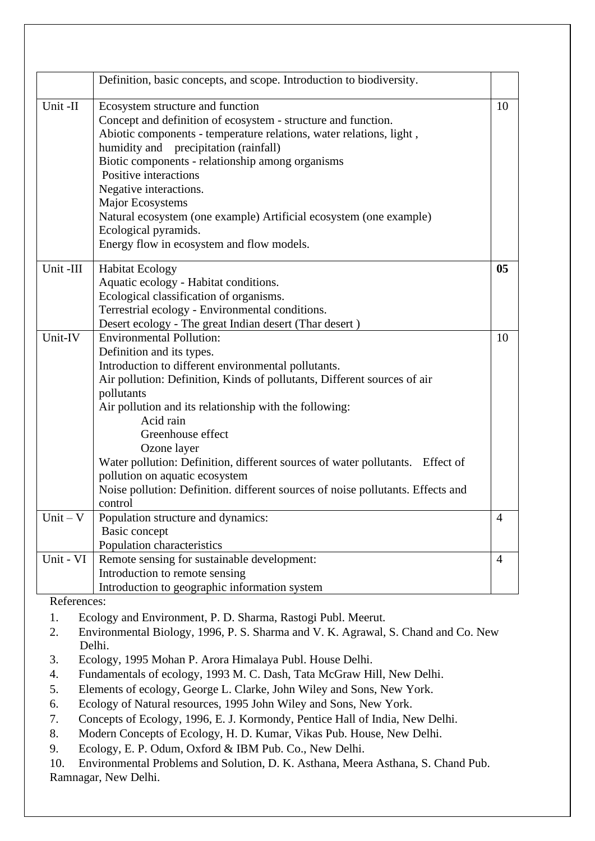|             | Definition, basic concepts, and scope. Introduction to biodiversity.                        |                |
|-------------|---------------------------------------------------------------------------------------------|----------------|
| Unit-II     | Ecosystem structure and function                                                            | 10             |
|             | Concept and definition of ecosystem - structure and function.                               |                |
|             |                                                                                             |                |
|             | Abiotic components - temperature relations, water relations, light,                         |                |
|             | humidity and precipitation (rainfall)                                                       |                |
|             | Biotic components - relationship among organisms                                            |                |
|             | Positive interactions                                                                       |                |
|             | Negative interactions.                                                                      |                |
|             | Major Ecosystems                                                                            |                |
|             | Natural ecosystem (one example) Artificial ecosystem (one example)                          |                |
|             | Ecological pyramids.                                                                        |                |
|             | Energy flow in ecosystem and flow models.                                                   |                |
| Unit-III    | <b>Habitat Ecology</b>                                                                      | 0 <sub>5</sub> |
|             | Aquatic ecology - Habitat conditions.                                                       |                |
|             | Ecological classification of organisms.                                                     |                |
|             | Terrestrial ecology - Environmental conditions.                                             |                |
|             | Desert ecology - The great Indian desert (Thar desert)                                      |                |
| Unit-IV     | <b>Environmental Pollution:</b>                                                             | 10             |
|             | Definition and its types.                                                                   |                |
|             | Introduction to different environmental pollutants.                                         |                |
|             | Air pollution: Definition, Kinds of pollutants, Different sources of air                    |                |
|             | pollutants                                                                                  |                |
|             |                                                                                             |                |
|             | Air pollution and its relationship with the following:                                      |                |
|             | Acid rain                                                                                   |                |
|             | Greenhouse effect                                                                           |                |
|             | Ozone layer                                                                                 |                |
|             | Water pollution: Definition, different sources of water pollutants. Effect of               |                |
|             | pollution on aquatic ecosystem                                                              |                |
|             | Noise pollution: Definition. different sources of noise pollutants. Effects and             |                |
|             | control                                                                                     |                |
| $Unit - V$  | Population structure and dynamics:                                                          | $\overline{4}$ |
|             | Basic concept                                                                               |                |
|             | Population characteristics                                                                  |                |
| Unit - VI   | Remote sensing for sustainable development:                                                 | 4              |
|             | Introduction to remote sensing                                                              |                |
|             | Introduction to geographic information system                                               |                |
| References: |                                                                                             |                |
| 1.          | Ecology and Environment, P. D. Sharma, Rastogi Publ. Meerut.                                |                |
| 2.          | Environmental Biology, 1996, P. S. Sharma and V. K. Agrawal, S. Chand and Co. New<br>Delhi. |                |
| 3.          | Ecology, 1995 Mohan P. Arora Himalaya Publ. House Delhi.                                    |                |
| 4.          | Fundamentals of ecology, 1993 M. C. Dash, Tata McGraw Hill, New Delhi.                      |                |
|             |                                                                                             |                |

- 6. Ecology of Natural resources, 1995 John Wiley and Sons, New York.
- 7. Concepts of Ecology, 1996, E. J. Kormondy, Pentice Hall of India, New Delhi.
- 8. Modern Concepts of Ecology, H. D. Kumar, Vikas Pub. House, New Delhi.
- 9. Ecology, E. P. Odum, Oxford & IBM Pub. Co., New Delhi.

10. Environmental Problems and Solution, D. K. Asthana, Meera Asthana, S. Chand Pub. Ramnagar, New Delhi.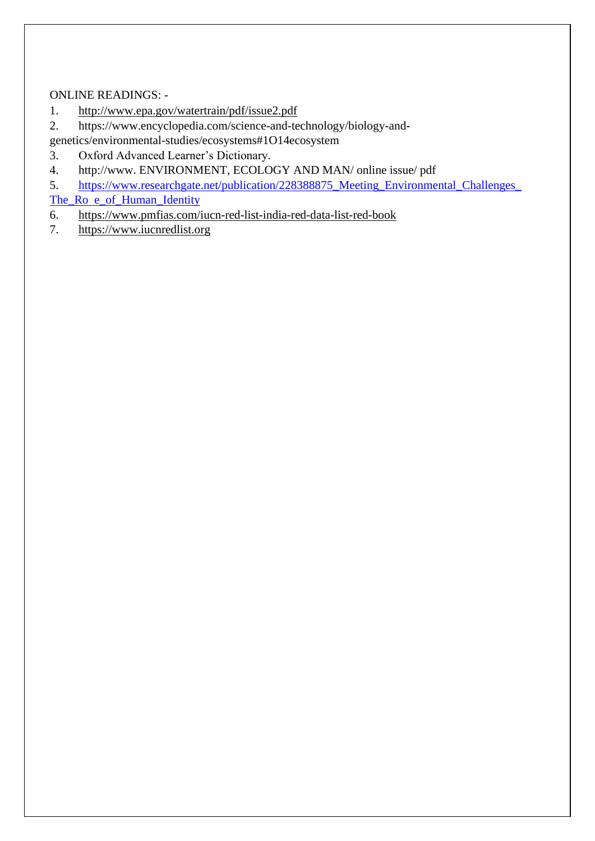#### ONLINE READINGS: -

- 1. <http://www.epa.gov/watertrain/pdf/issue2.pdf>
- 2. https://www.encyclopedia.com/science-and-technology/biology-and-

genetics/environmental-studies/ecosystems#1O14ecosystem

- 3. Oxford Advanced Learner's Dictionary.
- 4. http://www. ENVIRONMENT, ECOLOGY AND MAN/ online issue/ pdf
- 5. [https://www.researchgate.net/publication/228388875\\_Meeting\\_Environmental\\_Challenges\\_](https://www.researchgate.net/publication/228388875_Meeting_Environmental_Challenges_The_Ro%20%20e_of_Human_Identity) [The\\_Ro e\\_of\\_Human\\_Identity](https://www.researchgate.net/publication/228388875_Meeting_Environmental_Challenges_The_Ro%20%20e_of_Human_Identity)
- 6. <https://www.pmfias.com/iucn-red-list-india-red-data-list-red-book>
- 7. [https://www.iucnredlist.org](https://www.iucnredlist.org/)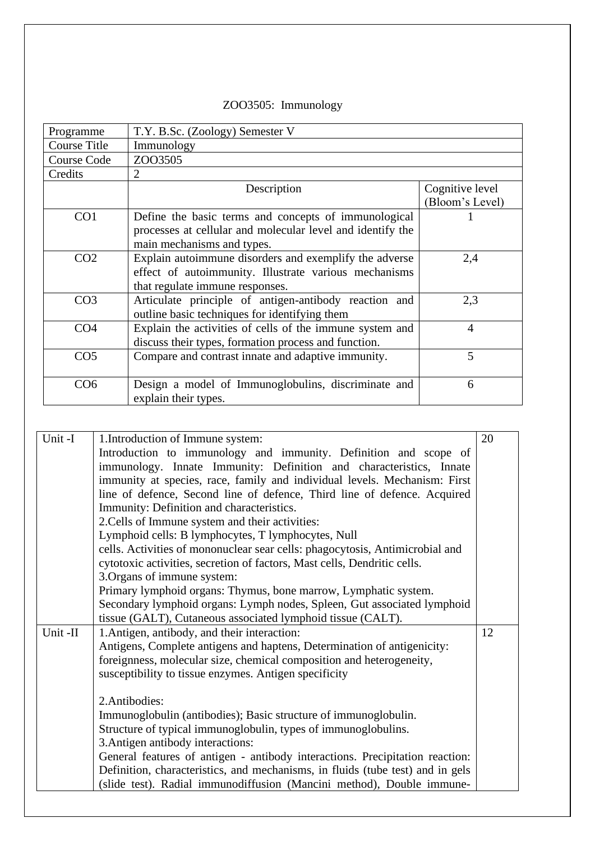## ZOO3505: Immunology

| Programme          | T.Y. B.Sc. (Zoology) Semester V                            |                 |
|--------------------|------------------------------------------------------------|-----------------|
| Course Title       | Immunology                                                 |                 |
| <b>Course Code</b> | ZOO3505                                                    |                 |
| Credits            | 2                                                          |                 |
|                    | Description                                                | Cognitive level |
|                    |                                                            | (Bloom's Level) |
| CO <sub>1</sub>    | Define the basic terms and concepts of immunological       |                 |
|                    | processes at cellular and molecular level and identify the |                 |
|                    | main mechanisms and types.                                 |                 |
| CO <sub>2</sub>    | Explain autoimmune disorders and exemplify the adverse     | 2,4             |
|                    | effect of autoimmunity. Illustrate various mechanisms      |                 |
|                    | that regulate immune responses.                            |                 |
| CO <sub>3</sub>    | Articulate principle of antigen-antibody reaction and      | 2,3             |
|                    | outline basic techniques for identifying them              |                 |
| CO <sub>4</sub>    | Explain the activities of cells of the immune system and   | $\overline{4}$  |
|                    | discuss their types, formation process and function.       |                 |
| CO <sub>5</sub>    | Compare and contrast innate and adaptive immunity.         | 5               |
|                    |                                                            |                 |
| CO6                | Design a model of Immunoglobulins, discriminate and        | 6               |
|                    | explain their types.                                       |                 |

| Unit -I  | 1. Introduction of Immune system:                                              | 20 |
|----------|--------------------------------------------------------------------------------|----|
|          | Introduction to immunology and immunity. Definition and scope of               |    |
|          | immunology. Innate Immunity: Definition and characteristics, Innate            |    |
|          | immunity at species, race, family and individual levels. Mechanism: First      |    |
|          | line of defence, Second line of defence, Third line of defence. Acquired       |    |
|          | Immunity: Definition and characteristics.                                      |    |
|          | 2. Cells of Immune system and their activities:                                |    |
|          | Lymphoid cells: B lymphocytes, T lymphocytes, Null                             |    |
|          | cells. Activities of mononuclear sear cells: phagocytosis, Antimicrobial and   |    |
|          | cytotoxic activities, secretion of factors, Mast cells, Dendritic cells.       |    |
|          | 3. Organs of immune system:                                                    |    |
|          | Primary lymphoid organs: Thymus, bone marrow, Lymphatic system.                |    |
|          | Secondary lymphoid organs: Lymph nodes, Spleen, Gut associated lymphoid        |    |
|          | tissue (GALT), Cutaneous associated lymphoid tissue (CALT).                    |    |
| Unit -II | 1. Antigen, antibody, and their interaction:                                   | 12 |
|          | Antigens, Complete antigens and haptens, Determination of antigenicity:        |    |
|          | foreignness, molecular size, chemical composition and heterogeneity,           |    |
|          | susceptibility to tissue enzymes. Antigen specificity                          |    |
|          |                                                                                |    |
|          | 2.Antibodies:                                                                  |    |
|          | Immunoglobulin (antibodies); Basic structure of immunoglobulin.                |    |
|          | Structure of typical immunoglobulin, types of immunoglobulins.                 |    |
|          | 3. Antigen antibody interactions:                                              |    |
|          | General features of antigen - antibody interactions. Precipitation reaction:   |    |
|          | Definition, characteristics, and mechanisms, in fluids (tube test) and in gels |    |
|          | (slide test). Radial immunodiffusion (Mancini method), Double immune-          |    |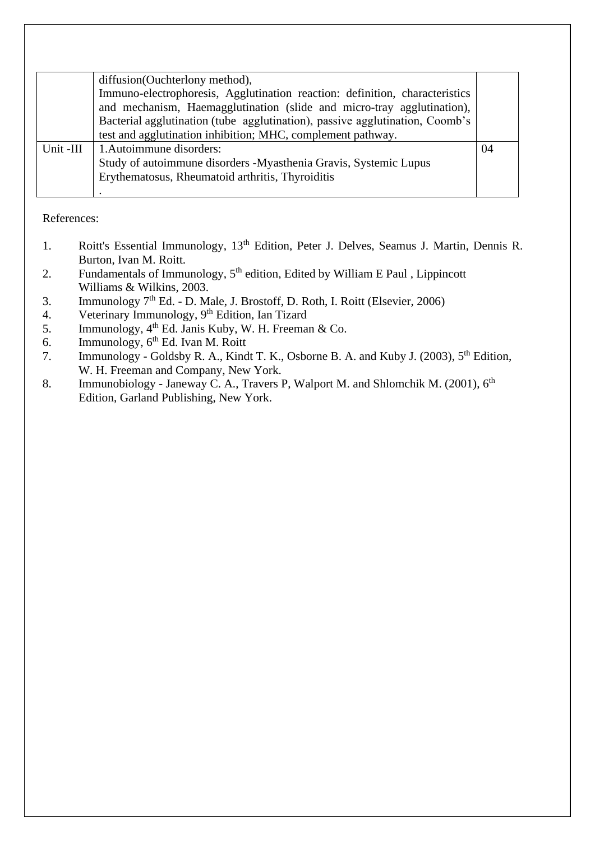|           | diffusion(Ouchterlony method),                                               |    |
|-----------|------------------------------------------------------------------------------|----|
|           | Immuno-electrophoresis, Agglutination reaction: definition, characteristics  |    |
|           | and mechanism, Haemagglutination (slide and micro-tray agglutination),       |    |
|           | Bacterial agglutination (tube agglutination), passive agglutination, Coomb's |    |
|           | test and agglutination inhibition; MHC, complement pathway.                  |    |
| Unit -III | 1. Autoimmune disorders:                                                     | 04 |
|           | Study of autoimmune disorders -Myasthenia Gravis, Systemic Lupus             |    |
|           | Erythematosus, Rheumatoid arthritis, Thyroiditis                             |    |
|           |                                                                              |    |

References:

- 1. Roitt's Essential Immunology, 13<sup>th</sup> Edition, Peter J. Delves, Seamus J. Martin, Dennis R. Burton, Ivan M. Roitt.
- 2. Fundamentals of Immunology, 5<sup>th</sup> edition, Edited by William E Paul, Lippincott Williams & Wilkins, 2003.
- 3. Immunology 7th Ed. D. Male, J. Brostoff, D. Roth, I. Roitt (Elsevier, 2006)
- 4. Veterinary Immunology, 9<sup>th</sup> Edition, Ian Tizard
- 5. Immunology,  $4<sup>th</sup>$  Ed. Janis Kuby, W. H. Freeman & Co.
- 6. Immunology,  $6<sup>th</sup>$  Ed. Ivan M. Roitt
- 7. Immunology Goldsby R. A., Kindt T. K., Osborne B. A. and Kuby J. (2003),  $5<sup>th</sup>$  Edition, W. H. Freeman and Company, New York.
- 8. Immunobiology Janeway C. A., Travers P, Walport M. and Shlomchik M. (2001), 6<sup>th</sup> Edition, Garland Publishing, New York.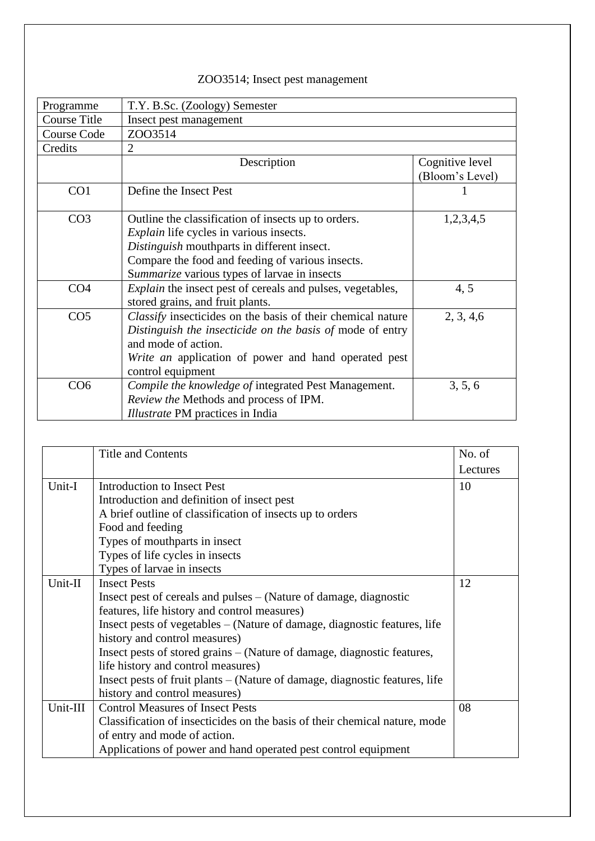| Programme           | T.Y. B.Sc. (Zoology) Semester                                     |                                    |
|---------------------|-------------------------------------------------------------------|------------------------------------|
| <b>Course Title</b> | Insect pest management                                            |                                    |
| <b>Course Code</b>  | ZOO3514                                                           |                                    |
| Credits             | $\overline{2}$                                                    |                                    |
|                     | Description                                                       | Cognitive level<br>(Bloom's Level) |
| CO <sub>1</sub>     | Define the Insect Pest                                            |                                    |
| CO <sub>3</sub>     | Outline the classification of insects up to orders.               | 1,2,3,4,5                          |
|                     | <i>Explain</i> life cycles in various insects.                    |                                    |
|                     | Distinguish mouthparts in different insect.                       |                                    |
|                     | Compare the food and feeding of various insects.                  |                                    |
|                     | Summarize various types of larvae in insects                      |                                    |
| CO <sub>4</sub>     | <i>Explain</i> the insect pest of cereals and pulses, vegetables, | 4, 5                               |
|                     | stored grains, and fruit plants.                                  |                                    |
| CO <sub>5</sub>     | Classify insecticides on the basis of their chemical nature       | 2, 3, 4, 6                         |
|                     | Distinguish the insecticide on the basis of mode of entry         |                                    |
|                     | and mode of action.                                               |                                    |
|                     | Write an application of power and hand operated pest              |                                    |
|                     | control equipment                                                 |                                    |
| CO <sub>6</sub>     | Compile the knowledge of integrated Pest Management.              | 3, 5, 6                            |
|                     | Review the Methods and process of IPM.                            |                                    |
|                     | <i>Illustrate</i> PM practices in India                           |                                    |

## ZOO3514; Insect pest management

|          | <b>Title and Contents</b>                                                   | No. of   |
|----------|-----------------------------------------------------------------------------|----------|
|          |                                                                             | Lectures |
| Unit-I   | Introduction to Insect Pest                                                 | 10       |
|          | Introduction and definition of insect pest                                  |          |
|          | A brief outline of classification of insects up to orders                   |          |
|          | Food and feeding                                                            |          |
|          | Types of mouthparts in insect                                               |          |
|          | Types of life cycles in insects                                             |          |
|          | Types of larvae in insects                                                  |          |
| Unit-II  | <b>Insect Pests</b>                                                         | 12       |
|          | Insect pest of cereals and pulses – (Nature of damage, diagnostic           |          |
|          | features, life history and control measures)                                |          |
|          | Insect pests of vegetables – (Nature of damage, diagnostic features, life   |          |
|          | history and control measures)                                               |          |
|          | Insect pests of stored grains – (Nature of damage, diagnostic features,     |          |
|          | life history and control measures)                                          |          |
|          | Insect pests of fruit plants – (Nature of damage, diagnostic features, life |          |
|          | history and control measures)                                               |          |
| Unit-III | <b>Control Measures of Insect Pests</b>                                     | 08       |
|          | Classification of insecticides on the basis of their chemical nature, mode  |          |
|          | of entry and mode of action.                                                |          |
|          | Applications of power and hand operated pest control equipment              |          |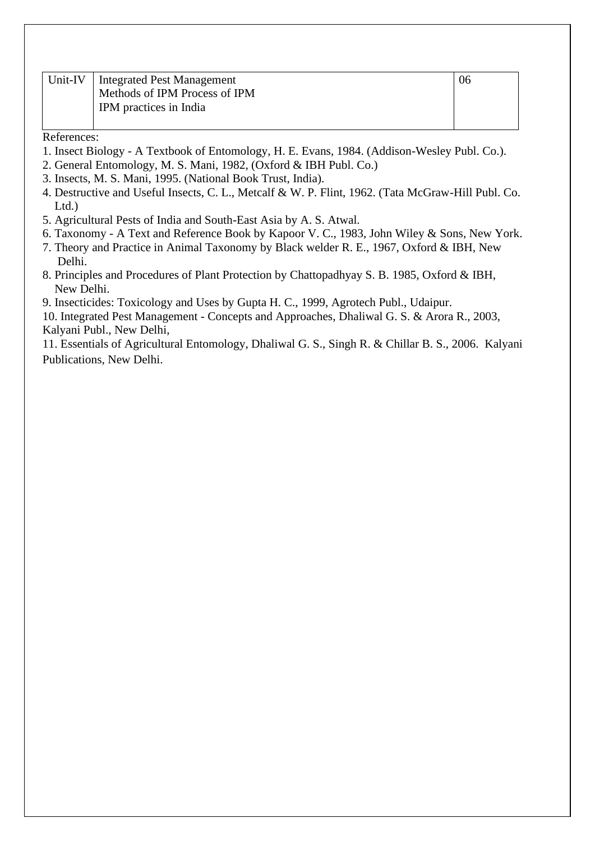| Unit-IV | Integrated Pest Management    | 06 |
|---------|-------------------------------|----|
|         | Methods of IPM Process of IPM |    |
|         | IPM practices in India        |    |

References:

- 1. Insect Biology A Textbook of Entomology, H. E. Evans, 1984. (Addison-Wesley Publ. Co.).
- 2. General Entomology, M. S. Mani, 1982, (Oxford & IBH Publ. Co.)
- 3. Insects, M. S. Mani, 1995. (National Book Trust, India).
- 4. Destructive and Useful Insects, C. L., Metcalf & W. P. Flint, 1962. (Tata McGraw-Hill Publ. Co. Ltd.)
- 5. Agricultural Pests of India and South-East Asia by A. S. Atwal.
- 6. Taxonomy A Text and Reference Book by Kapoor V. C., 1983, John Wiley & Sons, New York.
- 7. Theory and Practice in Animal Taxonomy by Black welder R. E., 1967, Oxford & IBH, New Delhi.
- 8. Principles and Procedures of Plant Protection by Chattopadhyay S. B. 1985, Oxford & IBH, New Delhi.

9. Insecticides: Toxicology and Uses by Gupta H. C., 1999, Agrotech Publ., Udaipur.

10. Integrated Pest Management - Concepts and Approaches, Dhaliwal G. S. & Arora R., 2003, Kalyani Publ., New Delhi,

11. Essentials of Agricultural Entomology, Dhaliwal G. S., Singh R. & Chillar B. S., 2006. Kalyani Publications, New Delhi.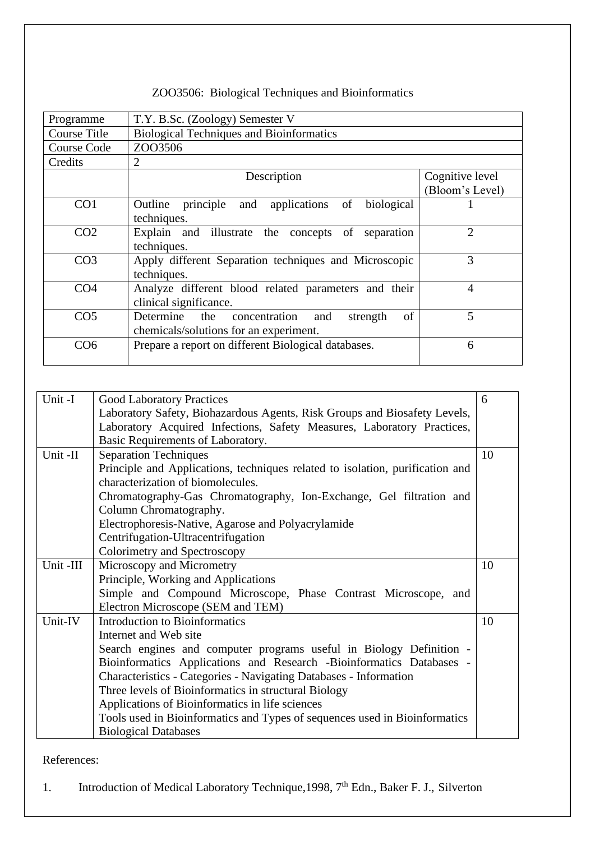| Programme           | T.Y. B.Sc. (Zoology) Semester V                                                                                                             |                 |    |
|---------------------|---------------------------------------------------------------------------------------------------------------------------------------------|-----------------|----|
| <b>Course Title</b> | <b>Biological Techniques and Bioinformatics</b>                                                                                             |                 |    |
| <b>Course Code</b>  | ZOO3506                                                                                                                                     |                 |    |
| Credits             | $\overline{2}$                                                                                                                              |                 |    |
|                     | Description                                                                                                                                 | Cognitive level |    |
|                     |                                                                                                                                             | (Bloom's Level) |    |
| CO1                 | principle<br>applications<br>biological<br>of<br>Outline<br>and<br>techniques.                                                              |                 |    |
| CO <sub>2</sub>     | Explain and illustrate the<br>concepts of<br>separation<br>techniques.                                                                      | $\overline{2}$  |    |
| CO <sub>3</sub>     | Apply different Separation techniques and Microscopic<br>techniques.                                                                        | 3               |    |
| CO <sub>4</sub>     | Analyze different blood related parameters and their<br>clinical significance.                                                              | $\overline{4}$  |    |
| CO <sub>5</sub>     | Determine<br>concentration<br>the<br>strength<br>of<br>and<br>chemicals/solutions for an experiment.                                        | 5               |    |
| CO <sub>6</sub>     | Prepare a report on different Biological databases.                                                                                         | 6               |    |
|                     |                                                                                                                                             |                 |    |
| Unit-I              | <b>Good Laboratory Practices</b>                                                                                                            |                 | 6  |
|                     | Laboratory Safety, Biohazardous Agents, Risk Groups and Biosafety Levels,                                                                   |                 |    |
|                     | Laboratory Acquired Infections, Safety Measures, Laboratory Practices,                                                                      |                 |    |
|                     | Basic Requirements of Laboratory.                                                                                                           |                 |    |
| Unit-II             | <b>Separation Techniques</b>                                                                                                                |                 | 10 |
|                     | Principle and Applications, techniques related to isolation, purification and                                                               |                 |    |
|                     | characterization of biomolecules.                                                                                                           |                 |    |
|                     | Chromatography-Gas Chromatography, Ion-Exchange, Gel filtration and                                                                         |                 |    |
|                     | Column Chromatography.                                                                                                                      |                 |    |
|                     | Electrophoresis-Native, Agarose and Polyacrylamide                                                                                          |                 |    |
|                     | Centrifugation-Ultracentrifugation                                                                                                          |                 |    |
|                     | Colorimetry and Spectroscopy                                                                                                                |                 |    |
| Unit-III            | Microscopy and Micrometry                                                                                                                   |                 | 10 |
|                     | Principle, Working and Applications                                                                                                         |                 |    |
|                     | Simple and Compound Microscope, Phase Contrast Microscope, and                                                                              |                 |    |
| Unit-IV             | Electron Microscope (SEM and TEM)<br><b>Introduction to Bioinformatics</b>                                                                  |                 | 10 |
|                     | Internet and Web site                                                                                                                       |                 |    |
|                     |                                                                                                                                             |                 |    |
|                     | Search engines and computer programs useful in Biology Definition -<br>Bioinformatics Applications and Research -Bioinformatics Databases - |                 |    |
|                     | Characteristics - Categories - Navigating Databases - Information                                                                           |                 |    |
|                     | Three levels of Bioinformatics in structural Biology                                                                                        |                 |    |
|                     | Applications of Bioinformatics in life sciences                                                                                             |                 |    |
|                     | Tools used in Bioinformatics and Types of sequences used in Bioinformatics                                                                  |                 |    |
|                     | <b>Biological Databases</b>                                                                                                                 |                 |    |
|                     |                                                                                                                                             |                 |    |

## ZOO3506: Biological Techniques and Bioinformatics

References:

1. Introduction of Medical Laboratory Technique, 1998, 7<sup>th</sup> Edn., Baker F. J., Silverton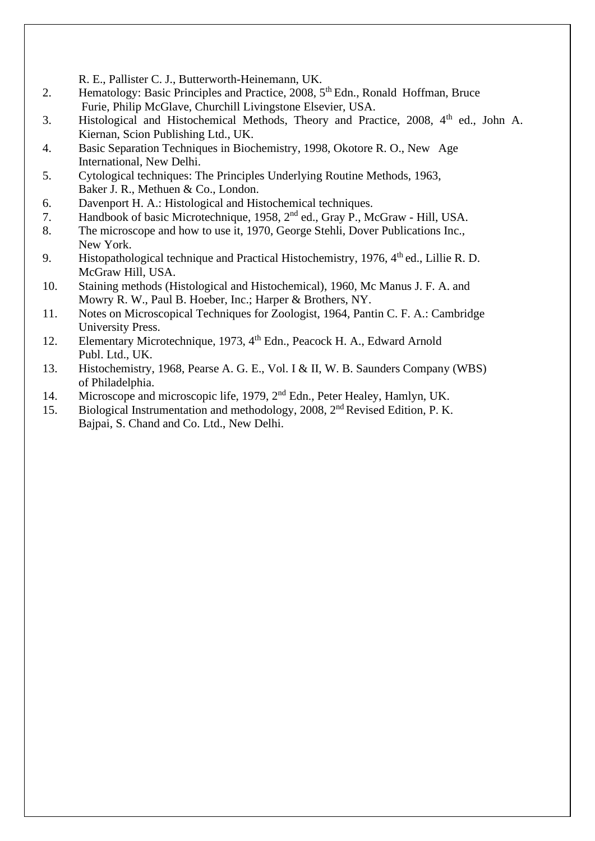R. E., Pallister C. J., Butterworth-Heinemann, UK.

- 2. Hematology: Basic Principles and Practice, 2008, 5<sup>th</sup> Edn., Ronald Hoffman, Bruce Furie, Philip McGlave, Churchill Livingstone Elsevier, USA.
- 3. Histological and Histochemical Methods, Theory and Practice, 2008, 4<sup>th</sup> ed., John A. Kiernan, Scion Publishing Ltd., UK.
- 4. Basic Separation Techniques in Biochemistry, 1998, Okotore R. O., New Age International, New Delhi.
- 5. Cytological techniques: The Principles Underlying Routine Methods, 1963, Baker J. R., Methuen & Co., London.
- 6. Davenport H. A.: Histological and Histochemical techniques.
- 7. Handbook of basic Microtechnique, 1958, 2nd ed., Gray P., McGraw Hill, USA.
- 8. The microscope and how to use it, 1970, George Stehli, Dover Publications Inc., New York.
- 9. Histopathological technique and Practical Histochemistry, 1976,  $4<sup>th</sup>$  ed., Lillie R. D. McGraw Hill, USA.
- 10. Staining methods (Histological and Histochemical), 1960, Mc Manus J. F. A. and Mowry R. W., Paul B. Hoeber, Inc.; Harper & Brothers, NY.
- 11. Notes on Microscopical Techniques for Zoologist, 1964, Pantin C. F. A.: Cambridge University Press.
- 12. Elementary Microtechnique, 1973, 4<sup>th</sup> Edn., Peacock H. A., Edward Arnold Publ. Ltd., UK.
- 13. Histochemistry, 1968, Pearse A. G. E., Vol. I & II, W. B. Saunders Company (WBS) of Philadelphia.
- 14. Microscope and microscopic life, 1979, 2<sup>nd</sup> Edn., Peter Healey, Hamlyn, UK.
- 15. Biological Instrumentation and methodology, 2008, 2nd Revised Edition, P. K. Bajpai, S. Chand and Co. Ltd., New Delhi.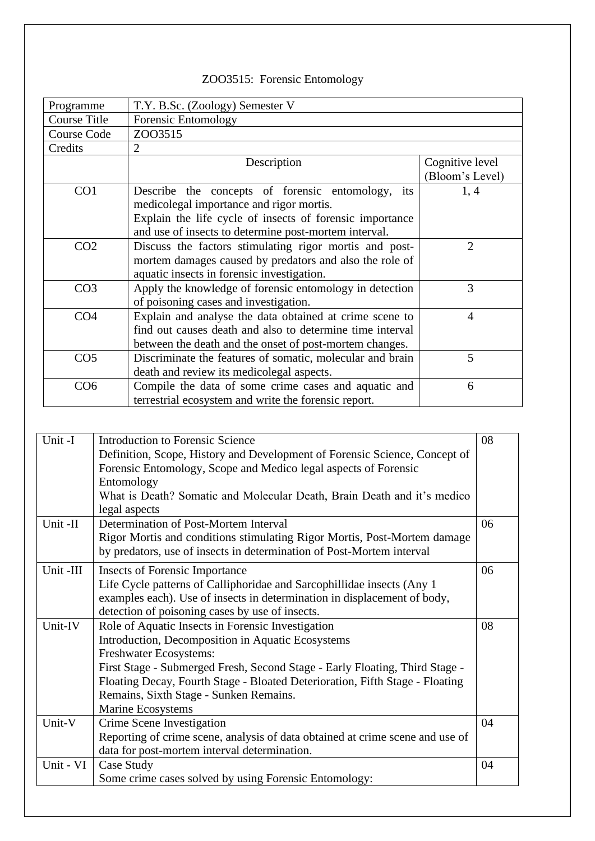| Programme           | T.Y. B.Sc. (Zoology) Semester V                                                                                                                                                                                                                                                                                                                                |                                    |
|---------------------|----------------------------------------------------------------------------------------------------------------------------------------------------------------------------------------------------------------------------------------------------------------------------------------------------------------------------------------------------------------|------------------------------------|
| <b>Course Title</b> | Forensic Entomology                                                                                                                                                                                                                                                                                                                                            |                                    |
| Course Code         | ZOO3515                                                                                                                                                                                                                                                                                                                                                        |                                    |
| Credits             | $\overline{2}$                                                                                                                                                                                                                                                                                                                                                 |                                    |
|                     | Description                                                                                                                                                                                                                                                                                                                                                    | Cognitive level<br>(Bloom's Level) |
| CO <sub>1</sub>     | Describe the concepts of forensic entomology,<br>its<br>medicolegal importance and rigor mortis.<br>Explain the life cycle of insects of forensic importance<br>and use of insects to determine post-mortem interval.                                                                                                                                          | 1, 4                               |
| CO <sub>2</sub>     | Discuss the factors stimulating rigor mortis and post-<br>mortem damages caused by predators and also the role of<br>aquatic insects in forensic investigation.                                                                                                                                                                                                | $\overline{2}$                     |
| CO <sub>3</sub>     | Apply the knowledge of forensic entomology in detection<br>of poisoning cases and investigation.                                                                                                                                                                                                                                                               | 3                                  |
| CO <sub>4</sub>     | Explain and analyse the data obtained at crime scene to<br>find out causes death and also to determine time interval<br>between the death and the onset of post-mortem changes.                                                                                                                                                                                | $\overline{4}$                     |
| CO <sub>5</sub>     | Discriminate the features of somatic, molecular and brain<br>death and review its medicolegal aspects.                                                                                                                                                                                                                                                         | 5                                  |
| CO <sub>6</sub>     | Compile the data of some crime cases and aquatic and<br>terrestrial ecosystem and write the forensic report.                                                                                                                                                                                                                                                   | 6                                  |
| Unit-I              | <b>Introduction to Forensic Science</b><br>Definition, Scope, History and Development of Forensic Science, Concept of<br>Forensic Entomology, Scope and Medico legal aspects of Forensic<br>Entomology<br>What is Death? Somatic and Molecular Death, Brain Death and it's medico<br>legal aspects                                                             | 08                                 |
| Unit-II             | Determination of Post-Mortem Interval<br>06<br>Rigor Mortis and conditions stimulating Rigor Mortis, Post-Mortem damage<br>by predators, use of insects in determination of Post-Mortem interval                                                                                                                                                               |                                    |
| Unit-III            | <b>Insects of Forensic Importance</b><br>Life Cycle patterns of Calliphoridae and Sarcophillidae insects (Any 1)<br>examples each). Use of insects in determination in displacement of body,<br>detection of poisoning cases by use of insects.                                                                                                                |                                    |
| Unit-IV             | Role of Aquatic Insects in Forensic Investigation<br>Introduction, Decomposition in Aquatic Ecosystems<br>Freshwater Ecosystems:<br>First Stage - Submerged Fresh, Second Stage - Early Floating, Third Stage -<br>Floating Decay, Fourth Stage - Bloated Deterioration, Fifth Stage - Floating<br>Remains, Sixth Stage - Sunken Remains.<br>Marine Ecosystems |                                    |
| Unit-V              | Crime Scene Investigation<br>Reporting of crime scene, analysis of data obtained at crime scene and use of<br>data for post-mortem interval determination.                                                                                                                                                                                                     | 04                                 |
| Unit - VI           | Case Study<br>Some crime cases solved by using Forensic Entomology:                                                                                                                                                                                                                                                                                            | 04                                 |

# ZOO3515: Forensic Entomology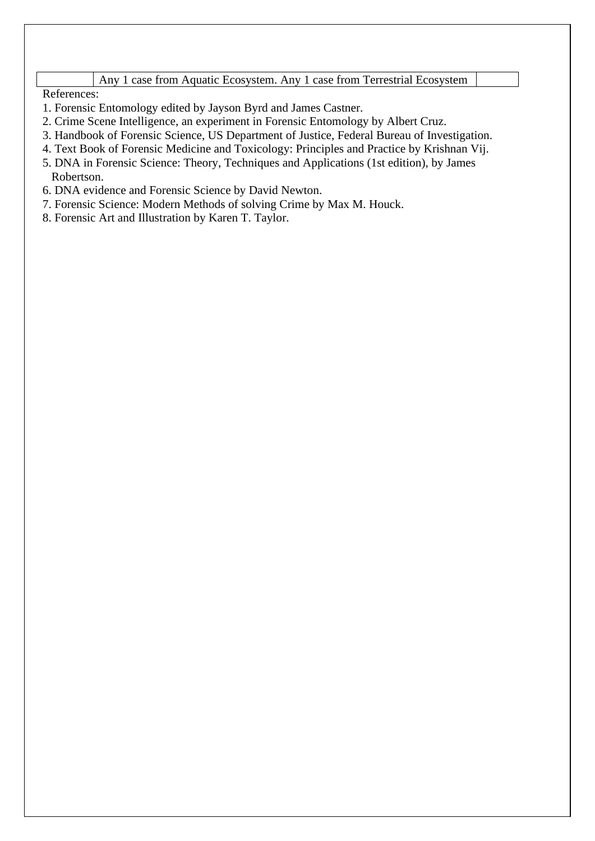#### Any 1 case from Aquatic Ecosystem. Any 1 case from Terrestrial Ecosystem

References:

- 1. Forensic Entomology edited by Jayson Byrd and James Castner.
- 2. Crime Scene Intelligence, an experiment in Forensic Entomology by Albert Cruz.
- 3. Handbook of Forensic Science, US Department of Justice, Federal Bureau of Investigation.
- 4. Text Book of Forensic Medicine and Toxicology: Principles and Practice by Krishnan Vij.
- 5. DNA in Forensic Science: Theory, Techniques and Applications (1st edition), by James Robertson.
- 6. DNA evidence and Forensic Science by David Newton.
- 7. Forensic Science: Modern Methods of solving Crime by Max M. Houck.
- 8. Forensic Art and Illustration by Karen T. Taylor.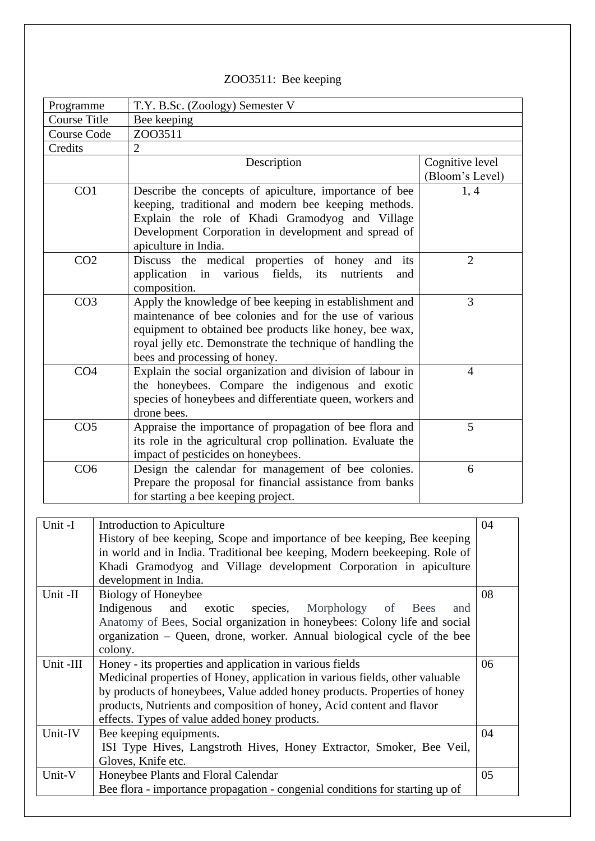# ZOO3511: Bee keeping

| Programme           |                       | T.Y. B.Sc. (Zoology) Semester V                                                                                                                                                                                                                                                                                                                 |                                    |    |
|---------------------|-----------------------|-------------------------------------------------------------------------------------------------------------------------------------------------------------------------------------------------------------------------------------------------------------------------------------------------------------------------------------------------|------------------------------------|----|
| <b>Course Title</b> |                       | Bee keeping                                                                                                                                                                                                                                                                                                                                     |                                    |    |
| <b>Course Code</b>  |                       | ZOO3511                                                                                                                                                                                                                                                                                                                                         |                                    |    |
| Credits             |                       | $\overline{2}$                                                                                                                                                                                                                                                                                                                                  |                                    |    |
|                     |                       | Description                                                                                                                                                                                                                                                                                                                                     | Cognitive level<br>(Bloom's Level) |    |
| CO <sub>1</sub>     |                       | Describe the concepts of apiculture, importance of bee<br>keeping, traditional and modern bee keeping methods.<br>Explain the role of Khadi Gramodyog and Village<br>Development Corporation in development and spread of<br>apiculture in India.                                                                                               | 1, 4                               |    |
| CO <sub>2</sub>     |                       | Discuss the medical properties<br>of honey and<br>its<br>application in various fields,<br>its<br>nutrients<br>and<br>composition.                                                                                                                                                                                                              | $\overline{2}$                     |    |
| CO <sub>3</sub>     |                       | Apply the knowledge of bee keeping in establishment and<br>maintenance of bee colonies and for the use of various<br>equipment to obtained bee products like honey, bee wax,<br>royal jelly etc. Demonstrate the technique of handling the<br>bees and processing of honey.                                                                     | 3                                  |    |
| CO <sub>4</sub>     |                       | Explain the social organization and division of labour in<br>the honeybees. Compare the indigenous and exotic<br>species of honeybees and differentiate queen, workers and<br>drone bees.                                                                                                                                                       | 4                                  |    |
| CO <sub>5</sub>     |                       | Appraise the importance of propagation of bee flora and<br>its role in the agricultural crop pollination. Evaluate the<br>impact of pesticides on honeybees.                                                                                                                                                                                    | 5                                  |    |
| CO6                 |                       | Design the calendar for management of bee colonies.<br>Prepare the proposal for financial assistance from banks<br>for starting a bee keeping project.                                                                                                                                                                                          | 6                                  |    |
| Unit-I              |                       | Introduction to Apiculture<br>History of bee keeping, Scope and importance of bee keeping, Bee keeping<br>in world and in India. Traditional bee keeping, Modern beekeeping. Role of<br>Khadi Gramodyog and Village development Corporation in apiculture<br>development in India.                                                              |                                    | 04 |
| Unit-II             | Indigenous<br>colony. | Biology of Honeybee<br>Morphology<br>and<br>exotic<br>species,<br>of<br>Anatomy of Bees, Social organization in honeybees: Colony life and social<br>organization – Queen, drone, worker. Annual biological cycle of the bee                                                                                                                    | <b>Bees</b><br>and                 | 08 |
| Unit-III            |                       | Honey - its properties and application in various fields<br>Medicinal properties of Honey, application in various fields, other valuable<br>by products of honeybees, Value added honey products. Properties of honey<br>products, Nutrients and composition of honey, Acid content and flavor<br>effects. Types of value added honey products. |                                    | 06 |
| Unit-IV             |                       | Bee keeping equipments.<br>ISI Type Hives, Langstroth Hives, Honey Extractor, Smoker, Bee Veil,<br>Gloves, Knife etc.                                                                                                                                                                                                                           |                                    | 04 |
| Unit-V              |                       | Honeybee Plants and Floral Calendar<br>Bee flora - importance propagation - congenial conditions for starting up of                                                                                                                                                                                                                             |                                    | 05 |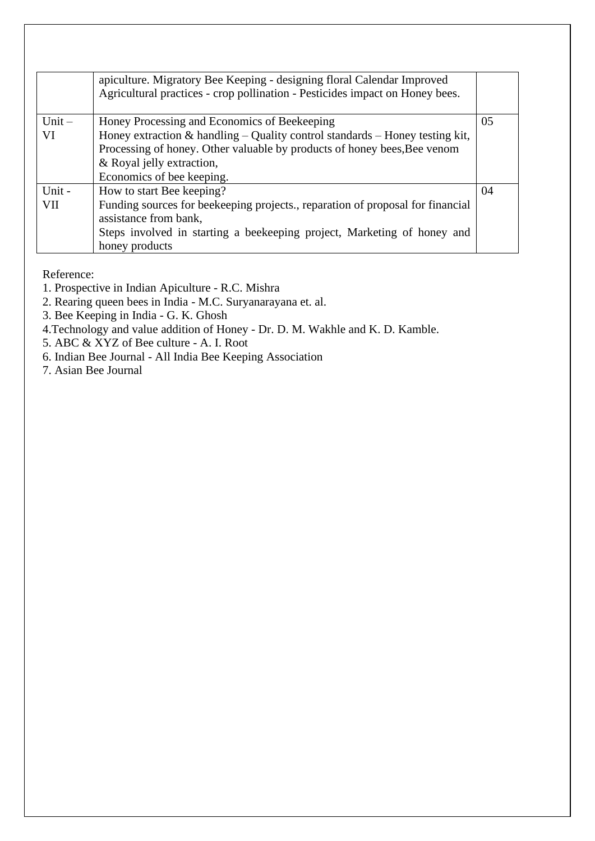|          | apiculture. Migratory Bee Keeping - designing floral Calendar Improved          |    |
|----------|---------------------------------------------------------------------------------|----|
|          | Agricultural practices - crop pollination - Pesticides impact on Honey bees.    |    |
|          |                                                                                 |    |
| $Unit -$ | Honey Processing and Economics of Beekeeping                                    | 05 |
| VI       | Honey extraction $\&$ handling – Quality control standards – Honey testing kit, |    |
|          | Processing of honey. Other valuable by products of honey bees, Bee venom        |    |
|          | & Royal jelly extraction,                                                       |    |
|          | Economics of bee keeping.                                                       |    |
| Unit -   | How to start Bee keeping?                                                       | 04 |
| VII      | Funding sources for beekeeping projects., reparation of proposal for financial  |    |
|          | assistance from bank,                                                           |    |
|          | Steps involved in starting a beekeeping project, Marketing of honey and         |    |
|          | honey products                                                                  |    |

Reference:

1. Prospective in Indian Apiculture - R.C. Mishra

2. Rearing queen bees in India - M.C. Suryanarayana et. al.

3. Bee Keeping in India - G. K. Ghosh

4.Technology and value addition of Honey - Dr. D. M. Wakhle and K. D. Kamble.

5. ABC & XYZ of Bee culture - A. I. Root

6. Indian Bee Journal - All India Bee Keeping Association

7. Asian Bee Journal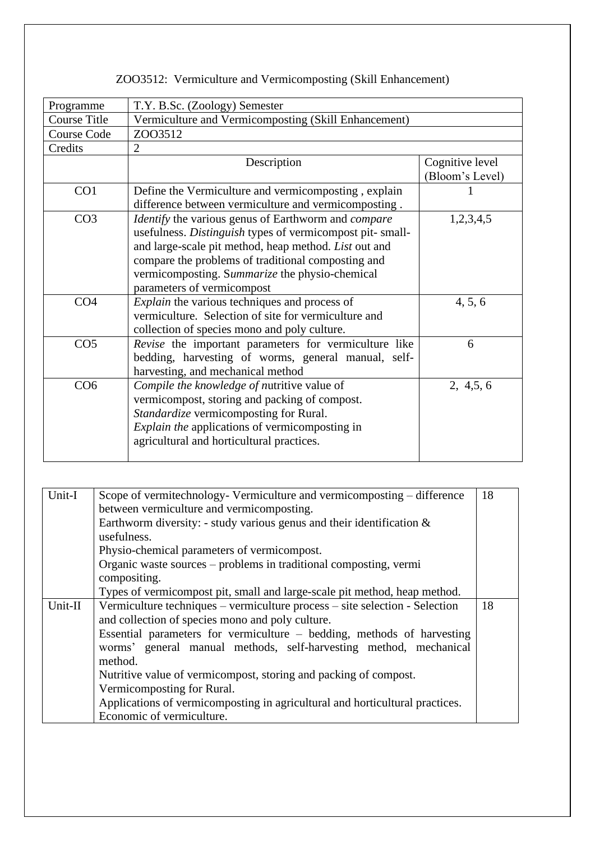| Programme           | T.Y. B.Sc. (Zoology) Semester                                                                                                                                                                                                                                                                                                |                                    |
|---------------------|------------------------------------------------------------------------------------------------------------------------------------------------------------------------------------------------------------------------------------------------------------------------------------------------------------------------------|------------------------------------|
| <b>Course Title</b> | Vermiculture and Vermicomposting (Skill Enhancement)                                                                                                                                                                                                                                                                         |                                    |
| <b>Course Code</b>  | ZO03512                                                                                                                                                                                                                                                                                                                      |                                    |
| Credits             | $\overline{2}$                                                                                                                                                                                                                                                                                                               |                                    |
|                     | Description                                                                                                                                                                                                                                                                                                                  | Cognitive level<br>(Bloom's Level) |
| CO <sub>1</sub>     | Define the Vermiculture and vermicomposting, explain<br>difference between vermiculture and vermicomposting.                                                                                                                                                                                                                 |                                    |
| CO <sub>3</sub>     | <i>Identify</i> the various genus of Earthworm and <i>compare</i><br>usefulness. Distinguish types of vermicompost pit-small-<br>and large-scale pit method, heap method. List out and<br>compare the problems of traditional composting and<br>vermicomposting. Summarize the physio-chemical<br>parameters of vermicompost | 1,2,3,4,5                          |
| CO <sub>4</sub>     | <i>Explain</i> the various techniques and process of<br>vermiculture. Selection of site for vermiculture and<br>collection of species mono and poly culture.                                                                                                                                                                 | 4, 5, 6                            |
| CO <sub>5</sub>     | Revise the important parameters for vermiculture like<br>bedding, harvesting of worms, general manual, self-<br>harvesting, and mechanical method                                                                                                                                                                            | 6                                  |
| CO6                 | Compile the knowledge of nutritive value of<br>vermicompost, storing and packing of compost.<br>Standardize vermicomposting for Rural.<br>Explain the applications of vermicomposting in<br>agricultural and horticultural practices.                                                                                        | 2, 4, 5, 6                         |

# ZOO3512: Vermiculture and Vermicomposting (Skill Enhancement)

| Unit-I  | Scope of vermitechnology- Vermiculture and vermicomposting – difference      | 18 |
|---------|------------------------------------------------------------------------------|----|
|         | between vermiculture and vermicomposting.                                    |    |
|         | Earthworm diversity: - study various genus and their identification $\&$     |    |
|         | usefulness.                                                                  |    |
|         | Physio-chemical parameters of vermicompost.                                  |    |
|         | Organic waste sources – problems in traditional composting, vermi            |    |
|         | compositing.                                                                 |    |
|         | Types of vermicompost pit, small and large-scale pit method, heap method.    |    |
| Unit-II | Vermiculture techniques – vermiculture process – site selection - Selection  | 18 |
|         | and collection of species mono and poly culture.                             |    |
|         | Essential parameters for vermiculture – bedding, methods of harvesting       |    |
|         | worms' general manual methods, self-harvesting method, mechanical            |    |
|         | method.                                                                      |    |
|         | Nutritive value of vermicompost, storing and packing of compost.             |    |
|         | Vermicomposting for Rural.                                                   |    |
|         | Applications of vermicomposting in agricultural and horticultural practices. |    |
|         | Economic of vermiculture.                                                    |    |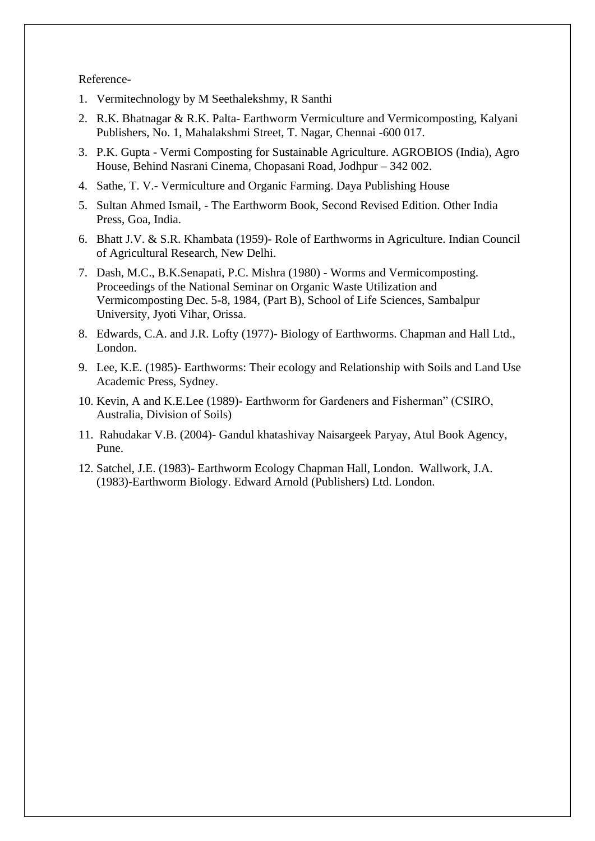#### Reference-

- 1. Vermitechnology by M Seethalekshmy, R Santhi
- 2. R.K. Bhatnagar & R.K. Palta- Earthworm Vermiculture and Vermicomposting, Kalyani Publishers, No. 1, Mahalakshmi Street, T. Nagar, Chennai -600 017.
- 3. P.K. Gupta Vermi Composting for Sustainable Agriculture. AGROBIOS (India), Agro House, Behind Nasrani Cinema, Chopasani Road, Jodhpur – 342 002.
- 4. Sathe, T. V.- Vermiculture and Organic Farming. Daya Publishing House
- 5. Sultan Ahmed Ismail, The Earthworm Book, Second Revised Edition. Other India Press, Goa, India.
- 6. Bhatt J.V. & S.R. Khambata (1959)- Role of Earthworms in Agriculture. Indian Council of Agricultural Research, New Delhi.
- 7. Dash, M.C., B.K.Senapati, P.C. Mishra (1980) Worms and Vermicomposting. Proceedings of the National Seminar on Organic Waste Utilization and Vermicomposting Dec. 5-8, 1984, (Part B), School of Life Sciences, Sambalpur University, Jyoti Vihar, Orissa.
- 8. Edwards, C.A. and J.R. Lofty (1977)- Biology of Earthworms. Chapman and Hall Ltd., London.
- 9. Lee, K.E. (1985)- Earthworms: Their ecology and Relationship with Soils and Land Use Academic Press, Sydney.
- 10. Kevin, A and K.E.Lee (1989)- Earthworm for Gardeners and Fisherman" (CSIRO, Australia, Division of Soils)
- 11. Rahudakar V.B. (2004)- Gandul khatashivay Naisargeek Paryay, Atul Book Agency, Pune.
- 12. Satchel, J.E. (1983)- Earthworm Ecology Chapman Hall, London. Wallwork, J.A. (1983)-Earthworm Biology. Edward Arnold (Publishers) Ltd. London.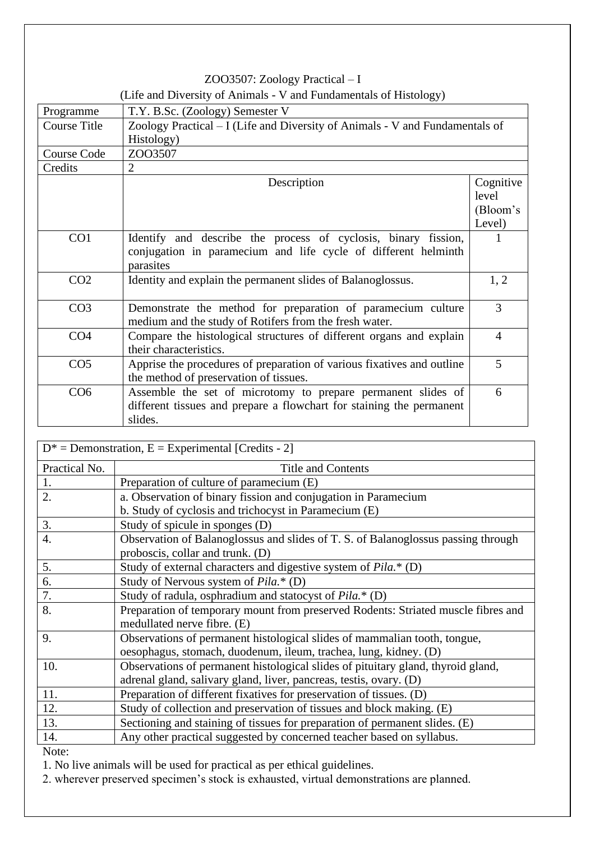|                     | (Life and Diversity of Animals - V and Fundamentals of Histology)                                                                                      |                                          |  |
|---------------------|--------------------------------------------------------------------------------------------------------------------------------------------------------|------------------------------------------|--|
| Programme           | T.Y. B.Sc. (Zoology) Semester V                                                                                                                        |                                          |  |
| <b>Course Title</b> | Zoology Practical - I (Life and Diversity of Animals - V and Fundamentals of<br>Histology)                                                             |                                          |  |
| <b>Course Code</b>  | ZOO3507                                                                                                                                                |                                          |  |
| Credits             | $\overline{2}$                                                                                                                                         |                                          |  |
|                     | Description                                                                                                                                            | Cognitive<br>level<br>(Bloom's<br>Level) |  |
| CO <sub>1</sub>     | Identify and describe the process of cyclosis, binary fission,<br>conjugation in paramecium and life cycle of different helminth<br>parasites          |                                          |  |
| CO <sub>2</sub>     | Identity and explain the permanent slides of Balanoglossus.                                                                                            | 1, 2                                     |  |
| CO <sub>3</sub>     | Demonstrate the method for preparation of paramecium culture<br>medium and the study of Rotifers from the fresh water.                                 | 3                                        |  |
| CO <sub>4</sub>     | Compare the histological structures of different organs and explain<br>their characteristics.                                                          | $\overline{4}$                           |  |
| CO <sub>5</sub>     | Apprise the procedures of preparation of various fixatives and outline<br>the method of preservation of tissues.                                       | 5                                        |  |
| CO6                 | Assemble the set of microtomy to prepare permanent slides of<br>different tissues and prepare a flowchart for staining the permanent<br>slides.        | 6                                        |  |
|                     | $D^*$ = Demonstration, E = Experimental [Credits - 2]                                                                                                  |                                          |  |
| Practical No.       | <b>Title and Contents</b>                                                                                                                              |                                          |  |
| 1.                  | Preparation of culture of paramecium (E)                                                                                                               |                                          |  |
| 2.                  | a. Observation of binary fission and conjugation in Paramecium                                                                                         |                                          |  |
|                     | b. Study of cyclosis and trichocyst in Paramecium (E)                                                                                                  |                                          |  |
| 3.                  | Study of spicule in sponges (D)                                                                                                                        |                                          |  |
| 4.                  | Observation of Balanoglossus and slides of T. S. of Balanoglossus passing through<br>proboscis, collar and trunk. (D)                                  |                                          |  |
| 5.                  | Study of external characters and digestive system of Pila.* (D)                                                                                        |                                          |  |
| 6.                  | Study of Nervous system of <i>Pila</i> .* (D)                                                                                                          |                                          |  |
| 7.                  | Study of radula, osphradium and statocyst of Pila.* (D)                                                                                                |                                          |  |
| 8.                  | Preparation of temporary mount from preserved Rodents: Striated muscle fibres and<br>medullated nerve fibre. (E)                                       |                                          |  |
| 9.                  | Observations of permanent histological slides of mammalian tooth, tongue,<br>oesophagus, stomach, duodenum, ileum, trachea, lung, kidney. (D)          |                                          |  |
| 10.                 | Observations of permanent histological slides of pituitary gland, thyroid gland,<br>adrenal gland, salivary gland, liver, pancreas, testis, ovary. (D) |                                          |  |
| 11.                 | Preparation of different fixatives for preservation of tissues. (D)                                                                                    |                                          |  |
| 12.                 | Study of collection and preservation of tissues and block making. (E)                                                                                  |                                          |  |
| 13.                 | Sectioning and staining of tissues for preparation of permanent slides. (E)                                                                            |                                          |  |
| 14.                 | Any other practical suggested by concerned teacher based on syllabus.                                                                                  |                                          |  |
| N <sub>ofa</sub>    |                                                                                                                                                        |                                          |  |

# ZOO3507: Zoology Practical – I

Note:

1. No live animals will be used for practical as per ethical guidelines.

2. wherever preserved specimen's stock is exhausted, virtual demonstrations are planned.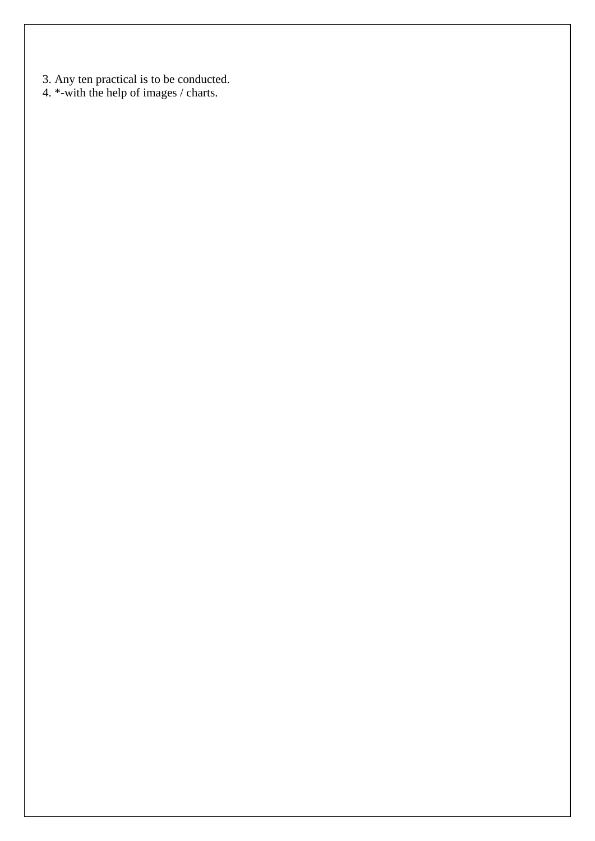- 3. Any ten practical is to be conducted.
- 4. \*-with the help of images / charts.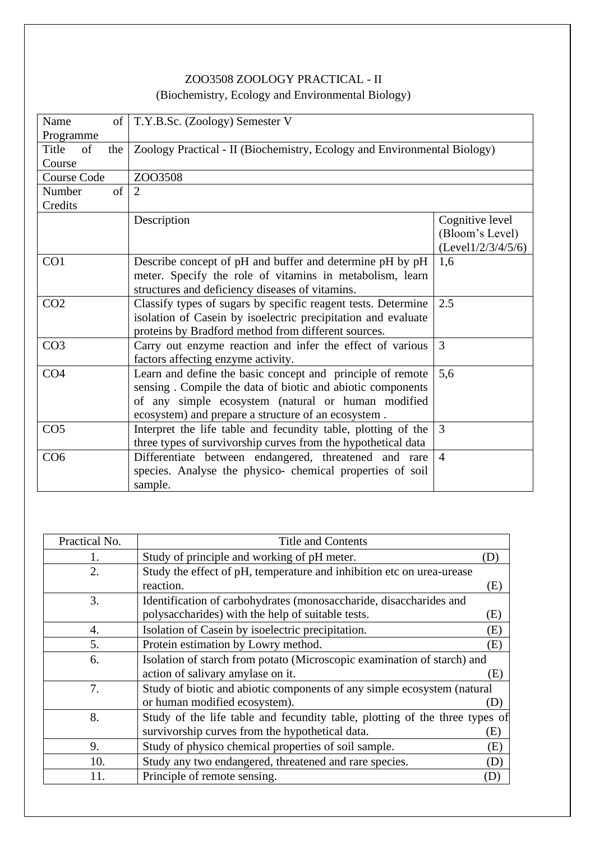## ZOO3508 ZOOLOGY PRACTICAL - II (Biochemistry, Ecology and Environmental Biology)

| Name<br>of 1           | T.Y.B.Sc. (Zoology) Semester V                                           |                    |  |  |
|------------------------|--------------------------------------------------------------------------|--------------------|--|--|
| Programme              |                                                                          |                    |  |  |
| Title<br>of<br>the     | Zoology Practical - II (Biochemistry, Ecology and Environmental Biology) |                    |  |  |
| Course                 |                                                                          |                    |  |  |
| Course Code<br>ZOO3508 |                                                                          |                    |  |  |
| of<br>Number           | $\overline{2}$                                                           |                    |  |  |
| Credits                |                                                                          |                    |  |  |
|                        | Description                                                              | Cognitive level    |  |  |
|                        |                                                                          | (Bloom's Level)    |  |  |
|                        |                                                                          | (Level1/2/3/4/5/6) |  |  |
| CO <sub>1</sub>        | Describe concept of pH and buffer and determine pH by pH                 | 1.6                |  |  |
|                        | meter. Specify the role of vitamins in metabolism, learn                 |                    |  |  |
|                        | structures and deficiency diseases of vitamins.                          |                    |  |  |
| CO <sub>2</sub>        | Classify types of sugars by specific reagent tests. Determine            | 2.5                |  |  |
|                        | isolation of Casein by isoelectric precipitation and evaluate            |                    |  |  |
|                        | proteins by Bradford method from different sources.                      |                    |  |  |
| CO <sub>3</sub>        | Carry out enzyme reaction and infer the effect of various                | $\overline{3}$     |  |  |
|                        | factors affecting enzyme activity.                                       |                    |  |  |
| CO <sub>4</sub>        | Learn and define the basic concept and principle of remote               | 5,6                |  |  |
|                        | sensing. Compile the data of biotic and abiotic components               |                    |  |  |
|                        | of any simple ecosystem (natural or human modified                       |                    |  |  |
|                        | ecosystem) and prepare a structure of an ecosystem.                      |                    |  |  |
| CO <sub>5</sub>        | Interpret the life table and fecundity table, plotting of the            | 3                  |  |  |
|                        | three types of survivorship curves from the hypothetical data            |                    |  |  |
| CO <sub>6</sub>        | Differentiate between endangered, threatened and rare                    | $\overline{4}$     |  |  |
|                        | species. Analyse the physico- chemical properties of soil                |                    |  |  |
|                        | sample.                                                                  |                    |  |  |

| Practical No. | Title and Contents                                                          |     |
|---------------|-----------------------------------------------------------------------------|-----|
| 1.            | Study of principle and working of pH meter.                                 | (D) |
| 2.            | Study the effect of pH, temperature and inhibition etc on urea-urease       |     |
|               | reaction.                                                                   | (E) |
| 3.            | Identification of carbohydrates (monosaccharide, disaccharides and          |     |
|               | polysaccharides) with the help of suitable tests.                           | (E) |
| 4.            | Isolation of Casein by isoelectric precipitation.                           | (E) |
| 5.            | Protein estimation by Lowry method.                                         | (E) |
| 6.            | Isolation of starch from potato (Microscopic examination of starch) and     |     |
|               | action of salivary amylase on it.                                           | (E) |
| 7.            | Study of biotic and abiotic components of any simple ecosystem (natural     |     |
|               | or human modified ecosystem).                                               | (D) |
| 8.            | Study of the life table and fecundity table, plotting of the three types of |     |
|               | survivorship curves from the hypothetical data.                             | (E) |
| 9.            | Study of physico chemical properties of soil sample.                        | (E) |
| 10.           | Study any two endangered, threatened and rare species.                      | (D) |
| 11.           | Principle of remote sensing.                                                | (D) |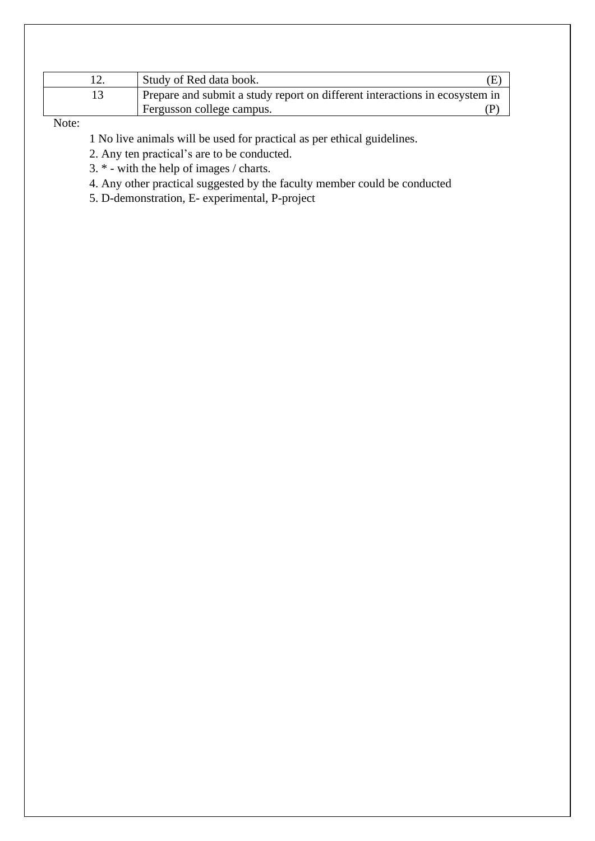| 12. | Study of Red data book.                                                     | Œ |
|-----|-----------------------------------------------------------------------------|---|
|     | Prepare and submit a study report on different interactions in ecosystem in |   |
|     | Fergusson college campus.                                                   |   |

Note:

1 No live animals will be used for practical as per ethical guidelines.

2. Any ten practical's are to be conducted.

3. \* - with the help of images / charts.

4. Any other practical suggested by the faculty member could be conducted

5. D-demonstration, E- experimental, P-project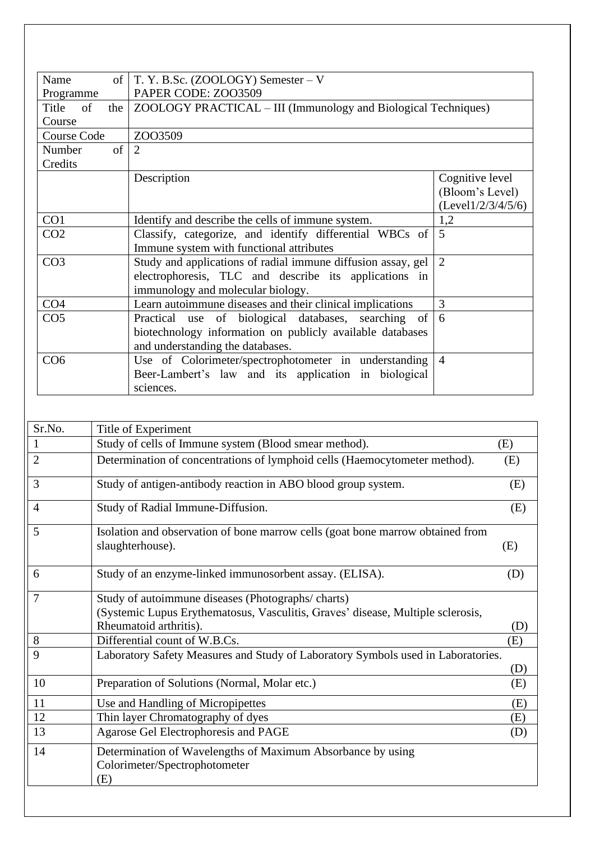| Name                                   | of  | T. Y. B.Sc. (ZOOLOGY) Semester - V                                                                            |                    |
|----------------------------------------|-----|---------------------------------------------------------------------------------------------------------------|--------------------|
| Programme<br>Title<br>of               | the | PAPER CODE: ZOO3509<br>ZOOLOGY PRACTICAL – III (Immunology and Biological Techniques)                         |                    |
| Course                                 |     |                                                                                                               |                    |
| <b>Course Code</b>                     |     | ZOO3509                                                                                                       |                    |
| Number                                 | of  | $\overline{2}$                                                                                                |                    |
| Credits                                |     |                                                                                                               |                    |
|                                        |     | Description                                                                                                   | Cognitive level    |
|                                        |     |                                                                                                               | (Bloom's Level)    |
|                                        |     |                                                                                                               | (Level1/2/3/4/5/6) |
| CO <sub>1</sub><br>CO <sub>2</sub>     |     | Identify and describe the cells of immune system.<br>Classify, categorize, and identify differential WBCs of  | 1,2<br>5           |
|                                        |     | Immune system with functional attributes                                                                      |                    |
| CO <sub>3</sub>                        |     | Study and applications of radial immune diffusion assay, gel                                                  | $\overline{2}$     |
|                                        |     | electrophoresis, TLC and describe its applications in                                                         |                    |
|                                        |     | immunology and molecular biology.                                                                             |                    |
| CO <sub>4</sub>                        |     | Learn autoimmune diseases and their clinical implications                                                     | 3                  |
| CO <sub>5</sub>                        |     | Practical use of biological databases, searching of                                                           | 6                  |
|                                        |     | biotechnology information on publicly available databases                                                     |                    |
|                                        |     | and understanding the databases.                                                                              |                    |
| CO <sub>6</sub>                        |     | Use of Colorimeter/spectrophotometer in understanding<br>Beer-Lambert's law and its application in biological | $\overline{4}$     |
|                                        |     | sciences.                                                                                                     |                    |
|                                        |     |                                                                                                               |                    |
|                                        |     |                                                                                                               |                    |
| Sr.No.                                 |     | Title of Experiment                                                                                           |                    |
| $\mathbf{1}$                           |     | Study of cells of Immune system (Blood smear method).                                                         | (E)                |
| $\overline{2}$                         |     | Determination of concentrations of lymphoid cells (Haemocytometer method).                                    | (E)                |
| $\overline{3}$                         |     | Study of antigen-antibody reaction in ABO blood group system.                                                 | (E)                |
| $\overline{4}$                         |     | Study of Radial Immune-Diffusion.                                                                             | (E)                |
| 5                                      |     | Isolation and observation of bone marrow cells (goat bone marrow obtained from                                |                    |
|                                        |     | slaughterhouse).                                                                                              | (E)                |
|                                        |     |                                                                                                               |                    |
| 6                                      |     | Study of an enzyme-linked immunosorbent assay. (ELISA).                                                       | (D)                |
| $\overline{7}$                         |     | Study of autoimmune diseases (Photographs/charts)                                                             |                    |
|                                        |     | (Systemic Lupus Erythematosus, Vasculitis, Graves' disease, Multiple sclerosis,                               |                    |
|                                        |     | Rheumatoid arthritis).                                                                                        | (D)                |
| $\frac{8}{\sqrt{2}}$<br>$\overline{9}$ |     | Differential count of W.B.Cs.                                                                                 | (E)                |
|                                        |     | Laboratory Safety Measures and Study of Laboratory Symbols used in Laboratories.                              | (D)                |
| 10                                     |     | Preparation of Solutions (Normal, Molar etc.)                                                                 | (E)                |
| 11                                     |     | Use and Handling of Micropipettes                                                                             | (E)                |
| 12                                     |     | Thin layer Chromatography of dyes                                                                             | (E)                |
| 13                                     |     | Agarose Gel Electrophoresis and PAGE                                                                          | (D)                |
| 14                                     |     | Determination of Wavelengths of Maximum Absorbance by using                                                   |                    |
|                                        |     | Colorimeter/Spectrophotometer                                                                                 |                    |
|                                        | (E) |                                                                                                               |                    |
|                                        |     |                                                                                                               |                    |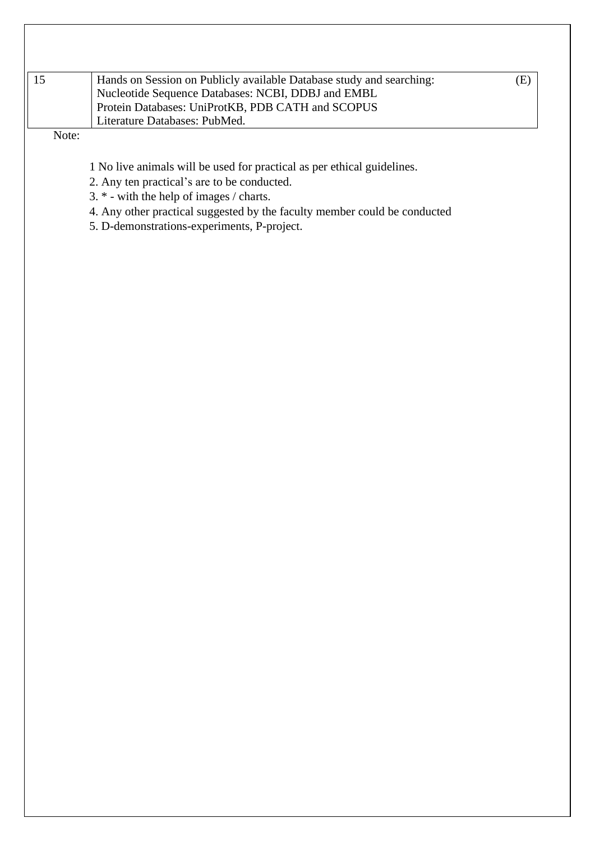| Hands on Session on Publicly available Database study and searching: | (E) |
|----------------------------------------------------------------------|-----|
| Nucleotide Sequence Databases: NCBI, DDBJ and EMBL                   |     |
| Protein Databases: UniProtKB, PDB CATH and SCOPUS                    |     |
| Literature Databases: PubMed.                                        |     |

Note:

1 No live animals will be used for practical as per ethical guidelines.

2. Any ten practical's are to be conducted.

3. \* - with the help of images / charts.

4. Any other practical suggested by the faculty member could be conducted

5. D-demonstrations-experiments, P-project.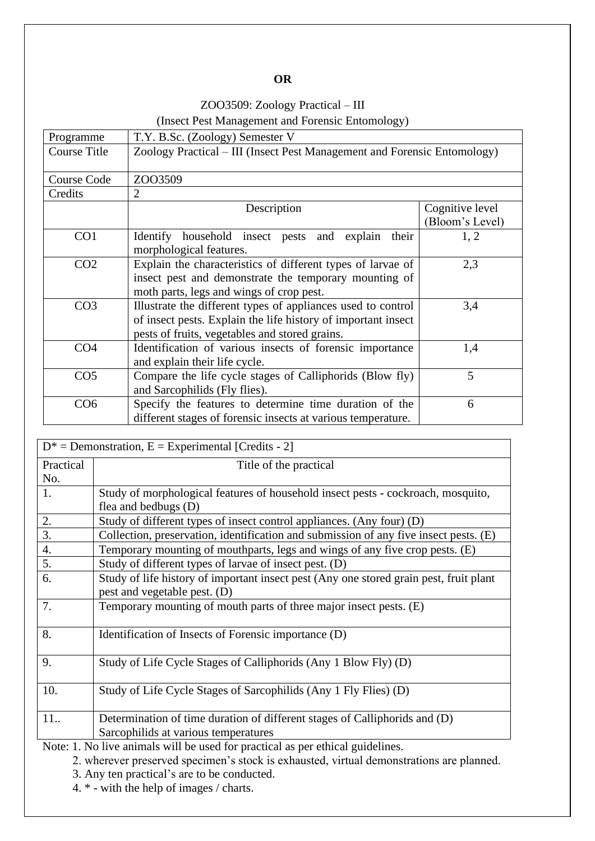#### **OR**

## ZOO3509: Zoology Practical – III

## (Insect Pest Management and Forensic Entomology)

| Programme          | T.Y. B.Sc. (Zoology) Semester V                                                                                                                                                 |                                    |
|--------------------|---------------------------------------------------------------------------------------------------------------------------------------------------------------------------------|------------------------------------|
| Course Title       | Zoology Practical – III (Insect Pest Management and Forensic Entomology)                                                                                                        |                                    |
| <b>Course Code</b> | ZOO3509                                                                                                                                                                         |                                    |
| Credits            | 2                                                                                                                                                                               |                                    |
|                    | Description                                                                                                                                                                     | Cognitive level<br>(Bloom's Level) |
| CO <sub>1</sub>    | Identify household insect pests and<br>explain<br>their<br>morphological features.                                                                                              | 1, 2                               |
| CO <sub>2</sub>    | Explain the characteristics of different types of larvae of<br>insect pest and demonstrate the temporary mounting of<br>moth parts, legs and wings of crop pest.                | 2,3                                |
| CO <sub>3</sub>    | Illustrate the different types of appliances used to control<br>of insect pests. Explain the life history of important insect<br>pests of fruits, vegetables and stored grains. | 3,4                                |
| CO <sub>4</sub>    | Identification of various insects of forensic importance<br>and explain their life cycle.                                                                                       | 1,4                                |
| CO <sub>5</sub>    | Compare the life cycle stages of Calliphorids (Blow fly)<br>and Sarcophilids (Fly flies).                                                                                       | 5                                  |
| CO6                | Specify the features to determine time duration of the<br>different stages of forensic insects at various temperature.                                                          | 6                                  |

| $D^*$ = Demonstration, E = Experimental [Credits - 2] |                                                                                        |  |  |  |
|-------------------------------------------------------|----------------------------------------------------------------------------------------|--|--|--|
| Practical                                             | Title of the practical                                                                 |  |  |  |
| No.                                                   |                                                                                        |  |  |  |
| 1.                                                    | Study of morphological features of household insect pests - cockroach, mosquito,       |  |  |  |
|                                                       | flea and bedbugs (D)                                                                   |  |  |  |
| 2.                                                    | Study of different types of insect control appliances. (Any four) (D)                  |  |  |  |
| $\overline{3}$ .                                      | Collection, preservation, identification and submission of any five insect pests. (E)  |  |  |  |
| $\overline{4}$ .                                      | Temporary mounting of mouthparts, legs and wings of any five crop pests. (E)           |  |  |  |
| 5.                                                    | Study of different types of larvae of insect pest. (D)                                 |  |  |  |
| 6.                                                    | Study of life history of important insect pest (Any one stored grain pest, fruit plant |  |  |  |
|                                                       | pest and vegetable pest. (D)                                                           |  |  |  |
| 7.                                                    | Temporary mounting of mouth parts of three major insect pests. (E)                     |  |  |  |
| 8.                                                    | Identification of Insects of Forensic importance (D)                                   |  |  |  |
| 9.                                                    | Study of Life Cycle Stages of Calliphorids (Any 1 Blow Fly) (D)                        |  |  |  |
| 10.                                                   | Study of Life Cycle Stages of Sarcophilids (Any 1 Fly Flies) (D)                       |  |  |  |
| 11.                                                   | Determination of time duration of different stages of Calliphorids and (D)             |  |  |  |
|                                                       | Sarcophilids at various temperatures                                                   |  |  |  |
|                                                       | Note: 1. No live animals will be used for practical as per ethical guidelines.         |  |  |  |

2. wherever preserved specimen's stock is exhausted, virtual demonstrations are planned.

3. Any ten practical's are to be conducted.

4. \* - with the help of images / charts.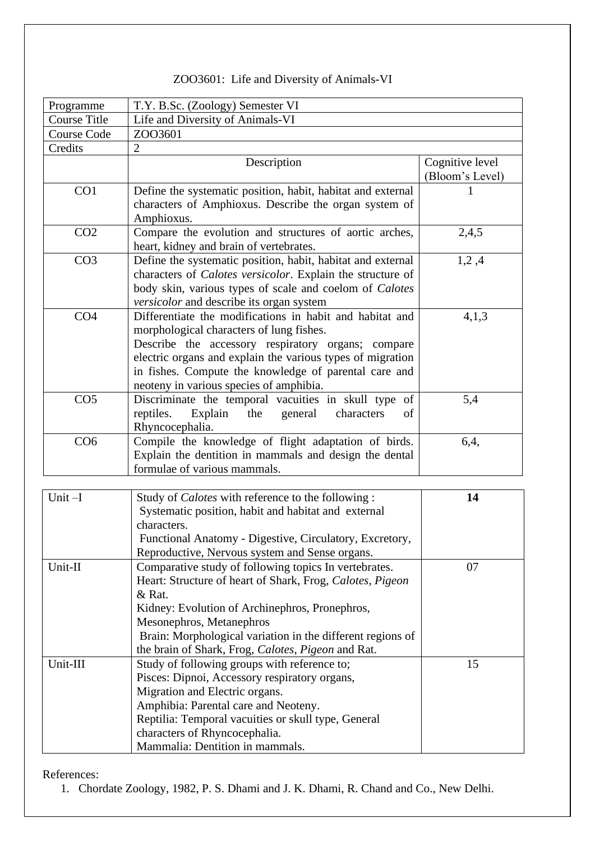| Programme           | T.Y. B.Sc. (Zoology) Semester VI                                                                                                                                                                                                                                                                                               |                                    |
|---------------------|--------------------------------------------------------------------------------------------------------------------------------------------------------------------------------------------------------------------------------------------------------------------------------------------------------------------------------|------------------------------------|
| <b>Course Title</b> | Life and Diversity of Animals-VI                                                                                                                                                                                                                                                                                               |                                    |
| <b>Course Code</b>  | ZOO3601                                                                                                                                                                                                                                                                                                                        |                                    |
| Credits             | $\overline{2}$                                                                                                                                                                                                                                                                                                                 |                                    |
|                     | Description                                                                                                                                                                                                                                                                                                                    | Cognitive level<br>(Bloom's Level) |
| CO <sub>1</sub>     | Define the systematic position, habit, habitat and external<br>characters of Amphioxus. Describe the organ system of<br>Amphioxus.                                                                                                                                                                                             |                                    |
| CO <sub>2</sub>     | Compare the evolution and structures of aortic arches,<br>heart, kidney and brain of vertebrates.                                                                                                                                                                                                                              | 2,4,5                              |
| CO <sub>3</sub>     | Define the systematic position, habit, habitat and external<br>characters of Calotes versicolor. Explain the structure of<br>body skin, various types of scale and coelom of Calotes<br>versicolor and describe its organ system                                                                                               | 1,2,4                              |
| CO <sub>4</sub>     | Differentiate the modifications in habit and habitat and<br>morphological characters of lung fishes.<br>Describe the accessory respiratory organs; compare<br>electric organs and explain the various types of migration<br>in fishes. Compute the knowledge of parental care and<br>neoteny in various species of amphibia.   | 4,1,3                              |
| CO <sub>5</sub>     | Discriminate the temporal vacuities in skull type of<br>reptiles.<br>Explain<br>general<br>the<br>characters<br>of<br>Rhyncocephalia.                                                                                                                                                                                          | 5,4                                |
| CO6                 | Compile the knowledge of flight adaptation of birds.<br>Explain the dentition in mammals and design the dental<br>formulae of various mammals.                                                                                                                                                                                 | 6,4,                               |
|                     |                                                                                                                                                                                                                                                                                                                                |                                    |
| Unit-I              | Study of <i>Calotes</i> with reference to the following :<br>Systematic position, habit and habitat and external<br>characters.<br>Functional Anatomy - Digestive, Circulatory, Excretory,<br>Reproductive, Nervous system and Sense organs.                                                                                   | 14                                 |
| Unit-II             | Comparative study of following topics In vertebrates.<br>Heart: Structure of heart of Shark, Frog, Calotes, Pigeon<br>& Rat.<br>Kidney: Evolution of Archinephros, Pronephros,<br>Mesonephros, Metanephros<br>Brain: Morphological variation in the different regions of<br>the brain of Shark, Frog, Calotes, Pigeon and Rat. | 07                                 |
| Unit-III            | Study of following groups with reference to;<br>Pisces: Dipnoi, Accessory respiratory organs,<br>Migration and Electric organs.<br>Amphibia: Parental care and Neoteny.<br>Reptilia: Temporal vacuities or skull type, General<br>characters of Rhyncocephalia.<br>Mammalia: Dentition in mammals.                             | 15                                 |

## ZOO3601:Life and Diversity of Animals-VI

References:

1. Chordate Zoology, 1982, P. S. Dhami and J. K. Dhami, R. Chand and Co., New Delhi.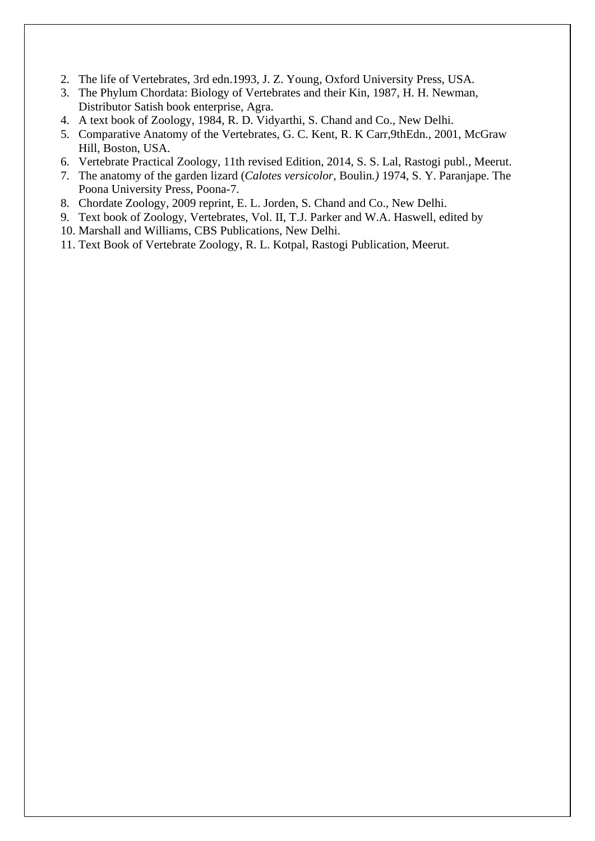- 2. The life of Vertebrates, 3rd edn.1993, J. Z. Young, Oxford University Press, USA.
- 3. The Phylum Chordata: Biology of Vertebrates and their Kin, 1987, H. H. Newman, Distributor Satish book enterprise, Agra.
- 4. A text book of Zoology, 1984, R. D. Vidyarthi, S. Chand and Co., New Delhi.
- 5. Comparative Anatomy of the Vertebrates, G. C. Kent, R. K Carr,9thEdn., 2001, McGraw Hill, Boston, USA.
- 6. Vertebrate Practical Zoology, 11th revised Edition, 2014, S. S. Lal, Rastogi publ., Meerut.
- 7. The anatomy of the garden lizard (*Calotes versicolor,* Boulin*.)* 1974, S. Y. Paranjape. The Poona University Press, Poona-7.
- 8. Chordate Zoology, 2009 reprint, E. L. Jorden, S. Chand and Co., New Delhi.
- 9. Text book of Zoology, Vertebrates, Vol. II, T.J. Parker and W.A. Haswell, edited by
- 10. Marshall and Williams, CBS Publications, New Delhi.
- 11. Text Book of Vertebrate Zoology, R. L. Kotpal, Rastogi Publication, Meerut.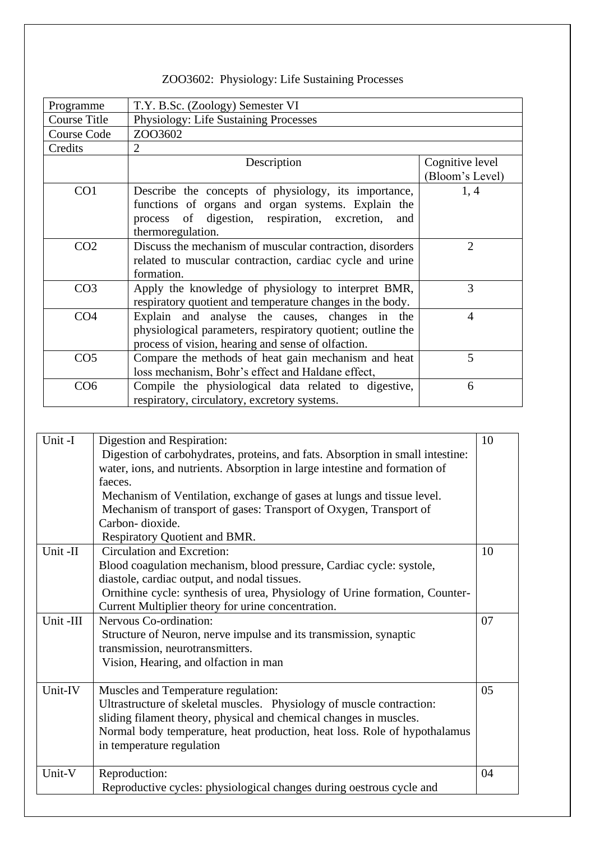| Programme                                                                                                                                                                                                                                                                                                                                                                            |                                                                                                                                                                                                                                                                                                                                                                                                                                                                                                                                                                                                                                                                                                                                                                                                     | T.Y. B.Sc. (Zoology) Semester VI                                                                                                                                                                 |                                    |    |
|--------------------------------------------------------------------------------------------------------------------------------------------------------------------------------------------------------------------------------------------------------------------------------------------------------------------------------------------------------------------------------------|-----------------------------------------------------------------------------------------------------------------------------------------------------------------------------------------------------------------------------------------------------------------------------------------------------------------------------------------------------------------------------------------------------------------------------------------------------------------------------------------------------------------------------------------------------------------------------------------------------------------------------------------------------------------------------------------------------------------------------------------------------------------------------------------------------|--------------------------------------------------------------------------------------------------------------------------------------------------------------------------------------------------|------------------------------------|----|
| <b>Course Title</b>                                                                                                                                                                                                                                                                                                                                                                  |                                                                                                                                                                                                                                                                                                                                                                                                                                                                                                                                                                                                                                                                                                                                                                                                     | Physiology: Life Sustaining Processes                                                                                                                                                            |                                    |    |
| Course Code                                                                                                                                                                                                                                                                                                                                                                          |                                                                                                                                                                                                                                                                                                                                                                                                                                                                                                                                                                                                                                                                                                                                                                                                     | ZOO3602                                                                                                                                                                                          |                                    |    |
| Credits                                                                                                                                                                                                                                                                                                                                                                              |                                                                                                                                                                                                                                                                                                                                                                                                                                                                                                                                                                                                                                                                                                                                                                                                     | $\overline{2}$                                                                                                                                                                                   |                                    |    |
|                                                                                                                                                                                                                                                                                                                                                                                      |                                                                                                                                                                                                                                                                                                                                                                                                                                                                                                                                                                                                                                                                                                                                                                                                     | Description                                                                                                                                                                                      | Cognitive level<br>(Bloom's Level) |    |
| CO1                                                                                                                                                                                                                                                                                                                                                                                  |                                                                                                                                                                                                                                                                                                                                                                                                                                                                                                                                                                                                                                                                                                                                                                                                     | Describe the concepts of physiology, its importance,<br>functions of organs and organ systems. Explain the<br>of<br>digestion, respiration,<br>process<br>excretion,<br>and<br>thermoregulation. | 1, 4                               |    |
| CO <sub>2</sub>                                                                                                                                                                                                                                                                                                                                                                      |                                                                                                                                                                                                                                                                                                                                                                                                                                                                                                                                                                                                                                                                                                                                                                                                     | Discuss the mechanism of muscular contraction, disorders<br>related to muscular contraction, cardiac cycle and urine<br>formation.                                                               | $\overline{2}$                     |    |
| CO <sub>3</sub>                                                                                                                                                                                                                                                                                                                                                                      |                                                                                                                                                                                                                                                                                                                                                                                                                                                                                                                                                                                                                                                                                                                                                                                                     | Apply the knowledge of physiology to interpret BMR,<br>respiratory quotient and temperature changes in the body.                                                                                 | 3                                  |    |
| CO <sub>4</sub>                                                                                                                                                                                                                                                                                                                                                                      |                                                                                                                                                                                                                                                                                                                                                                                                                                                                                                                                                                                                                                                                                                                                                                                                     | Explain and analyse the causes, changes in<br>the<br>physiological parameters, respiratory quotient; outline the<br>process of vision, hearing and sense of olfaction.                           | $\overline{4}$                     |    |
| CO <sub>5</sub>                                                                                                                                                                                                                                                                                                                                                                      |                                                                                                                                                                                                                                                                                                                                                                                                                                                                                                                                                                                                                                                                                                                                                                                                     | Compare the methods of heat gain mechanism and heat<br>loss mechanism, Bohr's effect and Haldane effect,                                                                                         | 5                                  |    |
| CO6                                                                                                                                                                                                                                                                                                                                                                                  |                                                                                                                                                                                                                                                                                                                                                                                                                                                                                                                                                                                                                                                                                                                                                                                                     | Compile the physiological data related to digestive,<br>respiratory, circulatory, excretory systems.                                                                                             | 6                                  |    |
| Unit-I<br>Unit-II<br>Unit-III                                                                                                                                                                                                                                                                                                                                                        | Digestion and Respiration:<br>Digestion of carbohydrates, proteins, and fats. Absorption in small intestine:<br>water, ions, and nutrients. Absorption in large intestine and formation of<br>faeces.<br>Mechanism of Ventilation, exchange of gases at lungs and tissue level.<br>Mechanism of transport of gases: Transport of Oxygen, Transport of<br>Carbon-dioxide.<br>Respiratory Quotient and BMR.<br>Circulation and Excretion:<br>Blood coagulation mechanism, blood pressure, Cardiac cycle: systole,<br>diastole, cardiac output, and nodal tissues.<br>Ornithine cycle: synthesis of urea, Physiology of Urine formation, Counter-<br>Current Multiplier theory for urine concentration.<br>Nervous Co-ordination:<br>Structure of Neuron, nerve impulse and its transmission, synaptic |                                                                                                                                                                                                  | 10<br>10<br>07                     |    |
| transmission, neurotransmitters.<br>Vision, Hearing, and olfaction in man<br>Unit-IV<br>Muscles and Temperature regulation:<br>Ultrastructure of skeletal muscles. Physiology of muscle contraction:<br>sliding filament theory, physical and chemical changes in muscles.<br>Normal body temperature, heat production, heat loss. Role of hypothalamus<br>in temperature regulation |                                                                                                                                                                                                                                                                                                                                                                                                                                                                                                                                                                                                                                                                                                                                                                                                     | 05                                                                                                                                                                                               |                                    |    |
| Unit-V                                                                                                                                                                                                                                                                                                                                                                               |                                                                                                                                                                                                                                                                                                                                                                                                                                                                                                                                                                                                                                                                                                                                                                                                     | Reproduction:<br>Reproductive cycles: physiological changes during oestrous cycle and                                                                                                            |                                    | 04 |

# ZOO3602: Physiology: Life Sustaining Processes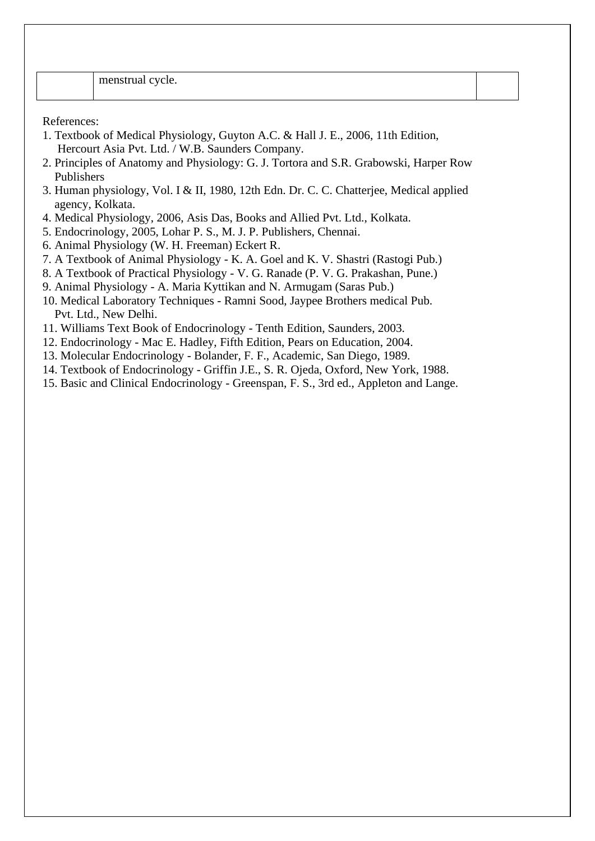menstrual cycle.

References:

- 1. Textbook of Medical Physiology, Guyton A.C. & Hall J. E., 2006, 11th Edition, Hercourt Asia Pvt. Ltd. / W.B. Saunders Company.
- 2. Principles of Anatomy and Physiology: G. J. Tortora and S.R. Grabowski, Harper Row Publishers
- 3. Human physiology, Vol. I & II, 1980, 12th Edn. Dr. C. C. Chatterjee, Medical applied agency, Kolkata.
- 4. Medical Physiology, 2006, Asis Das, Books and Allied Pvt. Ltd., Kolkata.
- 5. Endocrinology, 2005, Lohar P. S., M. J. P. Publishers, Chennai.
- 6. Animal Physiology (W. H. Freeman) Eckert R.
- 7. A Textbook of Animal Physiology K. A. Goel and K. V. Shastri (Rastogi Pub.)
- 8. A Textbook of Practical Physiology V. G. Ranade (P. V. G. Prakashan, Pune.)
- 9. Animal Physiology A. Maria Kyttikan and N. Armugam (Saras Pub.)
- 10. Medical Laboratory Techniques Ramni Sood, Jaypee Brothers medical Pub. Pvt. Ltd., New Delhi.
- 11. Williams Text Book of Endocrinology Tenth Edition, Saunders, 2003.
- 12. Endocrinology Mac E. Hadley, Fifth Edition, Pears on Education, 2004.
- 13. Molecular Endocrinology Bolander, F. F., Academic, San Diego, 1989.
- 14. Textbook of Endocrinology Griffin J.E., S. R. Ojeda, Oxford, New York, 1988.
- 15. Basic and Clinical Endocrinology Greenspan, F. S., 3rd ed., Appleton and Lange.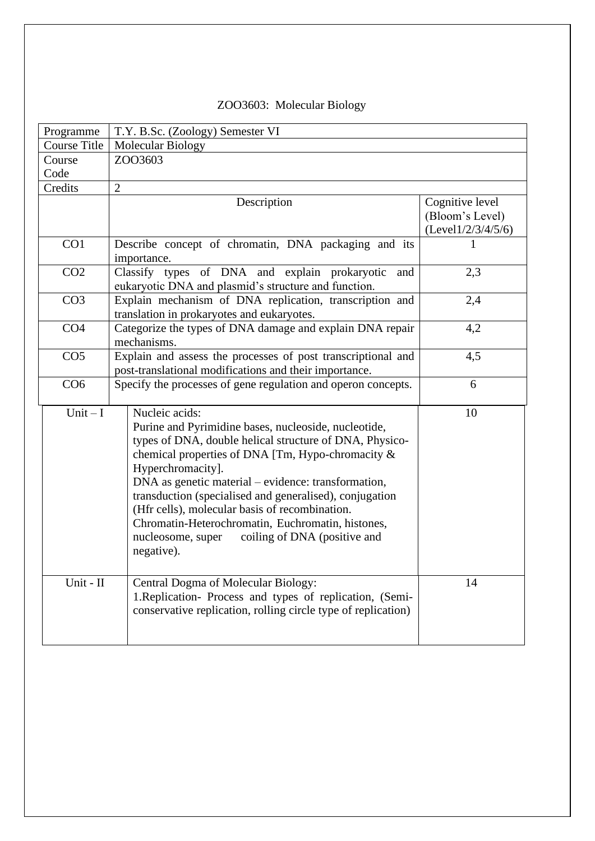## ZOO3603: Molecular Biology

| Programme           | T.Y. B.Sc. (Zoology) Semester VI                                                                      |                    |
|---------------------|-------------------------------------------------------------------------------------------------------|--------------------|
| <b>Course Title</b> | Molecular Biology                                                                                     |                    |
| Course              | ZOO3603                                                                                               |                    |
| Code                |                                                                                                       |                    |
| Credits             | $\overline{2}$                                                                                        |                    |
|                     | Description                                                                                           | Cognitive level    |
|                     |                                                                                                       | (Bloom's Level)    |
|                     |                                                                                                       | (Level1/2/3/4/5/6) |
| CO <sub>1</sub>     | Describe concept of chromatin, DNA packaging and its<br>importance.                                   |                    |
| CO <sub>2</sub>     | Classify types of DNA and explain prokaryotic<br>and                                                  | 2,3                |
|                     | eukaryotic DNA and plasmid's structure and function.                                                  |                    |
| CO <sub>3</sub>     | Explain mechanism of DNA replication, transcription and<br>translation in prokaryotes and eukaryotes. | 2,4                |
| CO <sub>4</sub>     | Categorize the types of DNA damage and explain DNA repair<br>mechanisms.                              | 4,2                |
| CO <sub>5</sub>     | Explain and assess the processes of post transcriptional and                                          | 4,5                |
|                     | post-translational modifications and their importance.                                                |                    |
| CO <sub>6</sub>     | Specify the processes of gene regulation and operon concepts.                                         | 6                  |
| $Unit - I$          | Nucleic acids:                                                                                        | 10                 |
|                     | Purine and Pyrimidine bases, nucleoside, nucleotide,                                                  |                    |
|                     | types of DNA, double helical structure of DNA, Physico-                                               |                    |
|                     | chemical properties of DNA [Tm, Hypo-chromacity &                                                     |                    |
|                     | Hyperchromacity].                                                                                     |                    |
|                     | DNA as genetic material – evidence: transformation,                                                   |                    |
|                     | transduction (specialised and generalised), conjugation                                               |                    |
|                     | (Hfr cells), molecular basis of recombination.                                                        |                    |
|                     | Chromatin-Heterochromatin, Euchromatin, histones,                                                     |                    |
|                     | coiling of DNA (positive and<br>nucleosome, super                                                     |                    |
|                     | negative).                                                                                            |                    |
|                     |                                                                                                       |                    |
| Unit - II           | Central Dogma of Molecular Biology:                                                                   | 14                 |
|                     | 1. Replication- Process and types of replication, (Semi-                                              |                    |
|                     | conservative replication, rolling circle type of replication)                                         |                    |
|                     |                                                                                                       |                    |
|                     |                                                                                                       |                    |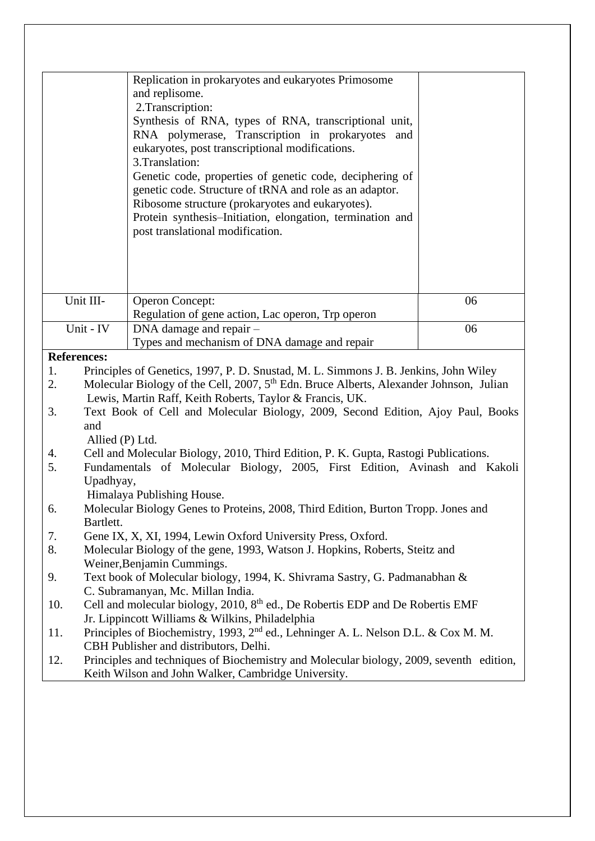|                |                                                                                                                                                                                                                                                                                                                                                                     | Replication in prokaryotes and eukaryotes Primosome<br>and replisome.<br>2. Transcription:<br>Synthesis of RNA, types of RNA, transcriptional unit,<br>RNA polymerase, Transcription in prokaryotes and<br>eukaryotes, post transcriptional modifications.<br>3. Translation:<br>Genetic code, properties of genetic code, deciphering of<br>genetic code. Structure of tRNA and role as an adaptor.<br>Ribosome structure (prokaryotes and eukaryotes).<br>Protein synthesis-Initiation, elongation, termination and<br>post translational modification. |    |
|----------------|---------------------------------------------------------------------------------------------------------------------------------------------------------------------------------------------------------------------------------------------------------------------------------------------------------------------------------------------------------------------|-----------------------------------------------------------------------------------------------------------------------------------------------------------------------------------------------------------------------------------------------------------------------------------------------------------------------------------------------------------------------------------------------------------------------------------------------------------------------------------------------------------------------------------------------------------|----|
|                | Unit III-                                                                                                                                                                                                                                                                                                                                                           | <b>Operon Concept:</b><br>Regulation of gene action, Lac operon, Trp operon                                                                                                                                                                                                                                                                                                                                                                                                                                                                               | 06 |
|                | Unit - IV                                                                                                                                                                                                                                                                                                                                                           | DNA damage and repair -                                                                                                                                                                                                                                                                                                                                                                                                                                                                                                                                   | 06 |
|                |                                                                                                                                                                                                                                                                                                                                                                     | Types and mechanism of DNA damage and repair                                                                                                                                                                                                                                                                                                                                                                                                                                                                                                              |    |
|                | <b>References:</b>                                                                                                                                                                                                                                                                                                                                                  |                                                                                                                                                                                                                                                                                                                                                                                                                                                                                                                                                           |    |
| 1.<br>2.<br>3. | Principles of Genetics, 1997, P. D. Snustad, M. L. Simmons J. B. Jenkins, John Wiley<br>Molecular Biology of the Cell, 2007, 5 <sup>th</sup> Edn. Bruce Alberts, Alexander Johnson, Julian<br>Lewis, Martin Raff, Keith Roberts, Taylor & Francis, UK.<br>Text Book of Cell and Molecular Biology, 2009, Second Edition, Ajoy Paul, Books<br>and<br>Allied (P) Ltd. |                                                                                                                                                                                                                                                                                                                                                                                                                                                                                                                                                           |    |
| 4.<br>5.       | Cell and Molecular Biology, 2010, Third Edition, P. K. Gupta, Rastogi Publications.<br>Fundamentals of Molecular Biology, 2005, First Edition, Avinash and Kakoli<br>Upadhyay,<br>Himalaya Publishing House.                                                                                                                                                        |                                                                                                                                                                                                                                                                                                                                                                                                                                                                                                                                                           |    |
| 6.             | Bartlett.                                                                                                                                                                                                                                                                                                                                                           | Molecular Biology Genes to Proteins, 2008, Third Edition, Burton Tropp. Jones and                                                                                                                                                                                                                                                                                                                                                                                                                                                                         |    |
| 7.             |                                                                                                                                                                                                                                                                                                                                                                     | Gene IX, X, XI, 1994, Lewin Oxford University Press, Oxford.                                                                                                                                                                                                                                                                                                                                                                                                                                                                                              |    |
| 8.             | Molecular Biology of the gene, 1993, Watson J. Hopkins, Roberts, Steitz and<br>Weiner, Benjamin Cummings.                                                                                                                                                                                                                                                           |                                                                                                                                                                                                                                                                                                                                                                                                                                                                                                                                                           |    |
| 9.             | Text book of Molecular biology, 1994, K. Shivrama Sastry, G. Padmanabhan &<br>C. Subramanyan, Mc. Millan India.                                                                                                                                                                                                                                                     |                                                                                                                                                                                                                                                                                                                                                                                                                                                                                                                                                           |    |
| 10.            |                                                                                                                                                                                                                                                                                                                                                                     | Cell and molecular biology, 2010, 8 <sup>th</sup> ed., De Robertis EDP and De Robertis EMF<br>Jr. Lippincott Williams & Wilkins, Philadelphia                                                                                                                                                                                                                                                                                                                                                                                                             |    |
|                |                                                                                                                                                                                                                                                                                                                                                                     | Principles of Biochemistry, 1993, 2 <sup>nd</sup> ed., Lehninger A. L. Nelson D.L. & Cox M. M.                                                                                                                                                                                                                                                                                                                                                                                                                                                            |    |
| 11.            |                                                                                                                                                                                                                                                                                                                                                                     | CBH Publisher and distributors, Delhi.                                                                                                                                                                                                                                                                                                                                                                                                                                                                                                                    |    |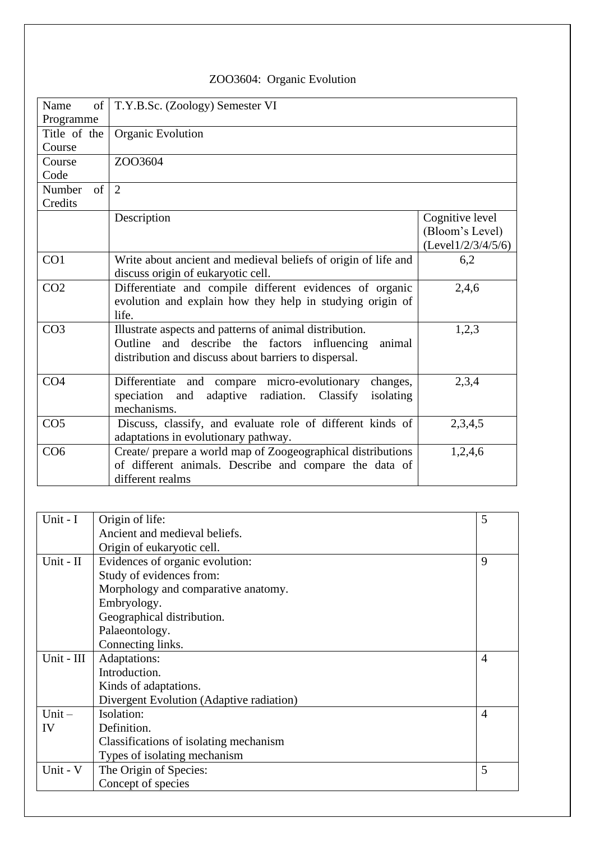| Name<br>of<br>Programme | T.Y.B.Sc. (Zoology) Semester VI                                                                                                                                            |                                       |
|-------------------------|----------------------------------------------------------------------------------------------------------------------------------------------------------------------------|---------------------------------------|
| Title of the            | <b>Organic Evolution</b>                                                                                                                                                   |                                       |
| Course                  |                                                                                                                                                                            |                                       |
| Course                  | ZOO3604                                                                                                                                                                    |                                       |
| Code                    |                                                                                                                                                                            |                                       |
| Number of<br>Credits    | $\overline{2}$                                                                                                                                                             |                                       |
|                         | Description                                                                                                                                                                | Cognitive level                       |
|                         |                                                                                                                                                                            | (Bloom's Level)<br>(Level1/2/3/4/5/6) |
| CO <sub>1</sub>         | Write about ancient and medieval beliefs of origin of life and<br>discuss origin of eukaryotic cell.                                                                       | 6,2                                   |
| CO <sub>2</sub>         | Differentiate and compile different evidences of organic<br>evolution and explain how they help in studying origin of<br>life.                                             | 2,4,6                                 |
| CO <sub>3</sub>         | Illustrate aspects and patterns of animal distribution.<br>Outline and describe the factors influencing<br>animal<br>distribution and discuss about barriers to dispersal. | 1,2,3                                 |
| CO <sub>4</sub>         | Differentiate and compare micro-evolutionary<br>changes,<br>adaptive radiation.<br>speciation<br>Classify<br>isolating<br>and<br>mechanisms.                               | 2,3,4                                 |
| CO <sub>5</sub>         | Discuss, classify, and evaluate role of different kinds of<br>adaptations in evolutionary pathway.                                                                         | 2,3,4,5                               |
| CO <sub>6</sub>         | Create/ prepare a world map of Zoogeographical distributions<br>of different animals. Describe and compare the data of<br>different realms                                 | 1,2,4,6                               |

# ZOO3604: Organic Evolution

| Unit - I   | Origin of life:                          | 5              |
|------------|------------------------------------------|----------------|
|            | Ancient and medieval beliefs.            |                |
|            | Origin of eukaryotic cell.               |                |
| Unit - II  | Evidences of organic evolution:          | 9              |
|            | Study of evidences from:                 |                |
|            | Morphology and comparative anatomy.      |                |
|            | Embryology.                              |                |
|            | Geographical distribution.               |                |
|            | Palaeontology.                           |                |
|            | Connecting links.                        |                |
| Unit - III | Adaptations:                             | $\overline{4}$ |
|            | Introduction.                            |                |
|            | Kinds of adaptations.                    |                |
|            | Divergent Evolution (Adaptive radiation) |                |
| $Unit -$   | Isolation:                               | $\overline{4}$ |
| IV         | Definition.                              |                |
|            | Classifications of isolating mechanism   |                |
|            | Types of isolating mechanism             |                |
| Unit - V   | The Origin of Species:                   | 5              |
|            | Concept of species                       |                |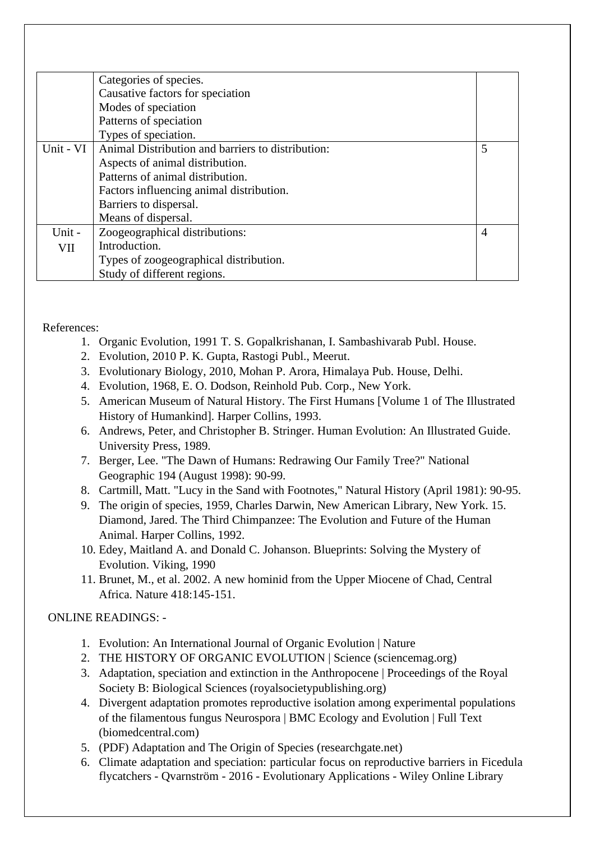|             | Categories of species.                            |                |
|-------------|---------------------------------------------------|----------------|
|             | Causative factors for speciation                  |                |
|             | Modes of speciation                               |                |
|             | Patterns of speciation                            |                |
|             | Types of speciation.                              |                |
| Unit - $VI$ | Animal Distribution and barriers to distribution: | 5              |
|             | Aspects of animal distribution.                   |                |
|             | Patterns of animal distribution.                  |                |
|             | Factors influencing animal distribution.          |                |
|             | Barriers to dispersal.                            |                |
|             | Means of dispersal.                               |                |
| Unit -      | Zoogeographical distributions:                    | $\overline{4}$ |
| <b>VII</b>  | Introduction.                                     |                |
|             | Types of zoogeographical distribution.            |                |
|             | Study of different regions.                       |                |

References:

- 1. Organic Evolution, 1991 T. S. Gopalkrishanan, I. Sambashivarab Publ. House.
- 2. Evolution, 2010 P. K. Gupta, Rastogi Publ., Meerut.
- 3. Evolutionary Biology, 2010, Mohan P. Arora, Himalaya Pub. House, Delhi.
- 4. Evolution, 1968, E. O. Dodson, Reinhold Pub. Corp., New York.
- 5. American Museum of Natural History. The First Humans [Volume 1 of The Illustrated History of Humankind]. Harper Collins, 1993.
- 6. Andrews, Peter, and Christopher B. Stringer. Human Evolution: An Illustrated Guide. University Press, 1989.
- 7. Berger, Lee. "The Dawn of Humans: Redrawing Our Family Tree?" National Geographic 194 (August 1998): 90-99.
- 8. Cartmill, Matt. "Lucy in the Sand with Footnotes," Natural History (April 1981): 90-95.
- 9. The origin of species, 1959, Charles Darwin, New American Library, New York. 15. Diamond, Jared. The Third Chimpanzee: The Evolution and Future of the Human Animal. Harper Collins, 1992.
- 10. Edey, Maitland A. and Donald C. Johanson. Blueprints: Solving the Mystery of Evolution. Viking, 1990
- 11. Brunet, M., et al. 2002. A new hominid from the Upper Miocene of Chad, Central Africa. Nature 418:145-151.

#### ONLINE READINGS: -

- 1. Evolution: An International Journal of Organic Evolution | Nature
- 2. THE HISTORY OF ORGANIC EVOLUTION | Science (sciencemag.org)
- 3. Adaptation, speciation and extinction in the Anthropocene | Proceedings of the Royal Society B: Biological Sciences (royalsocietypublishing.org)
- 4. Divergent adaptation promotes reproductive isolation among experimental populations of the filamentous fungus Neurospora | BMC Ecology and Evolution | Full Text (biomedcentral.com)
- 5. (PDF) Adaptation and The Origin of Species (researchgate.net)
- 6. Climate adaptation and speciation: particular focus on reproductive barriers in Ficedula flycatchers - Qvarnström - 2016 - Evolutionary Applications - Wiley Online Library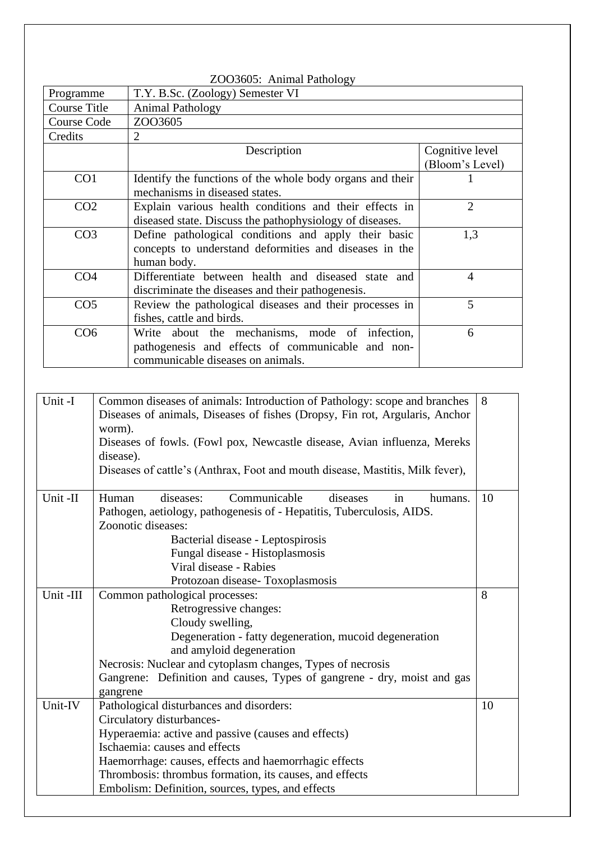|                     |           | ZOO3605: Animal Pathology                                                            |                 |    |
|---------------------|-----------|--------------------------------------------------------------------------------------|-----------------|----|
| Programme           |           | T.Y. B.Sc. (Zoology) Semester VI                                                     |                 |    |
| <b>Course Title</b> |           | <b>Animal Pathology</b>                                                              |                 |    |
| <b>Course Code</b>  |           | ZOO3605                                                                              |                 |    |
| Credits             |           | $\overline{2}$                                                                       |                 |    |
|                     |           | Description                                                                          | Cognitive level |    |
|                     |           |                                                                                      | (Bloom's Level) |    |
| CO1                 |           | Identify the functions of the whole body organs and their                            |                 |    |
|                     |           | mechanisms in diseased states.                                                       |                 |    |
| CO <sub>2</sub>     |           | Explain various health conditions and their effects in                               | $\overline{2}$  |    |
|                     |           | diseased state. Discuss the pathophysiology of diseases.                             |                 |    |
| CO <sub>3</sub>     |           | Define pathological conditions and apply their basic                                 | 1,3             |    |
|                     |           | concepts to understand deformities and diseases in the                               |                 |    |
|                     |           | human body.                                                                          |                 |    |
| CO <sub>4</sub>     |           | Differentiate between health and diseased state and                                  | 4               |    |
| CO <sub>5</sub>     |           | discriminate the diseases and their pathogenesis.                                    | 5               |    |
|                     |           | Review the pathological diseases and their processes in<br>fishes, cattle and birds. |                 |    |
| CO <sub>6</sub>     |           | Write about the mechanisms, mode of infection,                                       | 6               |    |
|                     |           | pathogenesis and effects of communicable and non-                                    |                 |    |
|                     |           | communicable diseases on animals.                                                    |                 |    |
|                     |           |                                                                                      |                 |    |
|                     |           |                                                                                      |                 |    |
| Unit-I              |           | Common diseases of animals: Introduction of Pathology: scope and branches            |                 | 8  |
|                     |           | Diseases of animals, Diseases of fishes (Dropsy, Fin rot, Argularis, Anchor          |                 |    |
|                     | worm).    |                                                                                      |                 |    |
|                     |           | Diseases of fowls. (Fowl pox, Newcastle disease, Avian influenza, Mereks             |                 |    |
|                     | disease). |                                                                                      |                 |    |
|                     |           | Diseases of cattle's (Anthrax, Foot and mouth disease, Mastitis, Milk fever),        |                 |    |
|                     |           |                                                                                      |                 |    |
| Unit-II             | Human     | diseases:<br>Communicable<br>diseases<br>in                                          | humans.         | 10 |
|                     |           | Pathogen, aetiology, pathogenesis of - Hepatitis, Tuberculosis, AIDS.                |                 |    |
|                     |           | Zoonotic diseases:                                                                   |                 |    |
|                     |           | Bacterial disease - Leptospirosis                                                    |                 |    |
|                     |           | Fungal disease - Histoplasmosis                                                      |                 |    |
|                     |           | Viral disease - Rabies                                                               |                 |    |
|                     |           | Protozoan disease-Toxoplasmosis                                                      |                 |    |
| Unit-III            |           | Common pathological processes:                                                       |                 | 8  |
|                     |           | Retrogressive changes:<br>Cloudy swelling,                                           |                 |    |
|                     |           | Degeneration - fatty degeneration, mucoid degeneration                               |                 |    |
|                     |           | and amyloid degeneration                                                             |                 |    |
|                     |           | Necrosis: Nuclear and cytoplasm changes, Types of necrosis                           |                 |    |
|                     |           | Gangrene: Definition and causes, Types of gangrene - dry, moist and gas              |                 |    |
|                     | gangrene  |                                                                                      |                 |    |
| Unit-IV             |           | Pathological disturbances and disorders:                                             |                 | 10 |
|                     |           | Circulatory disturbances-                                                            |                 |    |
|                     |           | Hyperaemia: active and passive (causes and effects)                                  |                 |    |
|                     |           | Ischaemia: causes and effects                                                        |                 |    |
|                     |           | Haemorrhage: causes, effects and haemorrhagic effects                                |                 |    |
|                     |           | Thrombosis: thrombus formation, its causes, and effects                              |                 |    |
|                     |           | Embolism: Definition, sources, types, and effects                                    |                 |    |
|                     |           |                                                                                      |                 |    |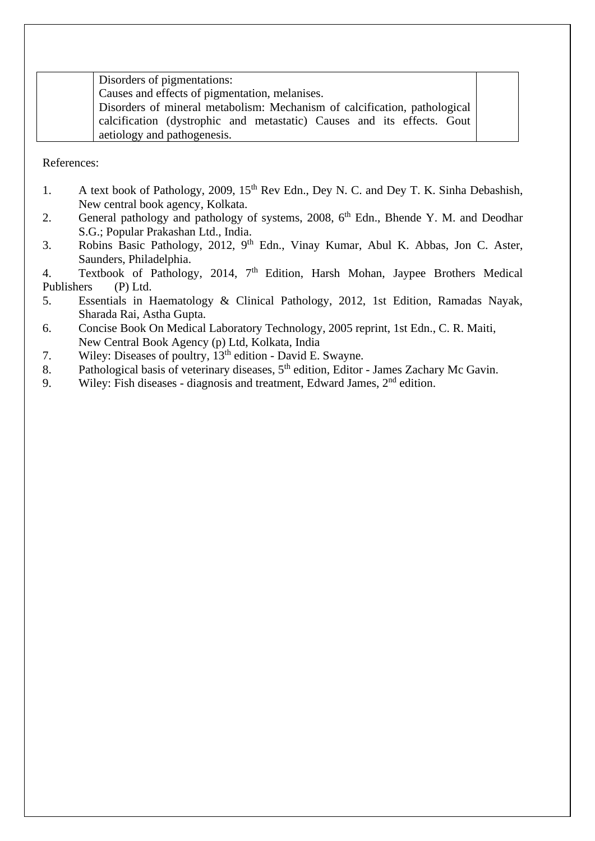Disorders of pigmentations: Causes and effects of pigmentation, melanises. Disorders of mineral metabolism: Mechanism of calcification, pathological calcification (dystrophic and metastatic) Causes and its effects. Gout aetiology and pathogenesis.

References:

- 1. A text book of Pathology, 2009, 15<sup>th</sup> Rev Edn., Dey N. C. and Dey T. K. Sinha Debashish, New central book agency, Kolkata.
- 2. General pathology and pathology of systems, 2008, 6<sup>th</sup> Edn., Bhende Y. M. and Deodhar S.G.; Popular Prakashan Ltd., India.
- 3. Robins Basic Pathology, 2012, 9th Edn., Vinay Kumar, Abul K. Abbas, Jon C. Aster, Saunders, Philadelphia.
- 4. Textbook of Pathology, 2014, 7<sup>th</sup> Edition, Harsh Mohan, Jaypee Brothers Medical Publishers (P) Ltd.
- 5. Essentials in Haematology & Clinical Pathology, 2012, 1st Edition, Ramadas Nayak, Sharada Rai, Astha Gupta.
- 6. Concise Book On Medical Laboratory Technology, 2005 reprint, 1st Edn., C. R. Maiti, New Central Book Agency (p) Ltd, Kolkata, India
- 7. Wiley: Diseases of poultry, 13th edition David E. Swayne.
- 8. Pathological basis of veterinary diseases,  $5<sup>th</sup>$  edition, Editor James Zachary Mc Gavin.
- 9. Wiley: Fish diseases diagnosis and treatment, Edward James,  $2<sup>nd</sup>$  edition.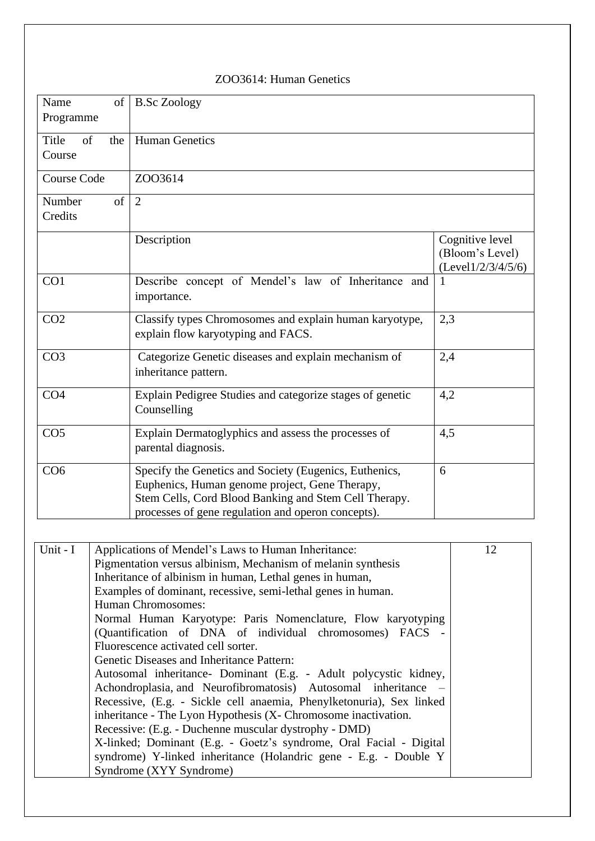## ZOO3614: Human Genetics

| Name<br>of<br>Programme      | <b>B.Sc Zoology</b>                                                                                                                                                                                                                                                                                                                                                                                                                                                                                                                                                                                                                                                                                                                                                                                                                                                                                                                                                                             |                                                          |
|------------------------------|-------------------------------------------------------------------------------------------------------------------------------------------------------------------------------------------------------------------------------------------------------------------------------------------------------------------------------------------------------------------------------------------------------------------------------------------------------------------------------------------------------------------------------------------------------------------------------------------------------------------------------------------------------------------------------------------------------------------------------------------------------------------------------------------------------------------------------------------------------------------------------------------------------------------------------------------------------------------------------------------------|----------------------------------------------------------|
| Title<br>of<br>the<br>Course | <b>Human Genetics</b>                                                                                                                                                                                                                                                                                                                                                                                                                                                                                                                                                                                                                                                                                                                                                                                                                                                                                                                                                                           |                                                          |
| <b>Course Code</b>           | ZOO3614                                                                                                                                                                                                                                                                                                                                                                                                                                                                                                                                                                                                                                                                                                                                                                                                                                                                                                                                                                                         |                                                          |
| Number<br>of<br>Credits      | 2                                                                                                                                                                                                                                                                                                                                                                                                                                                                                                                                                                                                                                                                                                                                                                                                                                                                                                                                                                                               |                                                          |
|                              | Description                                                                                                                                                                                                                                                                                                                                                                                                                                                                                                                                                                                                                                                                                                                                                                                                                                                                                                                                                                                     | Cognitive level<br>(Bloom's Level)<br>(Level1/2/3/4/5/6) |
| CO <sub>1</sub>              | Describe concept of Mendel's law of Inheritance and<br>importance.                                                                                                                                                                                                                                                                                                                                                                                                                                                                                                                                                                                                                                                                                                                                                                                                                                                                                                                              | -1                                                       |
| CO <sub>2</sub>              | Classify types Chromosomes and explain human karyotype,<br>explain flow karyotyping and FACS.                                                                                                                                                                                                                                                                                                                                                                                                                                                                                                                                                                                                                                                                                                                                                                                                                                                                                                   | 2,3                                                      |
| CO <sub>3</sub>              | Categorize Genetic diseases and explain mechanism of<br>inheritance pattern.                                                                                                                                                                                                                                                                                                                                                                                                                                                                                                                                                                                                                                                                                                                                                                                                                                                                                                                    | 2,4                                                      |
| CO <sub>4</sub>              | Explain Pedigree Studies and categorize stages of genetic<br>Counselling                                                                                                                                                                                                                                                                                                                                                                                                                                                                                                                                                                                                                                                                                                                                                                                                                                                                                                                        | 4,2                                                      |
| CO <sub>5</sub>              | Explain Dermatoglyphics and assess the processes of<br>parental diagnosis.                                                                                                                                                                                                                                                                                                                                                                                                                                                                                                                                                                                                                                                                                                                                                                                                                                                                                                                      | 4,5                                                      |
| CO <sub>6</sub>              | Specify the Genetics and Society (Eugenics, Euthenics,<br>Euphenics, Human genome project, Gene Therapy,<br>Stem Cells, Cord Blood Banking and Stem Cell Therapy.<br>processes of gene regulation and operon concepts).                                                                                                                                                                                                                                                                                                                                                                                                                                                                                                                                                                                                                                                                                                                                                                         | 6                                                        |
|                              |                                                                                                                                                                                                                                                                                                                                                                                                                                                                                                                                                                                                                                                                                                                                                                                                                                                                                                                                                                                                 |                                                          |
| Unit - I                     | Applications of Mendel's Laws to Human Inheritance:<br>Pigmentation versus albinism, Mechanism of melanin synthesis<br>Inheritance of albinism in human, Lethal genes in human,<br>Examples of dominant, recessive, semi-lethal genes in human.<br>Human Chromosomes:<br>Normal Human Karyotype: Paris Nomenclature, Flow karyotyping<br>(Quantification of DNA of individual chromosomes) FACS<br>Fluorescence activated cell sorter.<br>Genetic Diseases and Inheritance Pattern:<br>Autosomal inheritance- Dominant (E.g. - Adult polycystic kidney,<br>Achondroplasia, and Neurofibromatosis) Autosomal inheritance<br>Recessive, (E.g. - Sickle cell anaemia, Phenylketonuria), Sex linked<br>inheritance - The Lyon Hypothesis (X- Chromosome inactivation.<br>Recessive: (E.g. - Duchenne muscular dystrophy - DMD)<br>X-linked; Dominant (E.g. - Goetz's syndrome, Oral Facial - Digital<br>syndrome) Y-linked inheritance (Holandric gene - E.g. - Double Y<br>Syndrome (XYY Syndrome) | 12                                                       |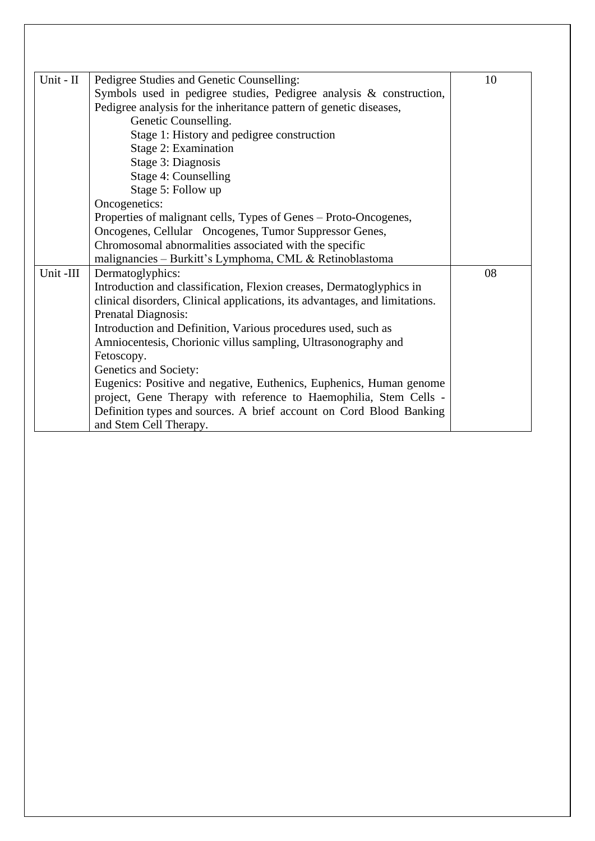| Unit - II | Pedigree Studies and Genetic Counselling:                                   | 10 |
|-----------|-----------------------------------------------------------------------------|----|
|           | Symbols used in pedigree studies, Pedigree analysis $\&$ construction,      |    |
|           | Pedigree analysis for the inheritance pattern of genetic diseases,          |    |
|           | Genetic Counselling.                                                        |    |
|           | Stage 1: History and pedigree construction                                  |    |
|           | Stage 2: Examination                                                        |    |
|           | Stage 3: Diagnosis                                                          |    |
|           | Stage 4: Counselling                                                        |    |
|           | Stage 5: Follow up                                                          |    |
|           | Oncogenetics:                                                               |    |
|           | Properties of malignant cells, Types of Genes - Proto-Oncogenes,            |    |
|           | Oncogenes, Cellular Oncogenes, Tumor Suppressor Genes,                      |    |
|           | Chromosomal abnormalities associated with the specific                      |    |
|           | malignancies - Burkitt's Lymphoma, CML & Retinoblastoma                     |    |
| Unit -III | Dermatoglyphics:                                                            | 08 |
|           | Introduction and classification, Flexion creases, Dermatoglyphics in        |    |
|           | clinical disorders, Clinical applications, its advantages, and limitations. |    |
|           | Prenatal Diagnosis:                                                         |    |
|           | Introduction and Definition, Various procedures used, such as               |    |
|           | Amniocentesis, Chorionic villus sampling, Ultrasonography and               |    |
|           | Fetoscopy.                                                                  |    |
|           | Genetics and Society:                                                       |    |
|           | Eugenics: Positive and negative, Euthenics, Euphenics, Human genome         |    |
|           | project, Gene Therapy with reference to Haemophilia, Stem Cells -           |    |
|           | Definition types and sources. A brief account on Cord Blood Banking         |    |
|           | and Stem Cell Therapy.                                                      |    |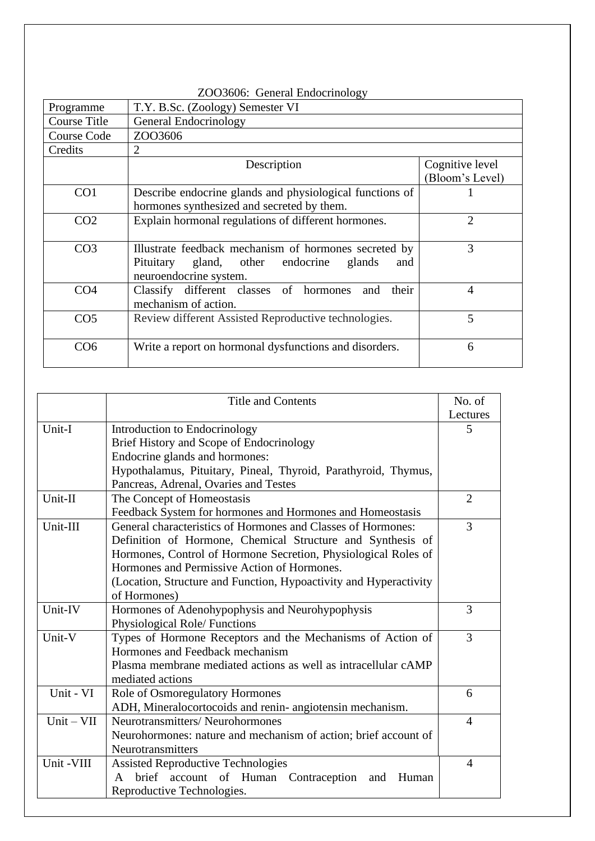|                 | ZOO3606: General Endocrinology                                                                                                       |                                    |
|-----------------|--------------------------------------------------------------------------------------------------------------------------------------|------------------------------------|
| Programme       | T.Y. B.Sc. (Zoology) Semester VI                                                                                                     |                                    |
| Course Title    | General Endocrinology                                                                                                                |                                    |
| Course Code     | ZOO3606                                                                                                                              |                                    |
| Credits         | 2                                                                                                                                    |                                    |
|                 | Description                                                                                                                          | Cognitive level<br>(Bloom's Level) |
| CO <sub>1</sub> | Describe endocrine glands and physiological functions of<br>hormones synthesized and secreted by them.                               |                                    |
| CO <sub>2</sub> | Explain hormonal regulations of different hormones.                                                                                  | $\overline{2}$                     |
| CO <sub>3</sub> | Illustrate feedback mechanism of hormones secreted by<br>Pituitary gland, other endocrine<br>glands<br>and<br>neuroendocrine system. | 3                                  |
| CO <sub>4</sub> | Classify different classes of hormones<br>their<br>and<br>mechanism of action.                                                       | 4                                  |
| CO <sub>5</sub> | Review different Assisted Reproductive technologies.                                                                                 | 5                                  |
| CO6             | Write a report on hormonal dysfunctions and disorders.                                                                               | 6                                  |

|              | <b>Title and Contents</b>                                            | No. of         |
|--------------|----------------------------------------------------------------------|----------------|
|              |                                                                      | Lectures       |
| Unit-I       | Introduction to Endocrinology                                        | 5              |
|              | Brief History and Scope of Endocrinology                             |                |
|              | Endocrine glands and hormones:                                       |                |
|              | Hypothalamus, Pituitary, Pineal, Thyroid, Parathyroid, Thymus,       |                |
|              | Pancreas, Adrenal, Ovaries and Testes                                |                |
| Unit-II      | The Concept of Homeostasis                                           | $\overline{2}$ |
|              | Feedback System for hormones and Hormones and Homeostasis            |                |
| Unit-III     | General characteristics of Hormones and Classes of Hormones:         | $\overline{3}$ |
|              | Definition of Hormone, Chemical Structure and Synthesis of           |                |
|              | Hormones, Control of Hormone Secretion, Physiological Roles of       |                |
|              | Hormones and Permissive Action of Hormones.                          |                |
|              | (Location, Structure and Function, Hypoactivity and Hyperactivity    |                |
|              | of Hormones)                                                         |                |
| Unit-IV      | Hormones of Adenohypophysis and Neurohypophysis                      | 3              |
|              | Physiological Role/Functions                                         |                |
| Unit-V       | Types of Hormone Receptors and the Mechanisms of Action of           | 3              |
|              | Hormones and Feedback mechanism                                      |                |
|              | Plasma membrane mediated actions as well as intracellular cAMP       |                |
|              | mediated actions                                                     |                |
| Unit - VI    | Role of Osmoregulatory Hormones                                      | 6              |
|              | ADH, Mineralocortocoids and renin- angiotensin mechanism.            |                |
| $Unit - VII$ | Neurotransmitters/Neurohormones                                      | $\overline{4}$ |
|              | Neurohormones: nature and mechanism of action; brief account of      |                |
|              | Neurotransmitters                                                    |                |
| Unit -VIII   | Assisted Reproductive Technologies                                   | $\overline{4}$ |
|              | brief account of Human Contraception<br>$\mathsf{A}$<br>and<br>Human |                |
|              | Reproductive Technologies.                                           |                |

## $ZOO3606$ : General Endocrinol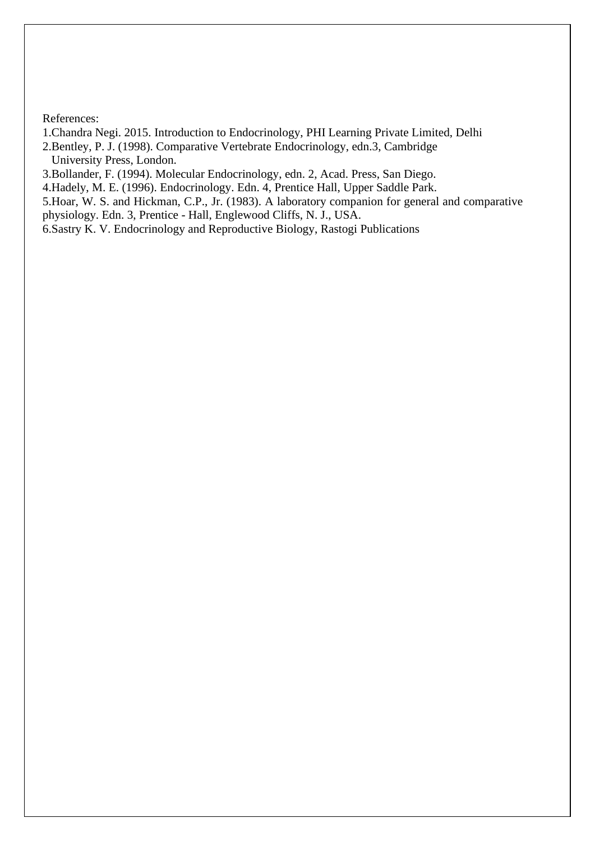References:

1.Chandra Negi. 2015. Introduction to Endocrinology, PHI Learning Private Limited, Delhi

2.Bentley, P. J. (1998). Comparative Vertebrate Endocrinology, edn.3, Cambridge University Press, London.

3.Bollander, F. (1994). Molecular Endocrinology, edn. 2, Acad. Press, San Diego.

4.Hadely, M. E. (1996). Endocrinology. Edn. 4, Prentice Hall, Upper Saddle Park.

5.Hoar, W. S. and Hickman, C.P., Jr. (1983). A laboratory companion for general and comparative physiology. Edn. 3, Prentice - Hall, Englewood Cliffs, N. J., USA.

6.Sastry K. V. Endocrinology and Reproductive Biology, Rastogi Publications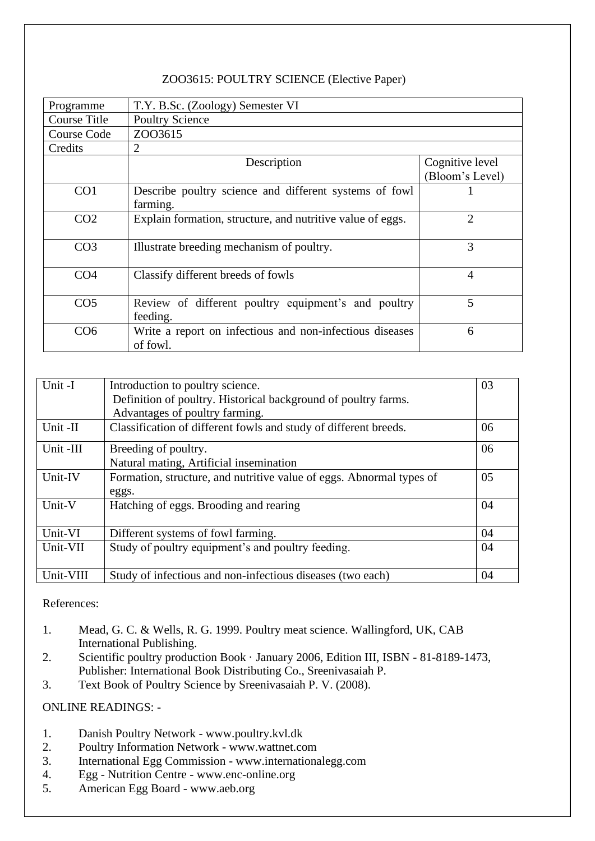| Programme       | T.Y. B.Sc. (Zoology) Semester VI                           |                 |
|-----------------|------------------------------------------------------------|-----------------|
| Course Title    | <b>Poultry Science</b>                                     |                 |
| Course Code     | ZOO3615                                                    |                 |
| Credits         | $\overline{2}$                                             |                 |
|                 | Description                                                | Cognitive level |
|                 |                                                            | (Bloom's Level) |
| CO <sub>1</sub> | Describe poultry science and different systems of fowl     |                 |
|                 | farming.                                                   |                 |
| CO <sub>2</sub> | Explain formation, structure, and nutritive value of eggs. | $\overline{2}$  |
|                 |                                                            |                 |
| CO <sub>3</sub> | Illustrate breeding mechanism of poultry.                  | 3               |
|                 |                                                            |                 |
| CO <sub>4</sub> | Classify different breeds of fowls                         | 4               |
|                 |                                                            |                 |
| CO <sub>5</sub> | Review of different poultry equipment's and poultry        | 5               |
|                 | feeding.                                                   |                 |
| CO <sub>6</sub> | Write a report on infectious and non-infectious diseases   | 6               |
|                 | of fowl.                                                   |                 |

#### ZOO3615: POULTRY SCIENCE (Elective Paper)

| Unit-I    | Introduction to poultry science.<br>Definition of poultry. Historical background of poultry farms.<br>Advantages of poultry farming. | 03 |
|-----------|--------------------------------------------------------------------------------------------------------------------------------------|----|
| Unit -II  | Classification of different fowls and study of different breeds.                                                                     | 06 |
| Unit -III | Breeding of poultry.<br>Natural mating, Artificial insemination                                                                      | 06 |
| Unit-IV   | Formation, structure, and nutritive value of eggs. Abnormal types of<br>eggs.                                                        | 05 |
| Unit-V    | Hatching of eggs. Brooding and rearing                                                                                               | 04 |
| Unit-VI   | Different systems of fowl farming.                                                                                                   | 04 |
| Unit-VII  | Study of poultry equipment's and poultry feeding.                                                                                    | 04 |
| Unit-VIII | Study of infectious and non-infectious diseases (two each)                                                                           | 04 |

References:

- 1. Mead, G. C. & Wells, R. G. 1999. Poultry meat science. Wallingford, UK, CAB International Publishing.
- 2. Scientific poultry production Book · January 2006, Edition III, ISBN 81-8189-1473, Publisher: International Book Distributing Co., Sreenivasaiah P.
- 3. Text Book of Poultry Science by Sreenivasaiah P. V. (2008).

ONLINE READINGS: -

- 1. Danish Poultry Network www.poultry.kvl.dk
- 2. Poultry Information Network www.wattnet.com
- 3. International Egg Commission www.internationalegg.com
- 4. Egg Nutrition Centre www.enc-online.org
- 5. American Egg Board www.aeb.org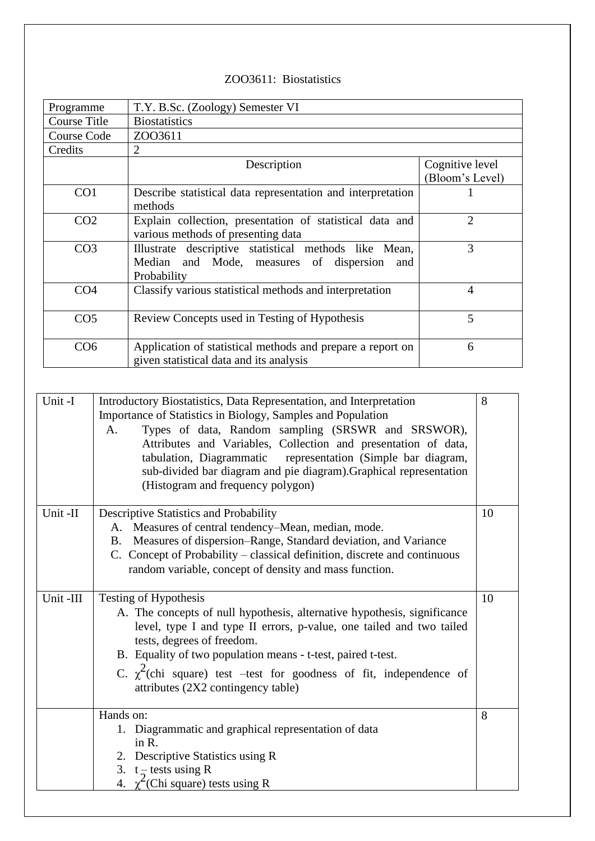## ZOO3611: Biostatistics

| Programme           |                 | T.Y. B.Sc. (Zoology) Semester VI                                                                                                                                                                                                                                                                                                                                                                                                                                                   |                                    |         |
|---------------------|-----------------|------------------------------------------------------------------------------------------------------------------------------------------------------------------------------------------------------------------------------------------------------------------------------------------------------------------------------------------------------------------------------------------------------------------------------------------------------------------------------------|------------------------------------|---------|
| <b>Course Title</b> |                 | <b>Biostatistics</b>                                                                                                                                                                                                                                                                                                                                                                                                                                                               |                                    |         |
| <b>Course Code</b>  |                 | ZOO3611                                                                                                                                                                                                                                                                                                                                                                                                                                                                            |                                    |         |
| Credits             |                 | $\overline{2}$                                                                                                                                                                                                                                                                                                                                                                                                                                                                     |                                    |         |
|                     |                 | Description                                                                                                                                                                                                                                                                                                                                                                                                                                                                        | Cognitive level<br>(Bloom's Level) |         |
| CO1                 |                 | Describe statistical data representation and interpretation<br>methods                                                                                                                                                                                                                                                                                                                                                                                                             |                                    |         |
| CO <sub>2</sub>     |                 | Explain collection, presentation of statistical data and<br>various methods of presenting data                                                                                                                                                                                                                                                                                                                                                                                     | $\overline{2}$                     |         |
| CO <sub>3</sub>     |                 | Illustrate descriptive statistical methods like Mean,<br>and Mode, measures of dispersion<br>Median<br>and<br>Probability                                                                                                                                                                                                                                                                                                                                                          | 3                                  |         |
| CO <sub>4</sub>     |                 | Classify various statistical methods and interpretation                                                                                                                                                                                                                                                                                                                                                                                                                            | $\overline{4}$                     |         |
| CO <sub>5</sub>     |                 | Review Concepts used in Testing of Hypothesis                                                                                                                                                                                                                                                                                                                                                                                                                                      | 5                                  |         |
| CO <sub>6</sub>     |                 | Application of statistical methods and prepare a report on<br>given statistical data and its analysis                                                                                                                                                                                                                                                                                                                                                                              | 6                                  |         |
|                     |                 |                                                                                                                                                                                                                                                                                                                                                                                                                                                                                    |                                    |         |
| Unit-I<br>Unit -II  | A.              | Introductory Biostatistics, Data Representation, and Interpretation<br>Importance of Statistics in Biology, Samples and Population<br>Types of data, Random sampling (SRSWR and SRSWOR),<br>Attributes and Variables, Collection and presentation of data,<br>representation (Simple bar diagram,<br>tabulation, Diagrammatic<br>sub-divided bar diagram and pie diagram). Graphical representation<br>(Histogram and frequency polygon)<br>Descriptive Statistics and Probability |                                    | 8<br>10 |
|                     | Β.              | A. Measures of central tendency-Mean, median, mode.<br>Measures of dispersion-Range, Standard deviation, and Variance<br>C. Concept of Probability – classical definition, discrete and continuous<br>random variable, concept of density and mass function.                                                                                                                                                                                                                       |                                    |         |
| Unit-III            |                 | Testing of Hypothesis<br>A. The concepts of null hypothesis, alternative hypothesis, significance<br>level, type I and type II errors, p-value, one tailed and two tailed<br>tests, degrees of freedom.<br>B. Equality of two population means - t-test, paired t-test.<br>C. $\chi^2$ (chi square) test –test for goodness of fit, independence of<br>attributes (2X2 contingency table)                                                                                          |                                    | 10      |
|                     | Hands on:<br>4. | Diagrammatic and graphical representation of data<br>in R.<br>2. Descriptive Statistics using R<br>3. $t -$ tests using R<br>$\chi^2$ (Chi square) tests using R                                                                                                                                                                                                                                                                                                                   |                                    | 8       |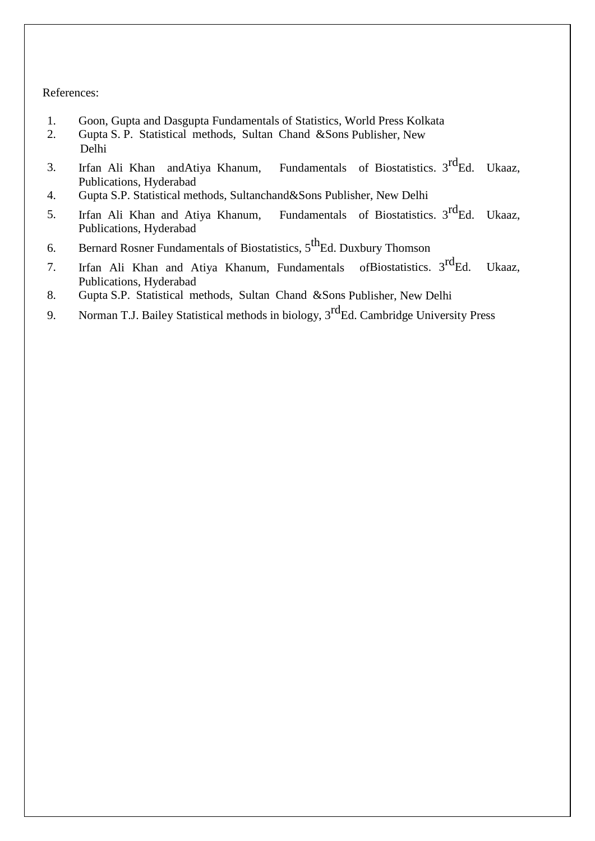#### References:

- 1. Goon, Gupta and Dasgupta Fundamentals of Statistics, World Press Kolkata
- 2. Gupta S. P. Statistical methods, Sultan Chand &Sons Publisher, New Delhi
- 3. Irfan Ali Khan andAtiya Khanum, Fundamentals of Biostatistics. 3<sup>rd</sup>Ed. Ukaaz, Publications, Hyderabad
- 4. Gupta S.P. Statistical methods, Sultanchand&Sons Publisher, New Delhi
- 5. Irfan Ali Khan and Atiya Khanum, Fundamentals of Biostatistics. 3<sup>rd</sup>Ed. Ukaaz, Publications, Hyderabad
- 6. Bernard Rosner Fundamentals of Biostatistics, 5<sup>th</sup>Ed. Duxbury Thomson
- 7. Irfan Ali Khan and Atiya Khanum, Fundamentals ofBiostatistics. 3<sup>rd</sup>Ed. Ukaaz, Publications, Hyderabad
- 8. Gupta S.P. Statistical methods, Sultan Chand &Sons Publisher, New Delhi
- 9. Norman T.J. Bailey Statistical methods in biology, 3<sup>rd</sup>Ed. Cambridge University Press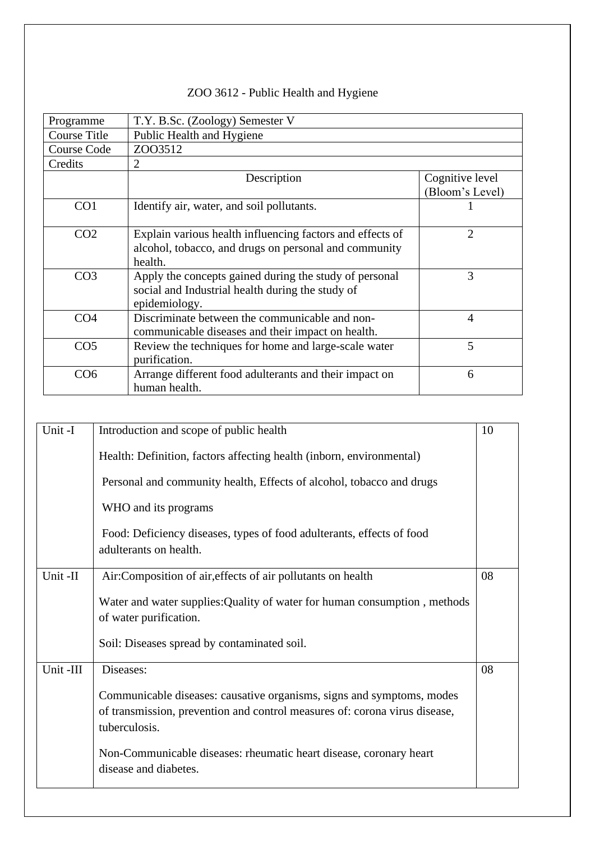| Programme           |                                                                                             | T.Y. B.Sc. (Zoology) Semester V                                                                                                                                      |                 |    |
|---------------------|---------------------------------------------------------------------------------------------|----------------------------------------------------------------------------------------------------------------------------------------------------------------------|-----------------|----|
| <b>Course Title</b> |                                                                                             | Public Health and Hygiene                                                                                                                                            |                 |    |
| <b>Course Code</b>  |                                                                                             | ZOO3512                                                                                                                                                              |                 |    |
| Credits             |                                                                                             | 2                                                                                                                                                                    |                 |    |
|                     |                                                                                             | Description                                                                                                                                                          | Cognitive level |    |
|                     |                                                                                             |                                                                                                                                                                      | (Bloom's Level) |    |
| CO1                 |                                                                                             | Identify air, water, and soil pollutants.                                                                                                                            |                 |    |
| CO <sub>2</sub>     |                                                                                             | Explain various health influencing factors and effects of<br>alcohol, tobacco, and drugs on personal and community<br>health.                                        | $\overline{2}$  |    |
| CO <sub>3</sub>     |                                                                                             | Apply the concepts gained during the study of personal<br>social and Industrial health during the study of<br>epidemiology.                                          | 3               |    |
| CO <sub>4</sub>     |                                                                                             | Discriminate between the communicable and non-<br>communicable diseases and their impact on health.                                                                  | $\overline{4}$  |    |
| CO <sub>5</sub>     |                                                                                             | Review the techniques for home and large-scale water<br>purification.                                                                                                | 5               |    |
| CO6                 |                                                                                             | Arrange different food adulterants and their impact on<br>human health.                                                                                              | 6               |    |
|                     |                                                                                             |                                                                                                                                                                      |                 |    |
| Unit-I              |                                                                                             | Introduction and scope of public health                                                                                                                              |                 | 10 |
|                     |                                                                                             | Health: Definition, factors affecting health (inborn, environmental)                                                                                                 |                 |    |
|                     |                                                                                             | Personal and community health, Effects of alcohol, tobacco and drugs                                                                                                 |                 |    |
|                     |                                                                                             | WHO and its programs                                                                                                                                                 |                 |    |
|                     |                                                                                             | Food: Deficiency diseases, types of food adulterants, effects of food<br>adulterants on health.                                                                      |                 |    |
| Unit-II             |                                                                                             | Air:Composition of air, effects of air pollutants on health                                                                                                          |                 | 08 |
|                     |                                                                                             | Water and water supplies: Quality of water for human consumption, methods<br>of water purification.                                                                  |                 |    |
|                     |                                                                                             | Soil: Diseases spread by contaminated soil.                                                                                                                          |                 |    |
| Unit-III            | Diseases:                                                                                   |                                                                                                                                                                      | 08              |    |
|                     |                                                                                             | Communicable diseases: causative organisms, signs and symptoms, modes<br>of transmission, prevention and control measures of: corona virus disease,<br>tuberculosis. |                 |    |
|                     | Non-Communicable diseases: rheumatic heart disease, coronary heart<br>disease and diabetes. |                                                                                                                                                                      |                 |    |

# ZOO 3612 - Public Health and Hygiene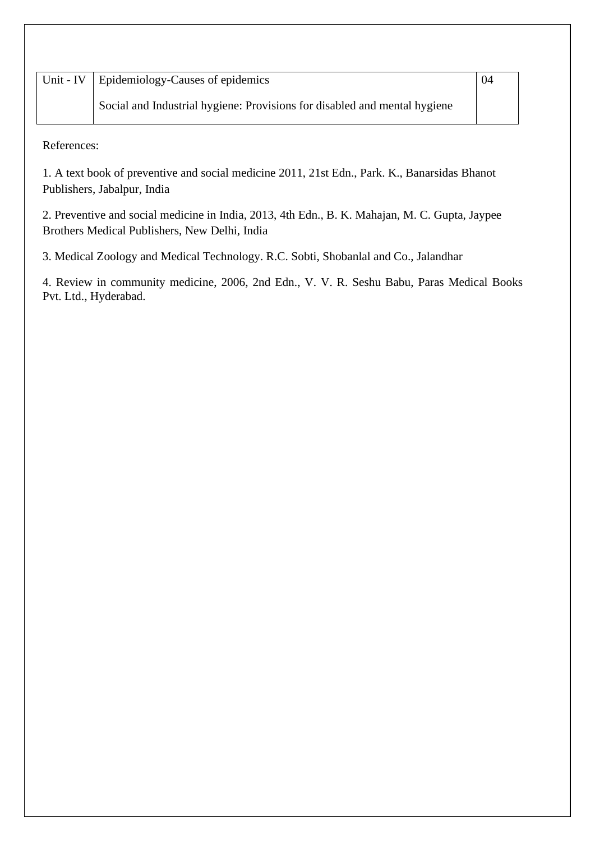| Unit - IV   Epidemiology-Causes of epidemics                              | 04 |
|---------------------------------------------------------------------------|----|
| Social and Industrial hygiene: Provisions for disabled and mental hygiene |    |

References:

1. A text book of preventive and social medicine 2011, 21st Edn., Park. K., Banarsidas Bhanot Publishers, Jabalpur, India

2. Preventive and social medicine in India, 2013, 4th Edn., B. K. Mahajan, M. C. Gupta, Jaypee Brothers Medical Publishers, New Delhi, India

3. Medical Zoology and Medical Technology. R.C. Sobti, Shobanlal and Co., Jalandhar

4. Review in community medicine, 2006, 2nd Edn., V. V. R. Seshu Babu, Paras Medical Books Pvt. Ltd., Hyderabad.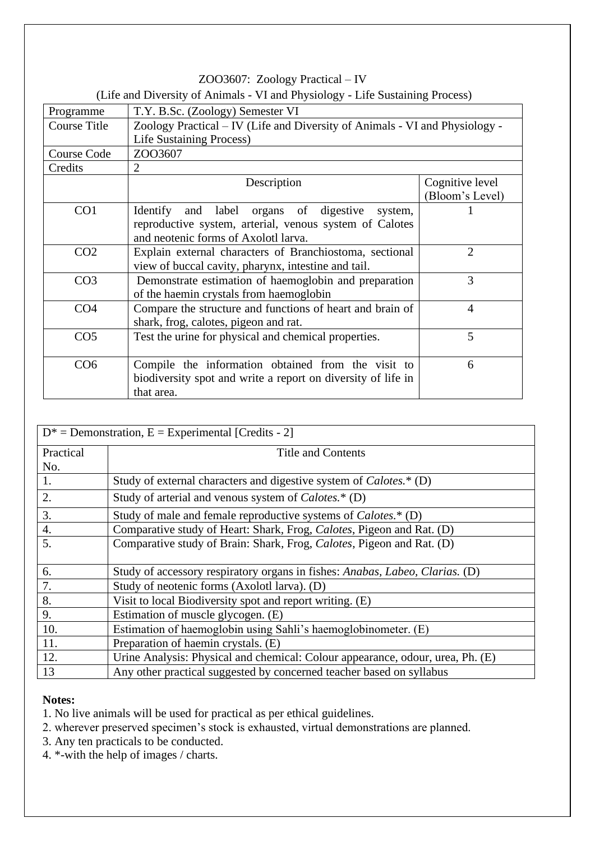|                 | (Life and Diversity of Annihals - v) and Fhysiology - Life Sustanning Flocess) |                 |
|-----------------|--------------------------------------------------------------------------------|-----------------|
| Programme       | T.Y. B.Sc. (Zoology) Semester VI                                               |                 |
| Course Title    | Zoology Practical - IV (Life and Diversity of Animals - VI and Physiology -    |                 |
|                 | <b>Life Sustaining Process)</b>                                                |                 |
| Course Code     | ZOO3607                                                                        |                 |
| Credits         | 2                                                                              |                 |
|                 | Description                                                                    | Cognitive level |
|                 |                                                                                | (Bloom's Level) |
| CO <sub>1</sub> | organs of digestive<br>Identify<br>and label<br>system,                        |                 |
|                 | reproductive system, arterial, venous system of Calotes                        |                 |
|                 | and neotenic forms of Axolotl larva.                                           |                 |
| CO <sub>2</sub> | Explain external characters of Branchiostoma, sectional                        | $\overline{2}$  |
|                 | view of buccal cavity, pharynx, intestine and tail.                            |                 |
| CO <sub>3</sub> | Demonstrate estimation of haemoglobin and preparation                          | 3               |
|                 | of the haemin crystals from haemoglobin                                        |                 |
| CO <sub>4</sub> | Compare the structure and functions of heart and brain of                      | 4               |
|                 | shark, frog, calotes, pigeon and rat.                                          |                 |
| CO <sub>5</sub> | Test the urine for physical and chemical properties.                           | 5               |
|                 |                                                                                |                 |
| CO6             | Compile the information obtained from the visit to                             | 6               |
|                 | biodiversity spot and write a report on diversity of life in                   |                 |
|                 | that area.                                                                     |                 |

ZOO3607: Zoology Practical – IV (Life and Diversity of Animals - VI and Physiology - Life Sustaining Process)

| $D^*$ = Demonstration, E = Experimental [Credits - 2] |                                                                                |  |  |
|-------------------------------------------------------|--------------------------------------------------------------------------------|--|--|
| Practical                                             | <b>Title and Contents</b>                                                      |  |  |
| No.                                                   |                                                                                |  |  |
| 1.                                                    | Study of external characters and digestive system of Calotes.* (D)             |  |  |
| 2.                                                    | Study of arterial and venous system of <i>Calotes</i> .* (D)                   |  |  |
| 3.                                                    | Study of male and female reproductive systems of <i>Calotes</i> .* (D)         |  |  |
| 4.                                                    | Comparative study of Heart: Shark, Frog, Calotes, Pigeon and Rat. (D)          |  |  |
| 5.                                                    | Comparative study of Brain: Shark, Frog, Calotes, Pigeon and Rat. (D)          |  |  |
| 6.                                                    | Study of accessory respiratory organs in fishes: Anabas, Labeo, Clarias. (D)   |  |  |
| 7.                                                    | Study of neotenic forms (Axolotl larva). (D)                                   |  |  |
| 8.                                                    | Visit to local Biodiversity spot and report writing. (E)                       |  |  |
| 9.                                                    | Estimation of muscle glycogen. (E)                                             |  |  |
| 10.                                                   | Estimation of haemoglobin using Sahli's haemoglobinometer. (E)                 |  |  |
| 11.                                                   | Preparation of haemin crystals. (E)                                            |  |  |
| 12.                                                   | Urine Analysis: Physical and chemical: Colour appearance, odour, urea, Ph. (E) |  |  |
| 13                                                    | Any other practical suggested by concerned teacher based on syllabus           |  |  |

#### **Notes:**

- 1. No live animals will be used for practical as per ethical guidelines.
- 2. wherever preserved specimen's stock is exhausted, virtual demonstrations are planned.
- 3. Any ten practicals to be conducted.
- 4. \*-with the help of images / charts.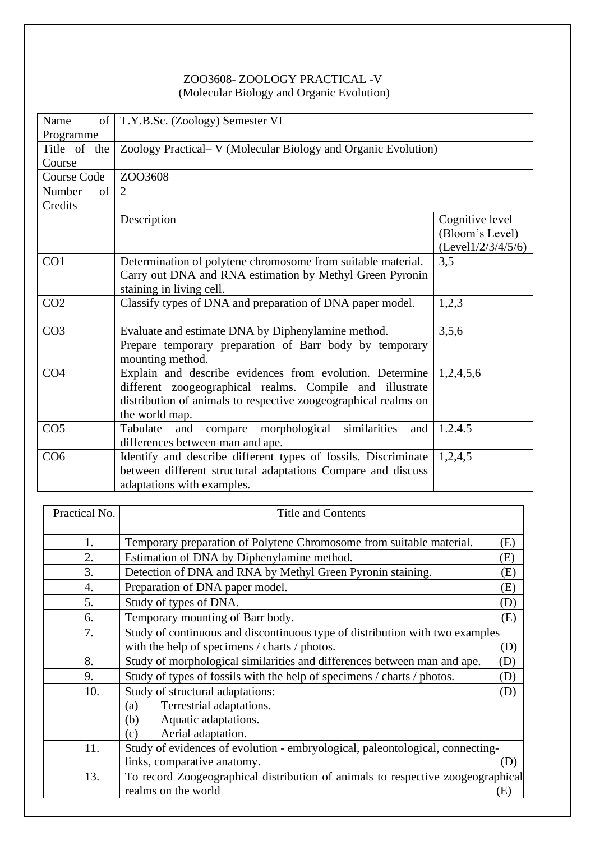### ZOO3608- ZOOLOGY PRACTICAL -V (Molecular Biology and Organic Evolution)

| Name<br>of      | T.Y.B.Sc. (Zoology) Semester VI                                    |                    |  |
|-----------------|--------------------------------------------------------------------|--------------------|--|
| Programme       |                                                                    |                    |  |
| Title of the    | Zoology Practical– V (Molecular Biology and Organic Evolution)     |                    |  |
| Course          |                                                                    |                    |  |
| Course Code     | ZOO3608                                                            |                    |  |
| Number<br>of    | $\overline{2}$                                                     |                    |  |
| Credits         |                                                                    |                    |  |
|                 | Description                                                        | Cognitive level    |  |
|                 |                                                                    | (Bloom's Level)    |  |
|                 |                                                                    | (Level1/2/3/4/5/6) |  |
| CO <sub>1</sub> | Determination of polytene chromosome from suitable material.       | 3,5                |  |
|                 | Carry out DNA and RNA estimation by Methyl Green Pyronin           |                    |  |
|                 | staining in living cell.                                           |                    |  |
| CO <sub>2</sub> | Classify types of DNA and preparation of DNA paper model.          | 1,2,3              |  |
|                 |                                                                    |                    |  |
| CO <sub>3</sub> | Evaluate and estimate DNA by Diphenylamine method.                 | 3,5,6              |  |
|                 | Prepare temporary preparation of Barr body by temporary            |                    |  |
|                 | mounting method.                                                   |                    |  |
| CO <sub>4</sub> | Explain and describe evidences from evolution. Determine           | 1,2,4,5,6          |  |
|                 | different zoogeographical realms. Compile and illustrate           |                    |  |
|                 | distribution of animals to respective zoogeographical realms on    |                    |  |
|                 | the world map.                                                     |                    |  |
| CO <sub>5</sub> | similarities<br>Tabulate<br>morphological<br>and<br>and<br>compare | 1.2.4.5            |  |
|                 | differences between man and ape.                                   |                    |  |
| CO6             | Identify and describe different types of fossils. Discriminate     | 1,2,4,5            |  |
|                 | between different structural adaptations Compare and discuss       |                    |  |
|                 | adaptations with examples.                                         |                    |  |

| Practical No.    | <b>Title and Contents</b>                                                       |     |
|------------------|---------------------------------------------------------------------------------|-----|
| 1.               | Temporary preparation of Polytene Chromosome from suitable material.            | (E) |
| 2.               | Estimation of DNA by Diphenylamine method.                                      | (E) |
| 3.               | Detection of DNA and RNA by Methyl Green Pyronin staining.                      | (E) |
| $\overline{4}$ . | Preparation of DNA paper model.                                                 | (E) |
| 5.               | Study of types of DNA.                                                          | (D) |
| 6.               | Temporary mounting of Barr body.                                                | (E) |
| 7.               | Study of continuous and discontinuous type of distribution with two examples    |     |
|                  | with the help of specimens / charts / photos.                                   | (D) |
| 8.               | Study of morphological similarities and differences between man and ape.        | (D) |
| 9.               | Study of types of fossils with the help of specimens / charts / photos.         | (D) |
| 10.              | Study of structural adaptations:                                                | (D) |
|                  | Terrestrial adaptations.<br>(a)                                                 |     |
|                  | Aquatic adaptations.<br>(b)                                                     |     |
|                  | Aerial adaptation.<br>(c)                                                       |     |
| 11.              | Study of evidences of evolution - embryological, paleontological, connecting-   |     |
|                  | links, comparative anatomy.                                                     | (D) |
| 13.              | To record Zoogeographical distribution of animals to respective zoogeographical |     |
|                  | realms on the world                                                             | E)  |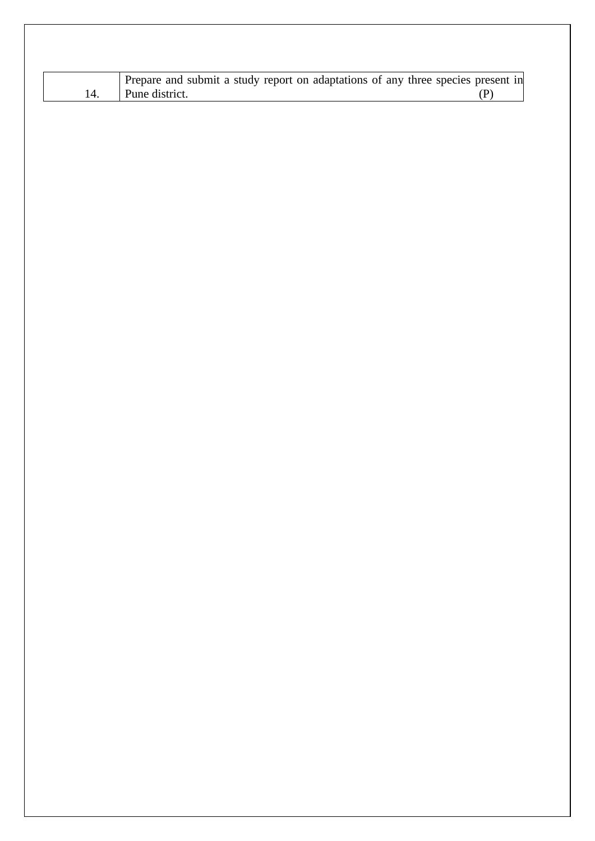| 14. | Prepare and submit a study report on adaptations of any three species present in<br>Pune district. |  | (P) |
|-----|----------------------------------------------------------------------------------------------------|--|-----|
|     |                                                                                                    |  |     |
|     |                                                                                                    |  |     |
|     |                                                                                                    |  |     |
|     |                                                                                                    |  |     |
|     |                                                                                                    |  |     |
|     |                                                                                                    |  |     |
|     |                                                                                                    |  |     |
|     |                                                                                                    |  |     |
|     |                                                                                                    |  |     |
|     |                                                                                                    |  |     |
|     |                                                                                                    |  |     |
|     |                                                                                                    |  |     |
|     |                                                                                                    |  |     |
|     |                                                                                                    |  |     |
|     |                                                                                                    |  |     |
|     |                                                                                                    |  |     |
|     |                                                                                                    |  |     |
|     |                                                                                                    |  |     |
|     |                                                                                                    |  |     |
|     |                                                                                                    |  |     |
|     |                                                                                                    |  |     |
|     |                                                                                                    |  |     |
|     |                                                                                                    |  |     |
|     |                                                                                                    |  |     |
|     |                                                                                                    |  |     |
|     |                                                                                                    |  |     |
|     |                                                                                                    |  |     |
|     |                                                                                                    |  |     |
|     |                                                                                                    |  |     |
|     |                                                                                                    |  |     |
|     |                                                                                                    |  |     |
|     |                                                                                                    |  |     |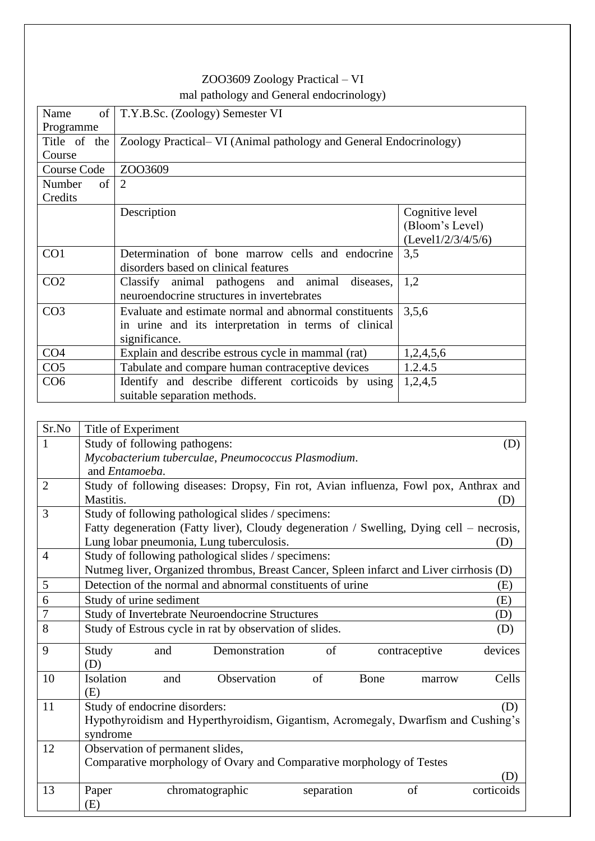### ZOO3609 Zoology Practical – VI mal pathology and General endocrinology)

| Name<br>Programme  | of                                                                                                                                    | T.Y.B.Sc. (Zoology) Semester VI                                                                                                 |                                                          |  |
|--------------------|---------------------------------------------------------------------------------------------------------------------------------------|---------------------------------------------------------------------------------------------------------------------------------|----------------------------------------------------------|--|
| Title of the       |                                                                                                                                       | Zoology Practical-VI (Animal pathology and General Endocrinology)                                                               |                                                          |  |
| Course             |                                                                                                                                       |                                                                                                                                 |                                                          |  |
| <b>Course Code</b> |                                                                                                                                       | ZOO3609                                                                                                                         |                                                          |  |
| Number<br>Credits  | of                                                                                                                                    | $\overline{2}$                                                                                                                  |                                                          |  |
|                    |                                                                                                                                       | Description                                                                                                                     | Cognitive level<br>(Bloom's Level)<br>(Level1/2/3/4/5/6) |  |
| CO <sub>1</sub>    |                                                                                                                                       | Determination of bone marrow cells and endocrine<br>disorders based on clinical features                                        | 3,5                                                      |  |
| CO <sub>2</sub>    |                                                                                                                                       | Classify<br>animal pathogens and animal<br>diseases,<br>neuroendocrine structures in invertebrates                              | 1,2                                                      |  |
| CO <sub>3</sub>    |                                                                                                                                       | Evaluate and estimate normal and abnormal constituents<br>in urine and its interpretation in terms of clinical<br>significance. | 3,5,6                                                    |  |
| CO <sub>4</sub>    |                                                                                                                                       | Explain and describe estrous cycle in mammal (rat)                                                                              | 1,2,4,5,6                                                |  |
| CO <sub>5</sub>    |                                                                                                                                       | Tabulate and compare human contraceptive devices                                                                                | 1.2.4.5                                                  |  |
| CO6                |                                                                                                                                       | Identify and describe different corticoids by using<br>suitable separation methods.                                             | 1,2,4,5                                                  |  |
|                    |                                                                                                                                       |                                                                                                                                 |                                                          |  |
| Sr.No              |                                                                                                                                       | Title of Experiment                                                                                                             |                                                          |  |
| $\mathbf{1}$       |                                                                                                                                       | Study of following pathogens:                                                                                                   | (D)                                                      |  |
|                    |                                                                                                                                       | Mycobacterium tuberculae, Pneumococcus Plasmodium.                                                                              |                                                          |  |
|                    |                                                                                                                                       | and Entamoeba.                                                                                                                  |                                                          |  |
| $\overline{2}$     | Mastitis.                                                                                                                             | Study of following diseases: Dropsy, Fin rot, Avian influenza, Fowl pox, Anthrax and                                            | (D)                                                      |  |
| 3                  |                                                                                                                                       | Study of following pathological slides / specimens:                                                                             |                                                          |  |
|                    |                                                                                                                                       | Fatty degeneration (Fatty liver), Cloudy degeneration / Swelling, Dying cell – necrosis,                                        |                                                          |  |
|                    |                                                                                                                                       | Lung lobar pneumonia, Lung tuberculosis.                                                                                        | (D)                                                      |  |
| $\overline{4}$     |                                                                                                                                       | Study of following pathological slides / specimens:                                                                             |                                                          |  |
|                    |                                                                                                                                       | Nutmeg liver, Organized thrombus, Breast Cancer, Spleen infarct and Liver cirrhosis (D)                                         |                                                          |  |
| 5<br>6             |                                                                                                                                       | Detection of the normal and abnormal constituents of urine                                                                      | (E)                                                      |  |
| $\boldsymbol{7}$   | Study of urine sediment<br>(E)<br>Study of Invertebrate Neuroendocrine Structures<br>(D)                                              |                                                                                                                                 |                                                          |  |
| 8                  | Study of Estrous cycle in rat by observation of slides.<br>(D)                                                                        |                                                                                                                                 |                                                          |  |
|                    |                                                                                                                                       |                                                                                                                                 |                                                          |  |
| 9                  | Study<br>(D)                                                                                                                          | Demonstration<br>of<br>and                                                                                                      | devices<br>contraceptive                                 |  |
| 10                 | Isolation<br>(E)                                                                                                                      | Observation<br>of<br>and<br>Bone                                                                                                | Cells<br>marrow                                          |  |
| 11                 | Study of endocrine disorders:<br>(D)<br>Hypothyroidism and Hyperthyroidism, Gigantism, Acromegaly, Dwarfism and Cushing's<br>syndrome |                                                                                                                                 |                                                          |  |
| 12                 |                                                                                                                                       | Observation of permanent slides,<br>Comparative morphology of Ovary and Comparative morphology of Testes                        |                                                          |  |
|                    |                                                                                                                                       |                                                                                                                                 | (D)                                                      |  |
| 13                 | Paper<br>(E)                                                                                                                          | chromatographic<br>separation                                                                                                   | corticoids<br>of                                         |  |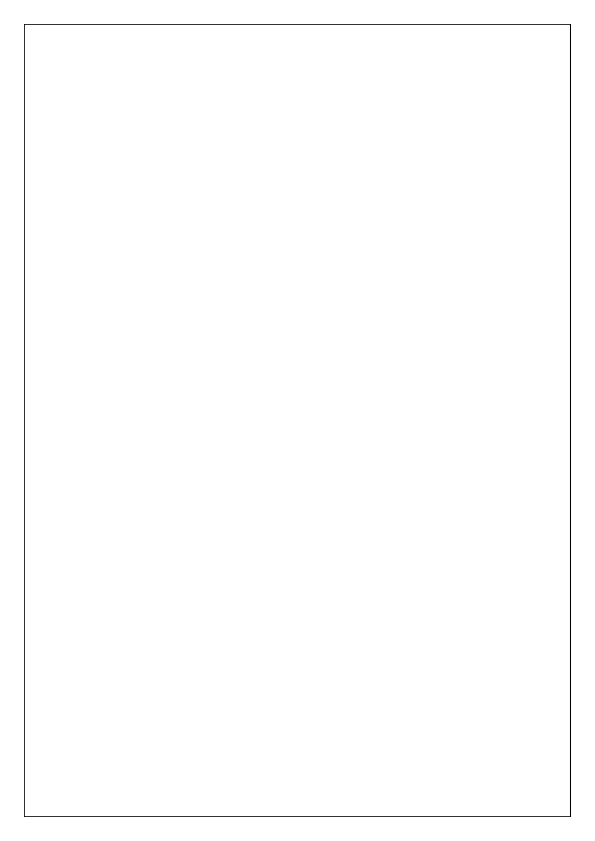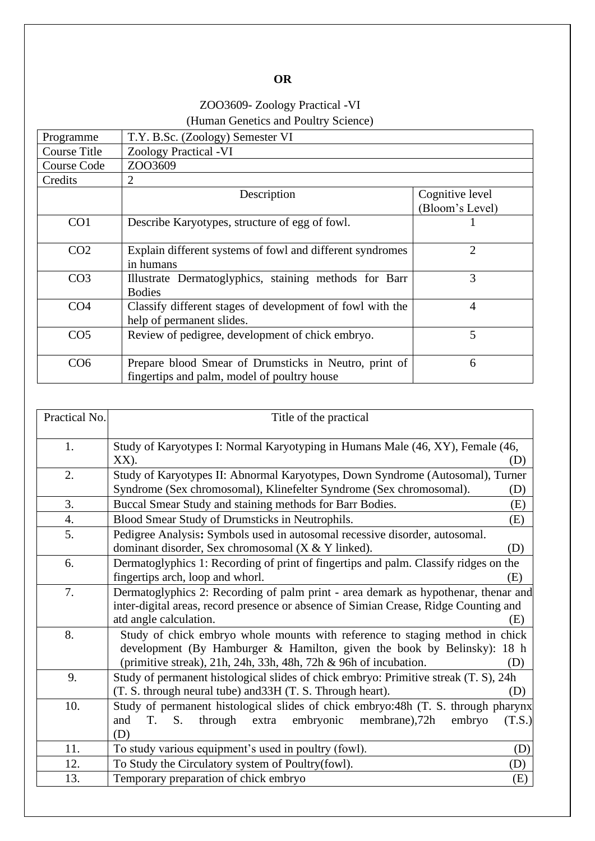## **OR**

# ZOO3609- Zoology Practical -VI

# (Human Genetics and Poultry Science)

| Programme       | T.Y. B.Sc. (Zoology) Semester VI                                                                     |                                    |
|-----------------|------------------------------------------------------------------------------------------------------|------------------------------------|
| Course Title    | <b>Zoology Practical -VI</b>                                                                         |                                    |
| Course Code     | ZOO3609                                                                                              |                                    |
| Credits         | 2                                                                                                    |                                    |
|                 | Description                                                                                          | Cognitive level<br>(Bloom's Level) |
| CO <sub>1</sub> | Describe Karyotypes, structure of egg of fowl.                                                       |                                    |
| CO <sub>2</sub> | Explain different systems of fowl and different syndromes<br>in humans                               | $\overline{2}$                     |
| CO <sub>3</sub> | Illustrate Dermatoglyphics, staining methods for Barr<br><b>Bodies</b>                               | 3                                  |
| CO <sub>4</sub> | Classify different stages of development of fowl with the<br>help of permanent slides.               | 4                                  |
| CO <sub>5</sub> | Review of pedigree, development of chick embryo.                                                     | 5                                  |
| CO <sub>6</sub> | Prepare blood Smear of Drumsticks in Neutro, print of<br>fingertips and palm, model of poultry house | 6                                  |

| Practical No.    | Title of the practical                                                               |        |
|------------------|--------------------------------------------------------------------------------------|--------|
| 1.               | Study of Karyotypes I: Normal Karyotyping in Humans Male (46, XY), Female (46,       |        |
|                  | $XX$ ).                                                                              | (D)    |
| 2.               | Study of Karyotypes II: Abnormal Karyotypes, Down Syndrome (Autosomal), Turner       |        |
|                  | Syndrome (Sex chromosomal), Klinefelter Syndrome (Sex chromosomal).                  | (D)    |
| 3.               | Buccal Smear Study and staining methods for Barr Bodies.                             | (E)    |
| $\overline{4}$ . | Blood Smear Study of Drumsticks in Neutrophils.                                      | (E)    |
| 5.               | Pedigree Analysis: Symbols used in autosomal recessive disorder, autosomal.          |        |
|                  | dominant disorder, Sex chromosomal (X & Y linked).                                   | (D)    |
| 6.               | Dermatoglyphics 1: Recording of print of fingertips and palm. Classify ridges on the |        |
|                  | fingertips arch, loop and whorl.                                                     | (E)    |
| 7.               | Dermatoglyphics 2: Recording of palm print - area demark as hypothenar, thenar and   |        |
|                  | inter-digital areas, record presence or absence of Simian Crease, Ridge Counting and |        |
|                  | atd angle calculation.                                                               | (E)    |
| 8.               | Study of chick embryo whole mounts with reference to staging method in chick         |        |
|                  | development (By Hamburger & Hamilton, given the book by Belinsky): 18 h              |        |
|                  | (primitive streak), 21h, 24h, 33h, 48h, 72h & 96h of incubation.                     | (D)    |
| 9.               | Study of permanent histological slides of chick embryo: Primitive streak (T. S), 24h |        |
|                  | (T. S. through neural tube) and 33H (T. S. Through heart).                           | (D)    |
| 10.              | Study of permanent histological slides of chick embryo: 48h (T. S. through pharynx   |        |
|                  | S.<br>through<br>embryonic<br>membrane),72h<br>and<br>T.<br>extra<br>embryo          | (T.S.) |
|                  | (D)                                                                                  |        |
| 11.              | To study various equipment's used in poultry (fowl).                                 | (D)    |
| 12.              | To Study the Circulatory system of Poultry(fowl).                                    | (D)    |
| 13.              | Temporary preparation of chick embryo                                                | (E)    |